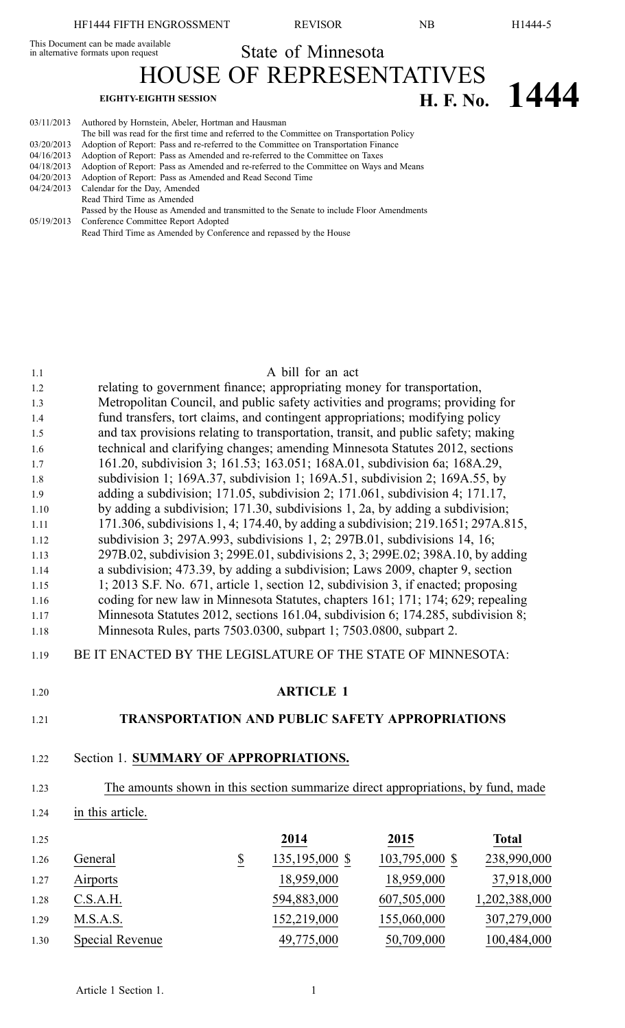This Document can be made available

State of Minnesota

HOUSE OF REPRESENTATIVES **EIGHTY-EIGHTH SESSION H. F. No. 1444** 

| 03/11/2013 | Authored by Hornstein, Abeler, Hortman and Hausman                                          |
|------------|---------------------------------------------------------------------------------------------|
|            | The bill was read for the first time and referred to the Committee on Transportation Policy |
| 03/20/2013 | Adoption of Report: Pass and re-referred to the Committee on Transportation Finance         |
| 04/16/2013 | Adoption of Report: Pass as Amended and re-referred to the Committee on Taxes               |
| 04/18/2013 | Adoption of Report: Pass as Amended and re-referred to the Committee on Ways and Means      |
| 04/20/2013 | Adoption of Report: Pass as Amended and Read Second Time                                    |
| 04/24/2013 | Calendar for the Day, Amended                                                               |
|            | Read Third Time as Amended                                                                  |
|            | Passed by the House as Amended and transmitted to the Senate to include Floor Amendments    |
|            | 05/19/2013 Conference Committee Report Adopted                                              |
|            | Read Third Time as Amended by Conference and repassed by the House                          |

# 1.1 A bill for an act

| 1.2  |                                                                              |                                                                                   | relating to government finance; appropriating money for transportation,             |                |               |  |
|------|------------------------------------------------------------------------------|-----------------------------------------------------------------------------------|-------------------------------------------------------------------------------------|----------------|---------------|--|
| 1.3  |                                                                              | Metropolitan Council, and public safety activities and programs; providing for    |                                                                                     |                |               |  |
| 1.4  | fund transfers, tort claims, and contingent appropriations; modifying policy |                                                                                   |                                                                                     |                |               |  |
| 1.5  |                                                                              | and tax provisions relating to transportation, transit, and public safety; making |                                                                                     |                |               |  |
| 1.6  |                                                                              |                                                                                   | technical and clarifying changes; amending Minnesota Statutes 2012, sections        |                |               |  |
| 1.7  |                                                                              |                                                                                   | 161.20, subdivision 3; 161.53; 163.051; 168A.01, subdivision 6a; 168A.29,           |                |               |  |
| 1.8  |                                                                              |                                                                                   | subdivision 1; $169A.37$ , subdivision 1; $169A.51$ , subdivision 2; $169A.55$ , by |                |               |  |
| 1.9  |                                                                              |                                                                                   | adding a subdivision; 171.05, subdivision 2; 171.061, subdivision 4; 171.17,        |                |               |  |
| 1.10 |                                                                              |                                                                                   | by adding a subdivision; 171.30, subdivisions 1, 2a, by adding a subdivision;       |                |               |  |
| 1.11 |                                                                              |                                                                                   | 171.306, subdivisions 1, 4; 174.40, by adding a subdivision; 219.1651; 297A.815,    |                |               |  |
| 1.12 |                                                                              |                                                                                   | subdivision 3; 297A.993, subdivisions 1, 2; 297B.01, subdivisions 14, 16;           |                |               |  |
| 1.13 |                                                                              |                                                                                   | 297B.02, subdivision 3; 299E.01, subdivisions 2, 3; 299E.02; 398A.10, by adding     |                |               |  |
| 1.14 |                                                                              |                                                                                   | a subdivision; 473.39, by adding a subdivision; Laws 2009, chapter 9, section       |                |               |  |
| 1.15 |                                                                              |                                                                                   | 1; 2013 S.F. No. 671, article 1, section 12, subdivision 3, if enacted; proposing   |                |               |  |
| 1.16 |                                                                              |                                                                                   | coding for new law in Minnesota Statutes, chapters 161; 171; 174; 629; repealing    |                |               |  |
| 1.17 |                                                                              |                                                                                   | Minnesota Statutes 2012, sections 161.04, subdivision 6; 174.285, subdivision 8;    |                |               |  |
| 1.18 |                                                                              |                                                                                   | Minnesota Rules, parts 7503.0300, subpart 1; 7503.0800, subpart 2.                  |                |               |  |
| 1.19 | BE IT ENACTED BY THE LEGISLATURE OF THE STATE OF MINNESOTA:                  |                                                                                   |                                                                                     |                |               |  |
| 1.20 |                                                                              | <b>ARTICLE 1</b>                                                                  |                                                                                     |                |               |  |
| 1.21 |                                                                              |                                                                                   | <b>TRANSPORTATION AND PUBLIC SAFETY APPROPRIATIONS</b>                              |                |               |  |
| 1.22 | Section 1. SUMMARY OF APPROPRIATIONS.                                        |                                                                                   |                                                                                     |                |               |  |
| 1.23 |                                                                              |                                                                                   | The amounts shown in this section summarize direct appropriations, by fund, made    |                |               |  |
| 1.24 | in this article.                                                             |                                                                                   |                                                                                     |                |               |  |
| 1.25 |                                                                              |                                                                                   | 2014                                                                                | 2015           | <b>Total</b>  |  |
| 1.26 | General                                                                      | $\underline{\$}$                                                                  | 135,195,000 \$                                                                      | 103,795,000 \$ | 238,990,000   |  |
| 1.27 | Airports                                                                     |                                                                                   | 18,959,000                                                                          | 18,959,000     | 37,918,000    |  |
| 1.28 | C.S.A.H.                                                                     |                                                                                   | 594,883,000                                                                         | 607,505,000    | 1,202,388,000 |  |
| 1.29 | M.S.A.S.                                                                     |                                                                                   | 152,219,000                                                                         | 155,060,000    | 307,279,000   |  |
| 1.30 | <b>Special Revenue</b>                                                       |                                                                                   | 49,775,000                                                                          | 50,709,000     | 100,484,000   |  |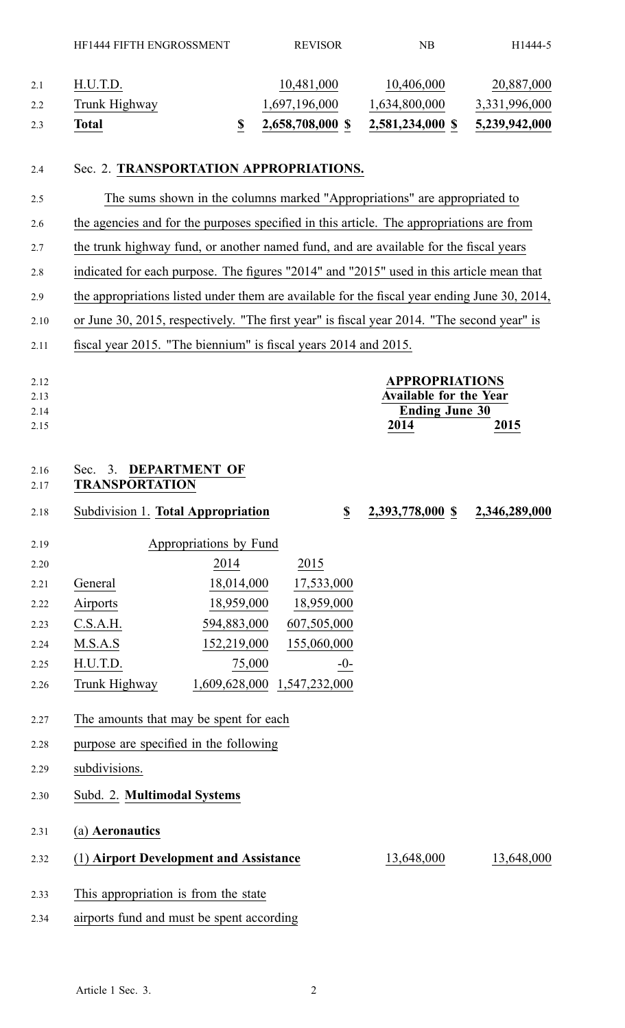# 2.4 Sec. 2. **TRANSPORTATION APPROPRIATIONS.**

2.5 The sums shown in the columns marked "Appropriations" are appropriated to 2.6 the agencies and for the purposes specified in this article. The appropriations are from 2.7 the trunk highway fund, or another named fund, and are available for the fiscal years 2.8 indicated for each purpose. The figures "2014" and "2015" used in this article mean that 2.9 the appropriations listed under them are available for the fiscal year ending June 30, 2014, 2.10 or June 30, 2015, respectively. "The first year" is fiscal year 2014. "The second year" is 2.11 fiscal year 2015. "The biennium" is fiscal years 2014 and 2015.

| 2.12<br>2.13<br>2.14 |                                                |                           | <b>APPROPRIATIONS</b><br><b>Available for the Year</b><br><b>Ending June 30</b> |               |  |
|----------------------|------------------------------------------------|---------------------------|---------------------------------------------------------------------------------|---------------|--|
| 2.15                 |                                                |                           | 2014                                                                            | 2015          |  |
| 2.16<br>2.17         | Sec. 3. DEPARTMENT OF<br><b>TRANSPORTATION</b> |                           |                                                                                 |               |  |
| 2.18                 | Subdivision 1. Total Appropriation             | $\boldsymbol{\mathsf{S}}$ | 2,393,778,000 \$                                                                | 2,346,289,000 |  |
| 2.19                 | Appropriations by Fund                         |                           |                                                                                 |               |  |

| 2.20 |               | 2014          | 2015          |
|------|---------------|---------------|---------------|
| 2.21 | General       | 18,014,000    | 17,533,000    |
| 2.22 | Airports      | 18,959,000    | 18,959,000    |
| 2.23 | C.S.A.H.      | 594,883,000   | 607,505,000   |
| 2.24 | M.S.A.S       | 152,219,000   | 155,060,000   |
| 2.25 | H.U.T.D.      | 75,000        | -0-           |
| 2.26 | Trunk Highway | 1,609,628,000 | 1,547,232,000 |

- 2.27 The amounts that may be spen<sup>t</sup> for each
- 2.28 purpose are specified in the following
- 2.29 subdivisions.
- 2.30 Subd. 2. **Multimodal Systems**
- 2.31 (a) **Aeronautics**
- 2.32 (1) **Airport Development and Assistance** 13,648,000 13,648,000
- 2.33 This appropriation is from the state
- 2.34 airports fund and must be spen<sup>t</sup> according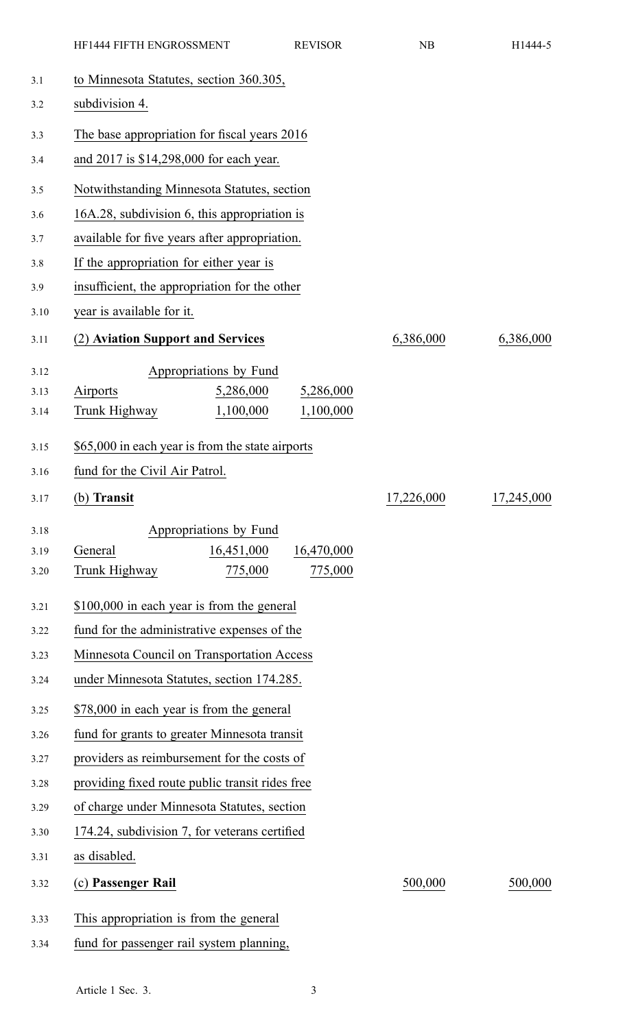|      | HF1444 FIFTH ENGROSSMENT                         | <b>REVISOR</b> | NB         | H1444-5    |
|------|--------------------------------------------------|----------------|------------|------------|
| 3.1  | to Minnesota Statutes, section 360.305,          |                |            |            |
| 3.2  | subdivision 4.                                   |                |            |            |
| 3.3  | The base appropriation for fiscal years 2016     |                |            |            |
| 3.4  | and 2017 is \$14,298,000 for each year.          |                |            |            |
| 3.5  | Notwithstanding Minnesota Statutes, section      |                |            |            |
| 3.6  | 16A.28, subdivision 6, this appropriation is     |                |            |            |
| 3.7  | available for five years after appropriation.    |                |            |            |
| 3.8  | If the appropriation for either year is          |                |            |            |
| 3.9  | insufficient, the appropriation for the other    |                |            |            |
| 3.10 | year is available for it.                        |                |            |            |
| 3.11 | (2) Aviation Support and Services                |                | 6,386,000  | 6,386,000  |
|      |                                                  |                |            |            |
| 3.12 | Appropriations by Fund                           |                |            |            |
| 3.13 | Airports<br>5,286,000                            | 5,286,000      |            |            |
| 3.14 | Trunk Highway<br>1,100,000                       | 1,100,000      |            |            |
| 3.15 | \$65,000 in each year is from the state airports |                |            |            |
| 3.16 | fund for the Civil Air Patrol.                   |                |            |            |
| 3.17 | (b) Transit                                      |                | 17,226,000 | 17,245,000 |
| 3.18 | Appropriations by Fund                           |                |            |            |
| 3.19 | 16,451,000<br>General                            | 16,470,000     |            |            |
| 3.20 | Trunk Highway<br>775,000                         | 775,000        |            |            |
| 3.21 | \$100,000 in each year is from the general       |                |            |            |
| 3.22 | fund for the administrative expenses of the      |                |            |            |
| 3.23 | Minnesota Council on Transportation Access       |                |            |            |
| 3.24 | under Minnesota Statutes, section 174.285.       |                |            |            |
| 3.25 | \$78,000 in each year is from the general        |                |            |            |
| 3.26 | fund for grants to greater Minnesota transit     |                |            |            |
| 3.27 | providers as reimbursement for the costs of      |                |            |            |
| 3.28 | providing fixed route public transit rides free  |                |            |            |
| 3.29 | of charge under Minnesota Statutes, section      |                |            |            |
| 3.30 | 174.24, subdivision 7, for veterans certified    |                |            |            |
| 3.31 | as disabled.                                     |                |            |            |
| 3.32 | (c) Passenger Rail                               |                | 500,000    | 500,000    |
|      |                                                  |                |            |            |
| 3.33 | This appropriation is from the general           |                |            |            |
| 3.34 | fund for passenger rail system planning,         |                |            |            |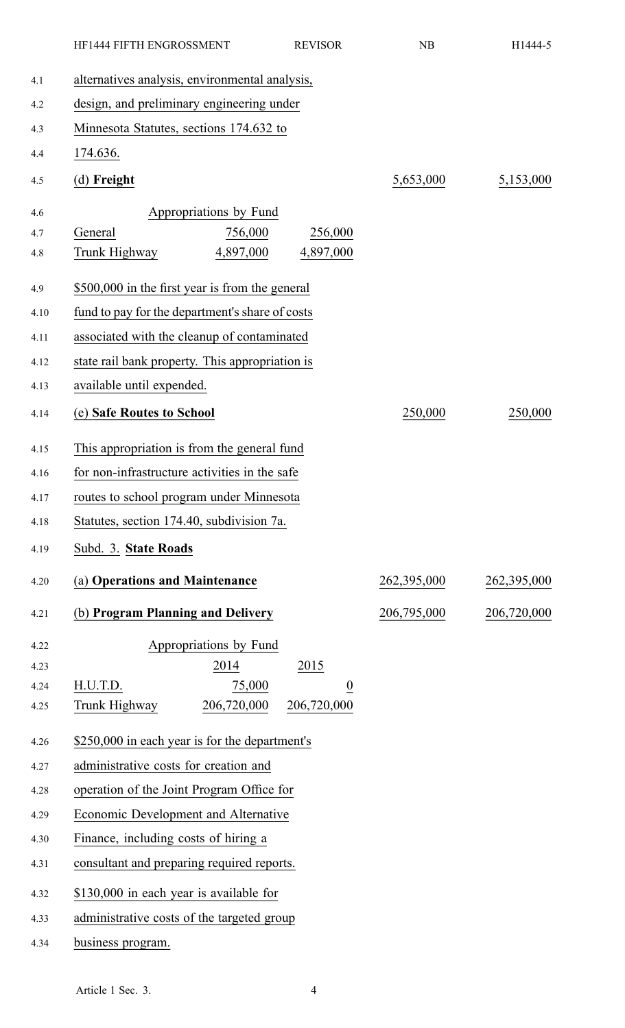|      | HF1444 FIFTH ENGROSSMENT                        | <b>REVISOR</b> | NB          | H1444-5     |
|------|-------------------------------------------------|----------------|-------------|-------------|
| 4.1  | alternatives analysis, environmental analysis,  |                |             |             |
| 4.2  | design, and preliminary engineering under       |                |             |             |
| 4.3  | Minnesota Statutes, sections 174.632 to         |                |             |             |
| 4.4  | 174.636.                                        |                |             |             |
| 4.5  | (d) Freight                                     |                | 5,653,000   | 5,153,000   |
| 4.6  | Appropriations by Fund                          |                |             |             |
| 4.7  | General<br>756,000                              | 256,000        |             |             |
| 4.8  | 4,897,000<br>Trunk Highway                      | 4,897,000      |             |             |
| 4.9  | \$500,000 in the first year is from the general |                |             |             |
| 4.10 | fund to pay for the department's share of costs |                |             |             |
| 4.11 | associated with the cleanup of contaminated     |                |             |             |
| 4.12 | state rail bank property. This appropriation is |                |             |             |
| 4.13 | available until expended.                       |                |             |             |
| 4.14 | (e) Safe Routes to School                       |                | 250,000     | 250,000     |
| 4.15 | This appropriation is from the general fund     |                |             |             |
| 4.16 | for non-infrastructure activities in the safe   |                |             |             |
| 4.17 | routes to school program under Minnesota        |                |             |             |
| 4.18 | Statutes, section 174.40, subdivision 7a.       |                |             |             |
| 4.19 | Subd. 3. State Roads                            |                |             |             |
| 4.20 | (a) Operations and Maintenance                  |                | 262,395,000 | 262,395,000 |
| 4.21 | (b) Program Planning and Delivery               |                | 206,795,000 | 206,720,000 |
| 4.22 | Appropriations by Fund                          |                |             |             |
| 4.23 | 2014                                            | 2015           |             |             |
| 4.24 | H.U.T.D.<br>75,000                              | $\overline{0}$ |             |             |
| 4.25 | 206,720,000<br>Trunk Highway                    | 206,720,000    |             |             |
| 4.26 | \$250,000 in each year is for the department's  |                |             |             |
| 4.27 | administrative costs for creation and           |                |             |             |
| 4.28 | operation of the Joint Program Office for       |                |             |             |
| 4.29 | Economic Development and Alternative            |                |             |             |
| 4.30 | Finance, including costs of hiring a            |                |             |             |
| 4.31 | consultant and preparing required reports.      |                |             |             |
| 4.32 | \$130,000 in each year is available for         |                |             |             |
| 4.33 | administrative costs of the targeted group      |                |             |             |
| 4.34 | business program.                               |                |             |             |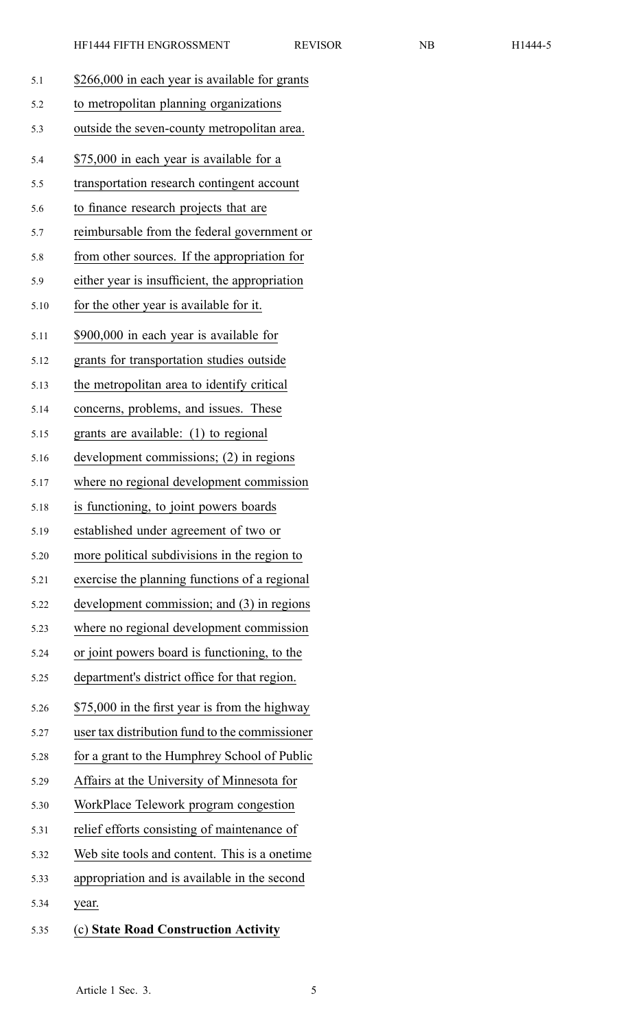| 5.1 |  |  | \$266,000 in each year is available for grants |
|-----|--|--|------------------------------------------------|
|     |  |  |                                                |

| 5.2 | to metropolitan planning organizations |
|-----|----------------------------------------|
|     |                                        |

- 5.3 outside the seven-county metropolitan area.
- 5.4 \$75,000 in each year is available for <sup>a</sup>
- 5.5 transportation research contingent account
- 5.6 to finance research projects that are
- 5.7 reimbursable from the federal governmen<sup>t</sup> or
- 5.8 from other sources. If the appropriation for
- 5.9 either year is insufficient, the appropriation
- 5.10 for the other year is available for it.
- 5.11 \$900,000 in each year is available for
- 5.12 grants for transportation studies outside
- 5.13 the metropolitan area to identify critical
- 5.14 concerns, problems, and issues. These
- 5.15 grants are available: (1) to regional
- 5.16 development commissions; (2) in regions
- 5.17 where no regional development commission
- 5.18 is functioning, to joint powers boards
- 5.19 established under agreemen<sup>t</sup> of two or
- 5.20 more political subdivisions in the region to
- 5.21 exercise the planning functions of <sup>a</sup> regional
- 5.22 development commission; and (3) in regions
- 5.23 where no regional development commission
- 5.24 or joint powers board is functioning, to the
- 5.25 department's district office for that region.
- 5.26 \$75,000 in the first year is from the highway
- 5.27 user tax distribution fund to the commissioner
- 5.28 for <sup>a</sup> gran<sup>t</sup> to the Humphrey School of Public
- 5.29 Affairs at the University of Minnesota for
- 5.30 WorkPlace Telework program congestion
- 5.31 relief efforts consisting of maintenance of
- 5.32 Web site tools and content. This is <sup>a</sup> onetime
- 5.33 appropriation and is available in the second
- 5.34 year.
- 5.35 (c) **State Road Construction Activity**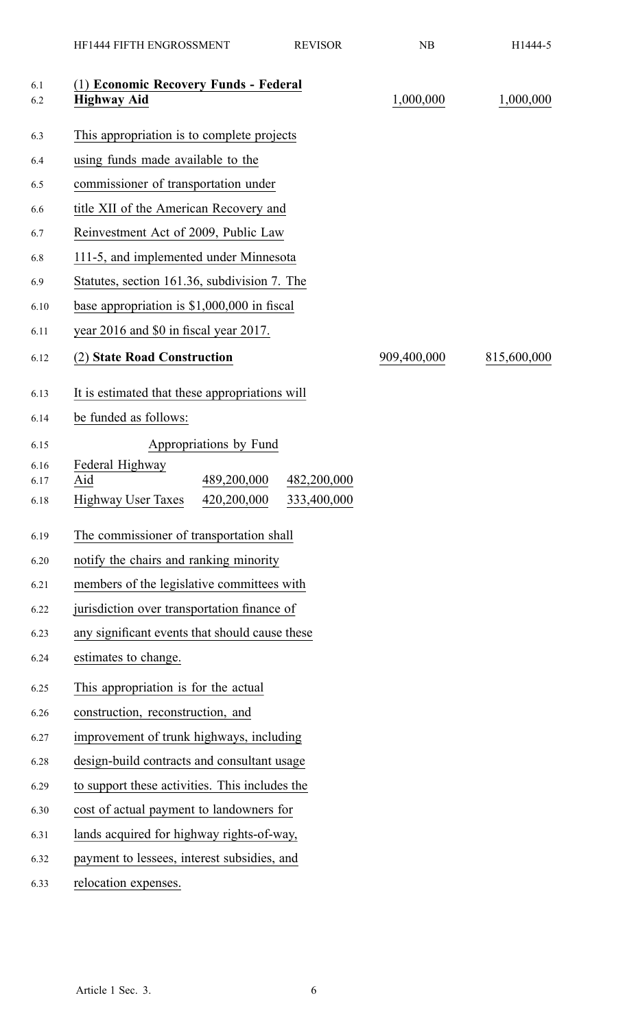|              | HF1444 FIFTH ENGROSSMENT                                       | <b>REVISOR</b>             | NB          | H1444-5     |
|--------------|----------------------------------------------------------------|----------------------------|-------------|-------------|
| 6.1<br>6.2   | (1) Economic Recovery Funds - Federal<br><b>Highway Aid</b>    |                            | 1,000,000   | 1,000,000   |
| 6.3          | This appropriation is to complete projects                     |                            |             |             |
| 6.4          | using funds made available to the                              |                            |             |             |
| 6.5          | commissioner of transportation under                           |                            |             |             |
| 6.6          | title XII of the American Recovery and                         |                            |             |             |
| 6.7          | Reinvestment Act of 2009, Public Law                           |                            |             |             |
| 6.8          | 111-5, and implemented under Minnesota                         |                            |             |             |
| 6.9          | Statutes, section 161.36, subdivision 7. The                   |                            |             |             |
| 6.10         | base appropriation is $$1,000,000$ in fiscal                   |                            |             |             |
| 6.11         | year 2016 and \$0 in fiscal year 2017.                         |                            |             |             |
| 6.12         | (2) State Road Construction                                    |                            | 909,400,000 | 815,600,000 |
| 6.13         | It is estimated that these appropriations will                 |                            |             |             |
| 6.14         | be funded as follows:                                          |                            |             |             |
| 6.15         | Appropriations by Fund                                         |                            |             |             |
| 6.16         | Federal Highway                                                |                            |             |             |
| 6.17<br>6.18 | 489,200,000<br>Aid<br><b>Highway User Taxes</b><br>420,200,000 | 482,200,000<br>333,400,000 |             |             |
| 6.19         | The commissioner of transportation shall                       |                            |             |             |
| 6.20         | notify the chairs and ranking minority                         |                            |             |             |
| 6.21         | members of the legislative committees with                     |                            |             |             |
| 6.22         | jurisdiction over transportation finance of                    |                            |             |             |
| 6.23         | any significant events that should cause these                 |                            |             |             |
| 6.24         | estimates to change.                                           |                            |             |             |
| 6.25         | This appropriation is for the actual                           |                            |             |             |
| 6.26         | construction, reconstruction, and                              |                            |             |             |
| 6.27         | improvement of trunk highways, including                       |                            |             |             |
| 6.28         | design-build contracts and consultant usage                    |                            |             |             |
| 6.29         | to support these activities. This includes the                 |                            |             |             |
| 6.30         | cost of actual payment to landowners for                       |                            |             |             |
| 6.31         | lands acquired for highway rights-of-way,                      |                            |             |             |
| 6.32         | payment to lessees, interest subsidies, and                    |                            |             |             |
| 6.33         | relocation expenses.                                           |                            |             |             |
|              |                                                                |                            |             |             |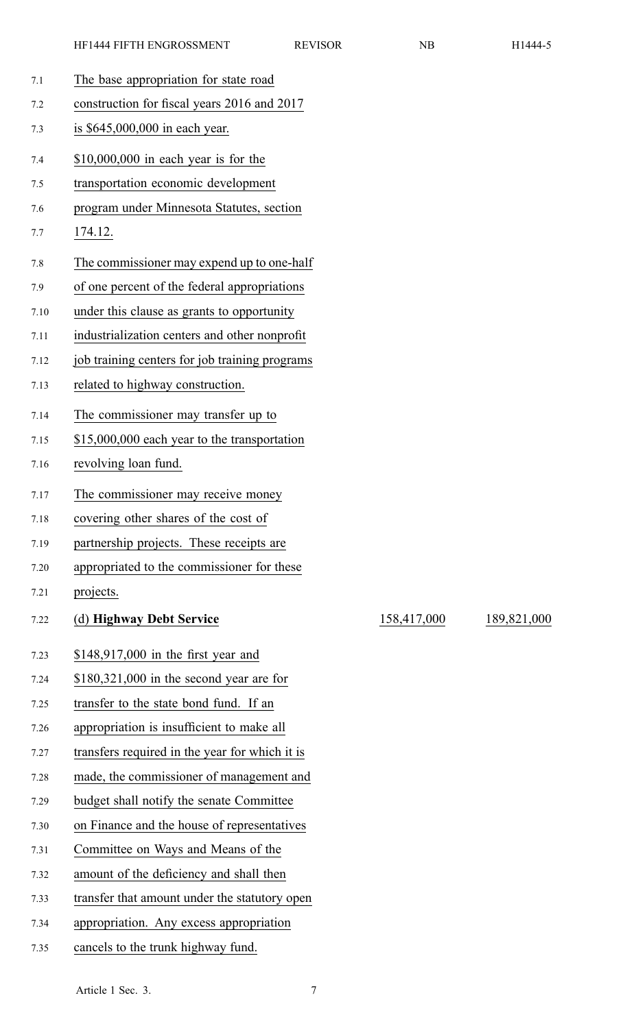| 7.1  | The base appropriation for state road          |
|------|------------------------------------------------|
| 7.2  | construction for fiscal years 2016 and 2017    |
| 7.3  | is \$645,000,000 in each year.                 |
| 7.4  | $$10,000,000$ in each year is for the          |
| 7.5  | transportation economic development            |
| 7.6  | program under Minnesota Statutes, section      |
| 7.7  | 174.12.                                        |
| 7.8  | The commissioner may expend up to one-half     |
| 7.9  | of one percent of the federal appropriations   |
| 7.10 | under this clause as grants to opportunity     |
| 7.11 | industrialization centers and other nonprofit  |
| 7.12 | job training centers for job training programs |
| 7.13 | related to highway construction.               |
| 7.14 | The commissioner may transfer up to            |
| 7.15 | \$15,000,000 each year to the transportation   |
| 7.16 | revolving loan fund.                           |
| 7.17 | The commissioner may receive money             |
| 7.18 | covering other shares of the cost of           |
| 7.19 | partnership projects. These receipts are       |
| 7.20 | appropriated to the commissioner for these     |
| 7.21 | projects.                                      |
| 7.22 | (d) Highway Debt Service                       |
| 7.23 | $$148,917,000$ in the first year and           |
| 7.24 | $$180,321,000$ in the second year are for      |
| 7.25 | transfer to the state bond fund. If an         |
| 7.26 | appropriation is insufficient to make all      |
| 7.27 | transfers required in the year for which it is |
| 7.28 | made, the commissioner of management and       |
| 7.29 | budget shall notify the senate Committee       |
| 7.30 | on Finance and the house of representatives    |
| 7.31 | Committee on Ways and Means of the             |
| 7.32 | amount of the deficiency and shall then        |
| 7.33 |                                                |
|      | transfer that amount under the statutory open  |

7.35 cancels to the trunk highway fund.

Article 1 Sec. 3.

7.22 (d) **Highway Debt Service** 158,417,000 189,821,000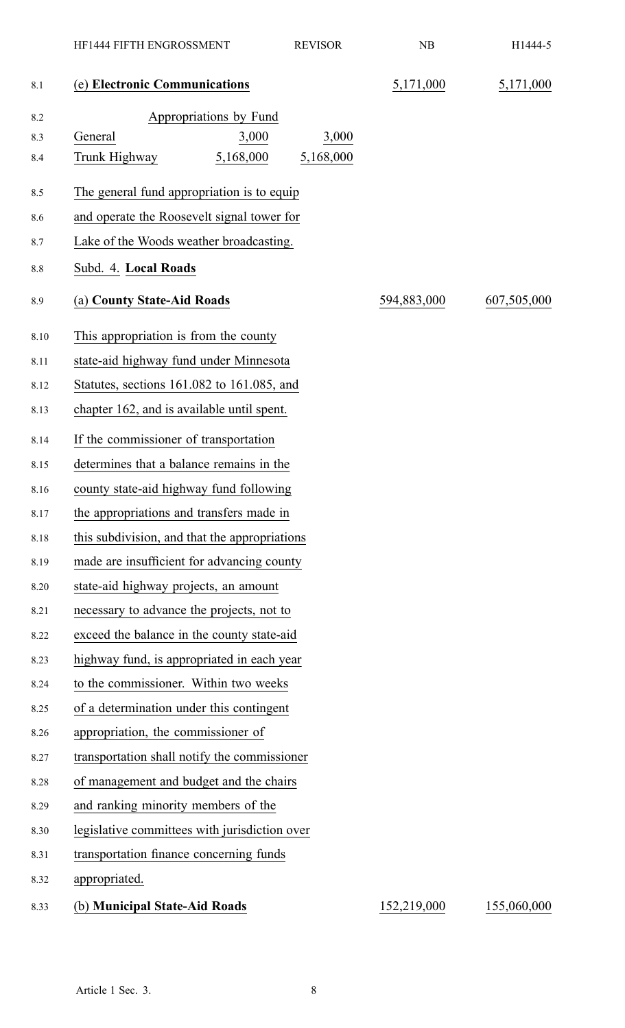|      | HF1444 FIFTH ENGROSSMENT                      | <b>REVISOR</b> | NB          | H1444-5     |
|------|-----------------------------------------------|----------------|-------------|-------------|
| 8.1  | (e) Electronic Communications                 |                | 5,171,000   | 5,171,000   |
| 8.2  | Appropriations by Fund                        |                |             |             |
| 8.3  | 3,000<br>General                              | 3,000          |             |             |
| 8.4  | 5,168,000<br>Trunk Highway                    | 5,168,000      |             |             |
| 8.5  | The general fund appropriation is to equip    |                |             |             |
| 8.6  | and operate the Roosevelt signal tower for    |                |             |             |
| 8.7  | Lake of the Woods weather broadcasting.       |                |             |             |
| 8.8  | Subd. 4. Local Roads                          |                |             |             |
| 8.9  | (a) County State-Aid Roads                    |                | 594,883,000 | 607,505,000 |
| 8.10 | This appropriation is from the county         |                |             |             |
| 8.11 | state-aid highway fund under Minnesota        |                |             |             |
| 8.12 | Statutes, sections 161.082 to 161.085, and    |                |             |             |
| 8.13 | chapter 162, and is available until spent.    |                |             |             |
| 8.14 | If the commissioner of transportation         |                |             |             |
| 8.15 | determines that a balance remains in the      |                |             |             |
| 8.16 | county state-aid highway fund following       |                |             |             |
| 8.17 | the appropriations and transfers made in      |                |             |             |
| 8.18 | this subdivision, and that the appropriations |                |             |             |
| 8.19 | made are insufficient for advancing county    |                |             |             |
| 8.20 | state-aid highway projects, an amount         |                |             |             |
| 8.21 | necessary to advance the projects, not to     |                |             |             |
| 8.22 | exceed the balance in the county state-aid    |                |             |             |
| 8.23 | highway fund, is appropriated in each year    |                |             |             |
| 8.24 | to the commissioner. Within two weeks         |                |             |             |
| 8.25 | of a determination under this contingent      |                |             |             |
| 8.26 | appropriation, the commissioner of            |                |             |             |
| 8.27 | transportation shall notify the commissioner  |                |             |             |
| 8.28 | of management and budget and the chairs       |                |             |             |
| 8.29 | and ranking minority members of the           |                |             |             |
| 8.30 | legislative committees with jurisdiction over |                |             |             |
| 8.31 | transportation finance concerning funds       |                |             |             |
| 8.32 | appropriated.                                 |                |             |             |
| 8.33 | (b) Municipal State-Aid Roads                 |                | 152,219,000 | 155,060,000 |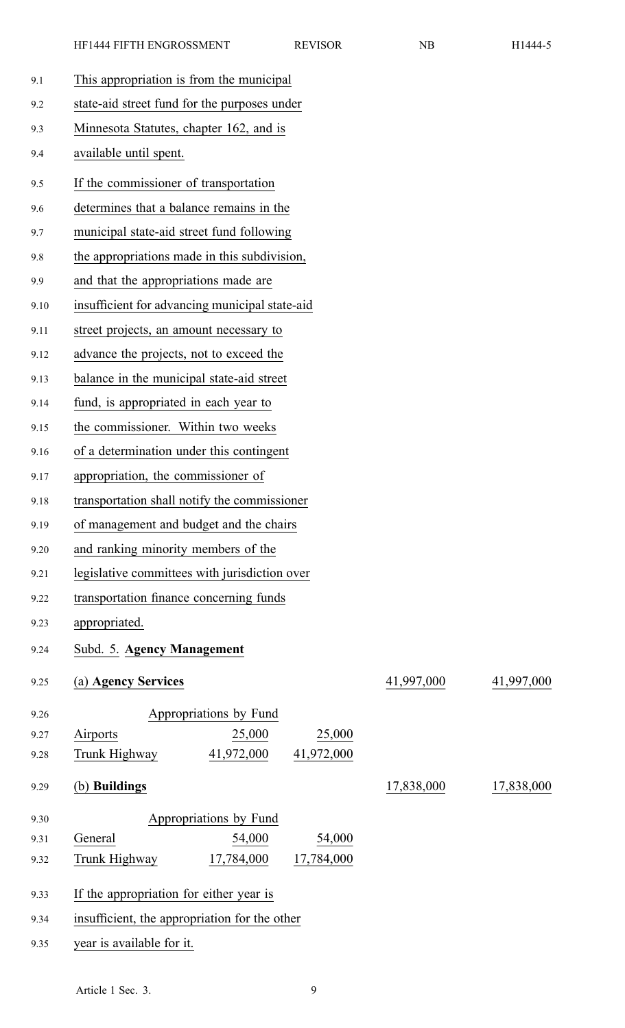| 9.1  | This appropriation is from the municipal       |            |            |
|------|------------------------------------------------|------------|------------|
| 9.2  | state-aid street fund for the purposes under   |            |            |
| 9.3  | Minnesota Statutes, chapter 162, and is        |            |            |
| 9.4  | available until spent.                         |            |            |
| 9.5  | If the commissioner of transportation          |            |            |
| 9.6  | determines that a balance remains in the       |            |            |
| 9.7  | municipal state-aid street fund following      |            |            |
| 9.8  | the appropriations made in this subdivision,   |            |            |
| 9.9  | and that the appropriations made are           |            |            |
| 9.10 | insufficient for advancing municipal state-aid |            |            |
| 9.11 | street projects, an amount necessary to        |            |            |
| 9.12 | advance the projects, not to exceed the        |            |            |
| 9.13 | balance in the municipal state-aid street      |            |            |
| 9.14 | fund, is appropriated in each year to          |            |            |
| 9.15 | the commissioner. Within two weeks             |            |            |
| 9.16 | of a determination under this contingent       |            |            |
| 9.17 | appropriation, the commissioner of             |            |            |
| 9.18 | transportation shall notify the commissioner   |            |            |
| 9.19 | of management and budget and the chairs        |            |            |
| 9.20 | and ranking minority members of the            |            |            |
| 9.21 | legislative committees with jurisdiction over  |            |            |
| 9.22 | transportation finance concerning funds        |            |            |
| 9.23 | appropriated.                                  |            |            |
| 9.24 | Subd. 5. Agency Management                     |            |            |
| 9.25 | (a) Agency Services                            | 41,997,000 | 41,997,000 |
| 9.26 | Appropriations by Fund                         |            |            |
| 9.27 | 25,000<br>Airports<br>25,000                   |            |            |
| 9.28 | 41,972,000 41,972,000<br>Trunk Highway         |            |            |
| 9.29 | (b) Buildings                                  | 17,838,000 | 17,838,000 |
| 9.30 | Appropriations by Fund                         |            |            |
| 9.31 | General<br>54,000<br>54,000                    |            |            |
| 9.32 | Trunk Highway<br>17,784,000<br>17,784,000      |            |            |
| 9.33 | If the appropriation for either year is        |            |            |
| 9.34 | insufficient, the appropriation for the other  |            |            |
| 9.35 | year is available for it.                      |            |            |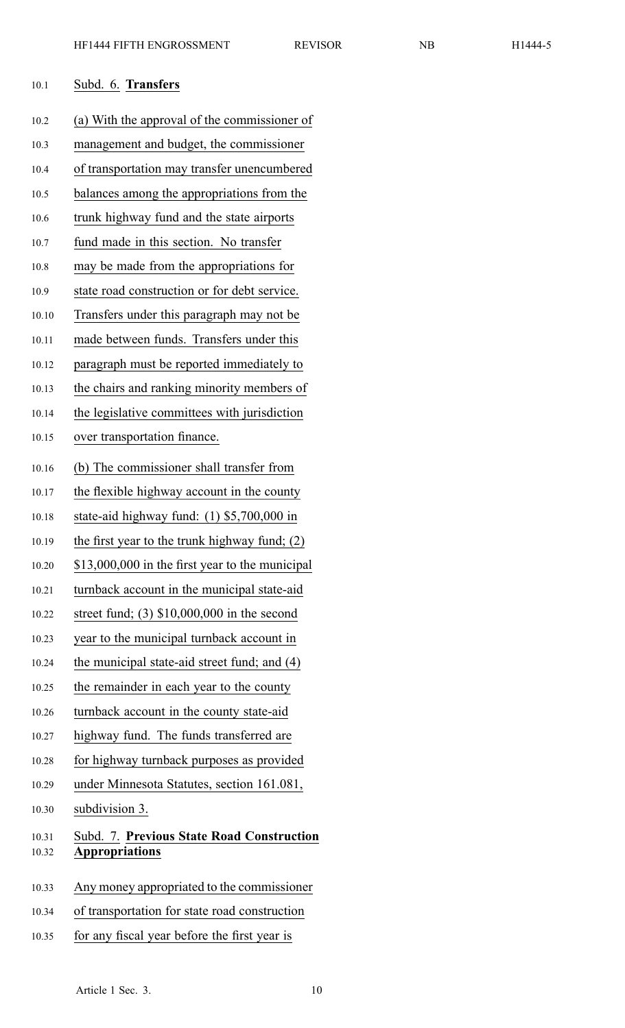| 10.1  | Subd. 6. Transfers                               |
|-------|--------------------------------------------------|
| 10.2  | (a) With the approval of the commissioner of     |
| 10.3  | management and budget, the commissioner          |
| 10.4  | of transportation may transfer unencumbered      |
| 10.5  | balances among the appropriations from the       |
| 10.6  | trunk highway fund and the state airports        |
| 10.7  | fund made in this section. No transfer           |
| 10.8  | may be made from the appropriations for          |
| 10.9  | state road construction or for debt service.     |
| 10.10 | Transfers under this paragraph may not be        |
| 10.11 | made between funds. Transfers under this         |
| 10.12 | paragraph must be reported immediately to        |
| 10.13 | the chairs and ranking minority members of       |
| 10.14 | the legislative committees with jurisdiction     |
| 10.15 | over transportation finance.                     |
| 10.16 | (b) The commissioner shall transfer from         |
| 10.17 | the flexible highway account in the county       |
| 10.18 | state-aid highway fund: $(1)$ \$5,700,000 in     |
| 10.19 | the first year to the trunk highway fund; $(2)$  |
| 10.20 | \$13,000,000 in the first year to the municipal  |
| 10.21 | turnback account in the municipal state-aid      |
| 10.22 | street fund; $(3)$ \$10,000,000 in the second    |
| 10.23 | year to the municipal turnback account in        |
| 10.24 | the municipal state-aid street fund; and (4)     |
| 10.25 | the remainder in each year to the county         |
| 10.26 | turnback account in the county state-aid         |
| 10.27 | highway fund. The funds transferred are.         |
| 10.28 | for highway turnback purposes as provided        |
| 10.29 | under Minnesota Statutes, section 161.081,       |
| 10.30 | subdivision 3.                                   |
| 10.31 | <b>Subd. 7. Previous State Road Construction</b> |
| 10.32 | <b>Appropriations</b>                            |
| 10.33 | Any money appropriated to the commissioner       |
|       | $f_{\alpha\mu}$ state $\mu$                      |

- 10.34 of transportation for state road construction
- 10.35 for any fiscal year before the first year is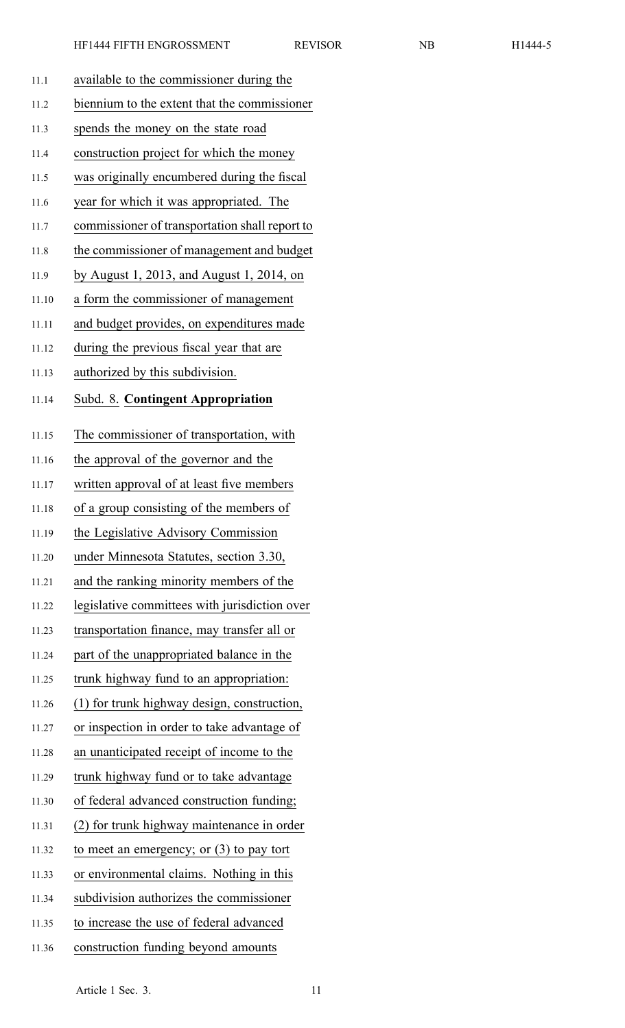| 11.1  | available to the commissioner during the       |
|-------|------------------------------------------------|
| 11.2  | biennium to the extent that the commissioner   |
| 11.3  | spends the money on the state road             |
| 11.4  | construction project for which the money       |
| 11.5  | was originally encumbered during the fiscal    |
| 11.6  | year for which it was appropriated. The        |
| 11.7  | commissioner of transportation shall report to |
| 11.8  | the commissioner of management and budget      |
| 11.9  | by August 1, 2013, and August 1, 2014, on      |
| 11.10 | a form the commissioner of management          |
| 11.11 | and budget provides, on expenditures made      |
| 11.12 | during the previous fiscal year that are       |
| 11.13 | authorized by this subdivision.                |
| 11.14 | <b>Subd. 8. Contingent Appropriation</b>       |
| 11.15 | The commissioner of transportation, with       |
| 11.16 | the approval of the governor and the           |
| 11.17 | written approval of at least five members      |
| 11.18 | of a group consisting of the members of        |
| 11.19 | the Legislative Advisory Commission            |
| 11.20 | under Minnesota Statutes, section 3.30,        |
| 11.21 | and the ranking minority members of the        |
| 11.22 | legislative committees with jurisdiction over  |
| 11.23 | transportation finance, may transfer all or    |
| 11.24 | part of the unappropriated balance in the      |
| 11.25 | trunk highway fund to an appropriation:        |
| 11.26 | (1) for trunk highway design, construction,    |
| 11.27 | or inspection in order to take advantage of    |
| 11.28 | an unanticipated receipt of income to the      |
| 11.29 | trunk highway fund or to take advantage        |
| 11.30 | of federal advanced construction funding;      |
| 11.31 | (2) for trunk highway maintenance in order     |
| 11.32 | to meet an emergency; or $(3)$ to pay tort     |
| 11.33 | or environmental claims. Nothing in this       |
| 11.34 | subdivision authorizes the commissioner        |
| 11.35 | to increase the use of federal advanced        |
| 11.36 | construction funding beyond amounts            |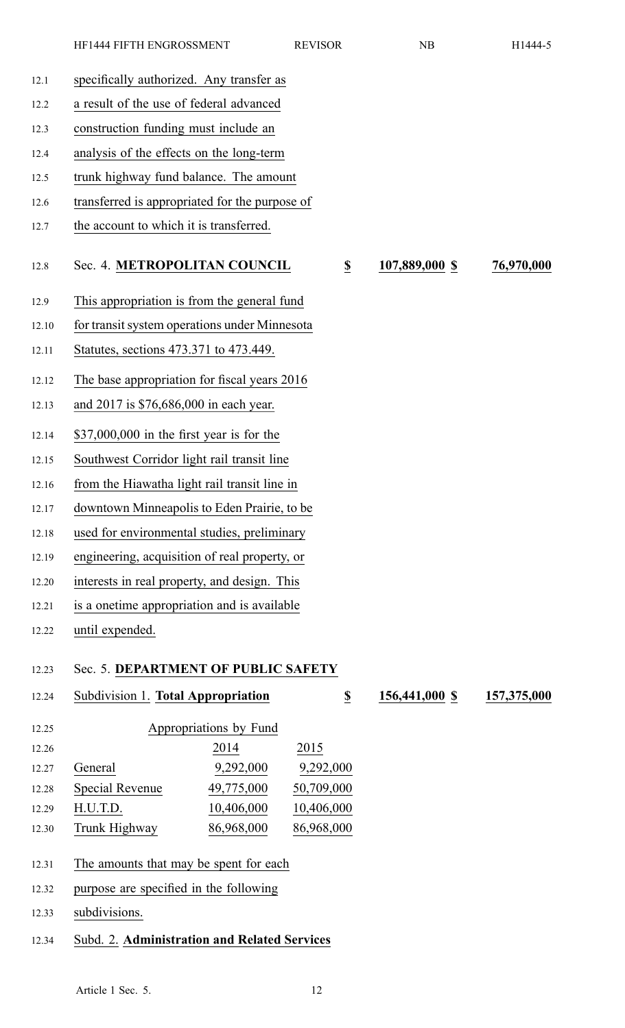| 12.1  | specifically authorized. Any transfer as       |                        |                              |                |             |
|-------|------------------------------------------------|------------------------|------------------------------|----------------|-------------|
| 12.2  | a result of the use of federal advanced        |                        |                              |                |             |
| 12.3  | construction funding must include an           |                        |                              |                |             |
| 12.4  | analysis of the effects on the long-term       |                        |                              |                |             |
| 12.5  | trunk highway fund balance. The amount         |                        |                              |                |             |
| 12.6  | transferred is appropriated for the purpose of |                        |                              |                |             |
| 12.7  | the account to which it is transferred.        |                        |                              |                |             |
|       |                                                |                        |                              |                |             |
| 12.8  | Sec. 4. METROPOLITAN COUNCIL                   |                        | $\underline{\underline{\$}}$ | 107,889,000 \$ | 76,970,000  |
| 12.9  | This appropriation is from the general fund    |                        |                              |                |             |
| 12.10 | for transit system operations under Minnesota  |                        |                              |                |             |
| 12.11 | Statutes, sections 473.371 to 473.449.         |                        |                              |                |             |
|       |                                                |                        |                              |                |             |
| 12.12 | The base appropriation for fiscal years 2016   |                        |                              |                |             |
| 12.13 | and 2017 is \$76,686,000 in each year.         |                        |                              |                |             |
| 12.14 | $$37,000,000$ in the first year is for the     |                        |                              |                |             |
| 12.15 | Southwest Corridor light rail transit line     |                        |                              |                |             |
| 12.16 | from the Hiawatha light rail transit line in   |                        |                              |                |             |
| 12.17 | downtown Minneapolis to Eden Prairie, to be    |                        |                              |                |             |
| 12.18 | used for environmental studies, preliminary    |                        |                              |                |             |
| 12.19 | engineering, acquisition of real property, or  |                        |                              |                |             |
| 12.20 | interests in real property, and design. This   |                        |                              |                |             |
| 12.21 | is a onetime appropriation and is available    |                        |                              |                |             |
| 12.22 | until expended.                                |                        |                              |                |             |
|       |                                                |                        |                              |                |             |
| 12.23 | Sec. 5. DEPARTMENT OF PUBLIC SAFETY            |                        |                              |                |             |
| 12.24 | Subdivision 1. Total Appropriation             |                        | $\underline{\underline{\$}}$ | 156,441,000 \$ | 157,375,000 |
| 12.25 |                                                | Appropriations by Fund |                              |                |             |
| 12.26 |                                                | 2014                   | 2015                         |                |             |
| 12.27 | General                                        | 9,292,000              | 9,292,000                    |                |             |
| 12.28 | <b>Special Revenue</b>                         | 49,775,000             | 50,709,000                   |                |             |
| 12.29 | H.U.T.D.                                       | 10,406,000             | 10,406,000                   |                |             |
| 12.30 | Trunk Highway                                  | 86,968,000             | 86,968,000                   |                |             |

- 12.31 The amounts that may be spent for each
- 12.32 purpose are specified in the following
- 12.33 subdivisions.
- 12.34 Subd. 2. **Administration and Related Services**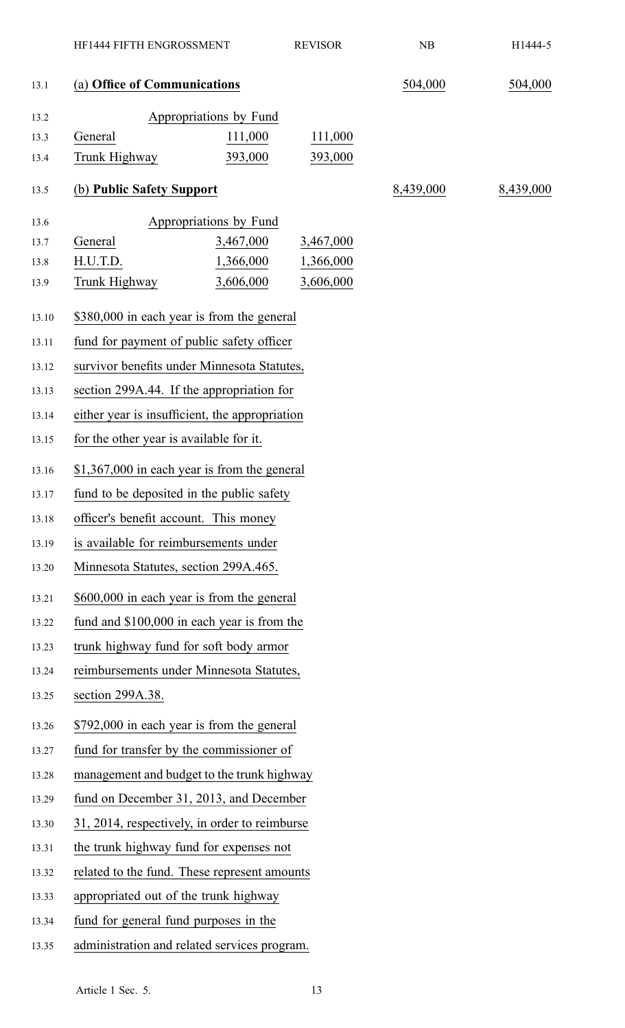|       | HF1444 FIFTH ENGROSSMENT                       |                        | <b>REVISOR</b> | NB        | H1444-5   |
|-------|------------------------------------------------|------------------------|----------------|-----------|-----------|
| 13.1  | (a) Office of Communications                   |                        |                | 504,000   | 504,000   |
| 13.2  |                                                | Appropriations by Fund |                |           |           |
| 13.3  | General                                        | 111,000                | 111,000        |           |           |
| 13.4  | Trunk Highway                                  | 393,000                | 393,000        |           |           |
| 13.5  | (b) Public Safety Support                      |                        |                | 8,439,000 | 8,439,000 |
| 13.6  |                                                | Appropriations by Fund |                |           |           |
| 13.7  | General                                        | 3,467,000              | 3,467,000      |           |           |
| 13.8  | H.U.T.D.                                       | 1,366,000              | 1,366,000      |           |           |
| 13.9  | Trunk Highway                                  | 3,606,000              | 3,606,000      |           |           |
| 13.10 | \$380,000 in each year is from the general     |                        |                |           |           |
| 13.11 | fund for payment of public safety officer      |                        |                |           |           |
| 13.12 | survivor benefits under Minnesota Statutes,    |                        |                |           |           |
| 13.13 | section 299A.44. If the appropriation for      |                        |                |           |           |
| 13.14 | either year is insufficient, the appropriation |                        |                |           |           |
| 13.15 | for the other year is available for it.        |                        |                |           |           |
| 13.16 | \$1,367,000 in each year is from the general   |                        |                |           |           |
| 13.17 | fund to be deposited in the public safety      |                        |                |           |           |
| 13.18 | officer's benefit account. This money          |                        |                |           |           |
| 13.19 | is available for reimbursements under          |                        |                |           |           |
| 13.20 | Minnesota Statutes, section 299A.465.          |                        |                |           |           |
| 13.21 | \$600,000 in each year is from the general     |                        |                |           |           |
| 13.22 | fund and \$100,000 in each year is from the    |                        |                |           |           |
| 13.23 | trunk highway fund for soft body armor         |                        |                |           |           |
| 13.24 | reimbursements under Minnesota Statutes,       |                        |                |           |           |
| 13.25 | section 299A.38.                               |                        |                |           |           |
| 13.26 | \$792,000 in each year is from the general     |                        |                |           |           |
| 13.27 | fund for transfer by the commissioner of       |                        |                |           |           |
| 13.28 | management and budget to the trunk highway     |                        |                |           |           |
| 13.29 | fund on December 31, 2013, and December        |                        |                |           |           |
| 13.30 | 31, 2014, respectively, in order to reimburse  |                        |                |           |           |
| 13.31 | the trunk highway fund for expenses not        |                        |                |           |           |
| 13.32 | related to the fund. These represent amounts   |                        |                |           |           |
| 13.33 | appropriated out of the trunk highway          |                        |                |           |           |
| 13.34 | fund for general fund purposes in the          |                        |                |           |           |
| 13.35 | administration and related services program.   |                        |                |           |           |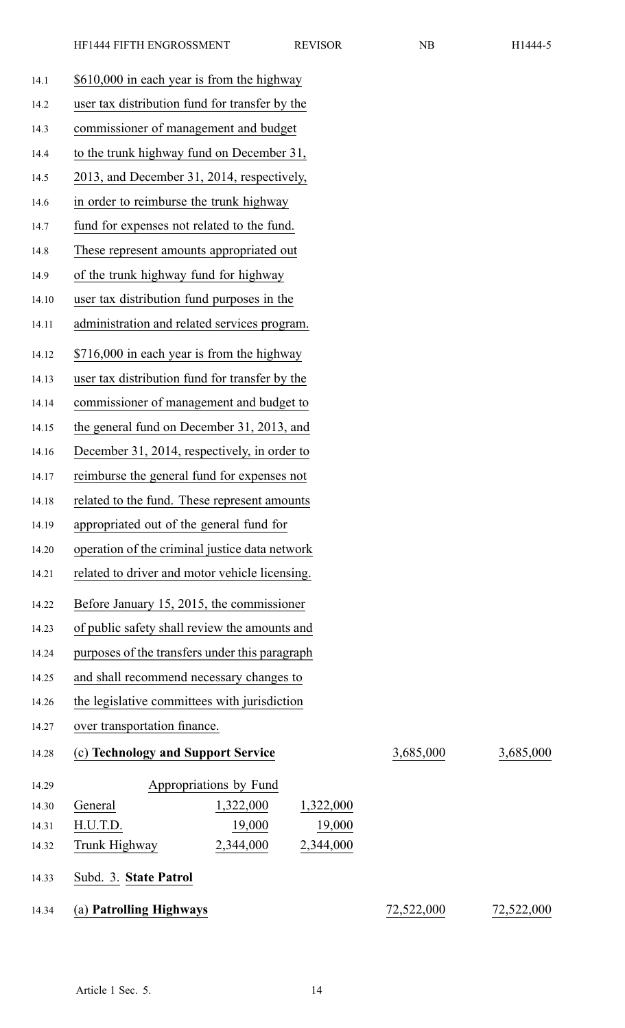| 14.1  | \$610,000 in each year is from the highway     |            |            |
|-------|------------------------------------------------|------------|------------|
| 14.2  | user tax distribution fund for transfer by the |            |            |
| 14.3  | commissioner of management and budget          |            |            |
| 14.4  | to the trunk highway fund on December 31,      |            |            |
| 14.5  | 2013, and December 31, 2014, respectively,     |            |            |
| 14.6  | in order to reimburse the trunk highway        |            |            |
| 14.7  | fund for expenses not related to the fund.     |            |            |
| 14.8  | These represent amounts appropriated out       |            |            |
| 14.9  | of the trunk highway fund for highway          |            |            |
| 14.10 | user tax distribution fund purposes in the     |            |            |
| 14.11 | administration and related services program.   |            |            |
| 14.12 | \$716,000 in each year is from the highway     |            |            |
| 14.13 | user tax distribution fund for transfer by the |            |            |
| 14.14 | commissioner of management and budget to       |            |            |
| 14.15 | the general fund on December 31, 2013, and     |            |            |
| 14.16 | December 31, 2014, respectively, in order to   |            |            |
| 14.17 | reimburse the general fund for expenses not    |            |            |
| 14.18 | related to the fund. These represent amounts   |            |            |
| 14.19 | appropriated out of the general fund for       |            |            |
| 14.20 | operation of the criminal justice data network |            |            |
| 14.21 | related to driver and motor vehicle licensing. |            |            |
| 14.22 | Before January 15, 2015, the commissioner      |            |            |
| 14.23 | of public safety shall review the amounts and  |            |            |
| 14.24 | purposes of the transfers under this paragraph |            |            |
| 14.25 | and shall recommend necessary changes to       |            |            |
| 14.26 | the legislative committees with jurisdiction   |            |            |
| 14.27 | over transportation finance.                   |            |            |
|       |                                                |            | 3,685,000  |
| 14.28 | (c) Technology and Support Service             | 3,685,000  |            |
| 14.29 | Appropriations by Fund                         |            |            |
| 14.30 | General<br>1,322,000<br>1,322,000              |            |            |
| 14.31 | 19,000<br>H.U.T.D.<br>19,000                   |            |            |
| 14.32 | 2,344,000<br>2,344,000<br>Trunk Highway        |            |            |
| 14.33 | Subd. 3. State Patrol                          |            |            |
| 14.34 | (a) Patrolling Highways                        | 72,522,000 | 72,522,000 |
|       |                                                |            |            |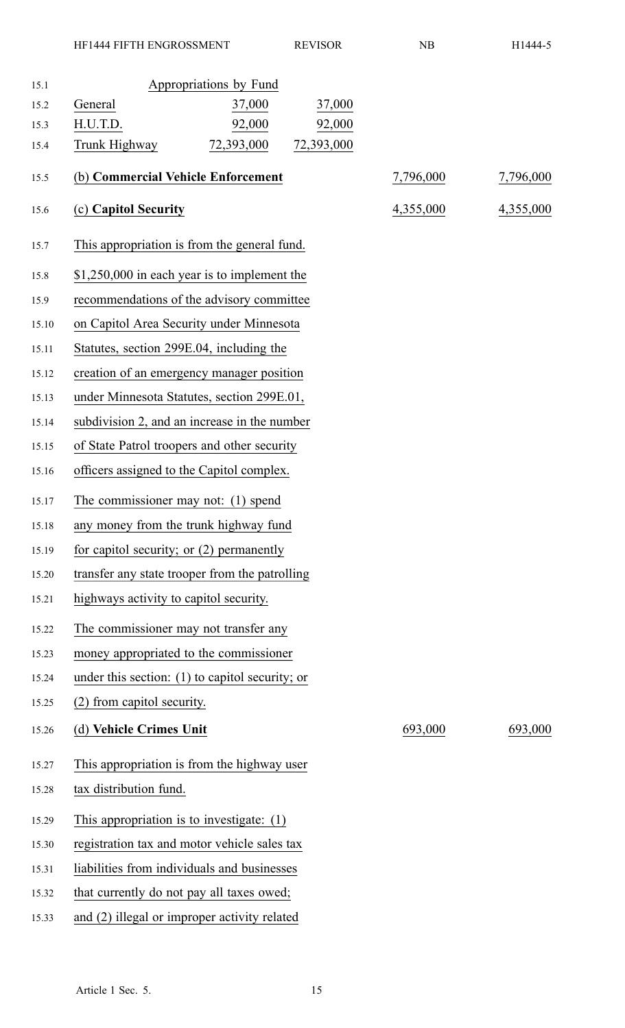| 15.1  | Appropriations by Fund                            |           |           |
|-------|---------------------------------------------------|-----------|-----------|
| 15.2  | 37,000<br>37,000<br>General                       |           |           |
| 15.3  | H.U.T.D.<br>92,000<br>92,000                      |           |           |
| 15.4  | 72,393,000<br>72,393,000<br>Trunk Highway         |           |           |
| 15.5  | (b) Commercial Vehicle Enforcement                | 7,796,000 | 7,796,000 |
| 15.6  | (c) Capitol Security                              | 4,355,000 | 4,355,000 |
| 15.7  | This appropriation is from the general fund.      |           |           |
| 15.8  | \$1,250,000 in each year is to implement the      |           |           |
| 15.9  | recommendations of the advisory committee         |           |           |
| 15.10 | on Capitol Area Security under Minnesota          |           |           |
| 15.11 | Statutes, section 299E.04, including the          |           |           |
| 15.12 | creation of an emergency manager position         |           |           |
| 15.13 | under Minnesota Statutes, section 299E.01,        |           |           |
| 15.14 | subdivision 2, and an increase in the number      |           |           |
| 15.15 | of State Patrol troopers and other security       |           |           |
| 15.16 | officers assigned to the Capitol complex.         |           |           |
| 15.17 | The commissioner may not: (1) spend               |           |           |
| 15.18 | any money from the trunk highway fund             |           |           |
| 15.19 | for capitol security; or $(2)$ permanently        |           |           |
| 15.20 | transfer any state trooper from the patrolling    |           |           |
| 15.21 | highways activity to capitol security.            |           |           |
| 15.22 | The commissioner may not transfer any             |           |           |
| 15.23 | money appropriated to the commissioner            |           |           |
| 15.24 | under this section: $(1)$ to capitol security; or |           |           |
| 15.25 | (2) from capitol security.                        |           |           |
| 15.26 | (d) Vehicle Crimes Unit                           | 693,000   | 693,000   |
| 15.27 | This appropriation is from the highway user       |           |           |
| 15.28 | tax distribution fund.                            |           |           |
| 15.29 | This appropriation is to investigate: $(1)$       |           |           |
| 15.30 | registration tax and motor vehicle sales tax      |           |           |
| 15.31 | liabilities from individuals and businesses       |           |           |
| 15.32 | that currently do not pay all taxes owed;         |           |           |
| 15.33 | and (2) illegal or improper activity related      |           |           |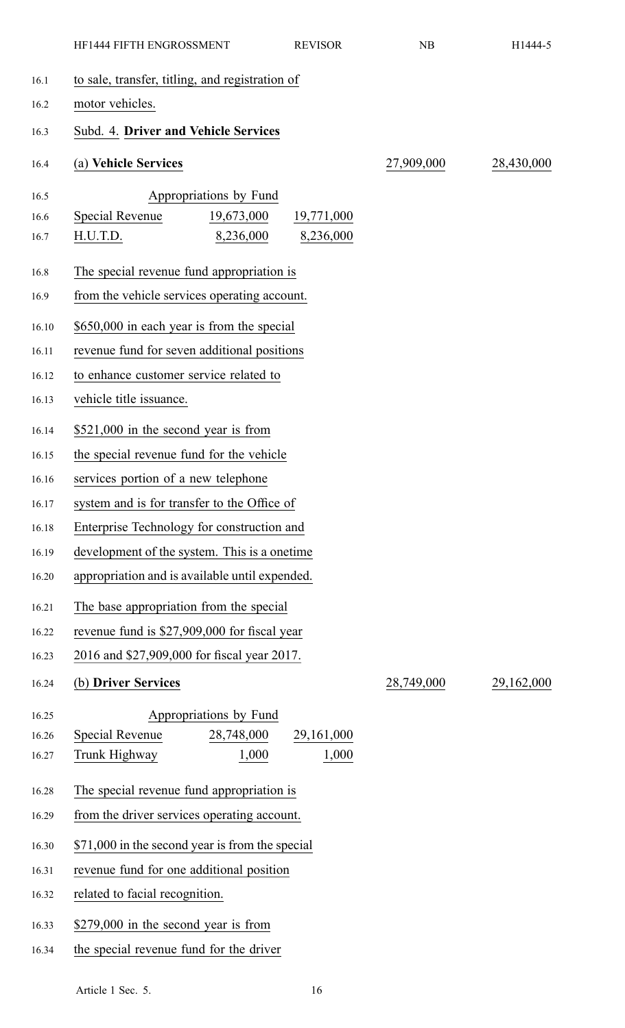|       | HF1444 FIFTH ENGROSSMENT                        | <b>REVISOR</b> | NB         | H1444-5    |
|-------|-------------------------------------------------|----------------|------------|------------|
| 16.1  | to sale, transfer, titling, and registration of |                |            |            |
| 16.2  | motor vehicles.                                 |                |            |            |
| 16.3  | Subd. 4. Driver and Vehicle Services            |                |            |            |
| 16.4  | (a) Vehicle Services                            |                | 27,909,000 | 28,430,000 |
| 16.5  | Appropriations by Fund                          |                |            |            |
| 16.6  | Special Revenue<br>19,673,000                   | 19,771,000     |            |            |
| 16.7  | H.U.T.D.<br>8,236,000                           | 8,236,000      |            |            |
| 16.8  | The special revenue fund appropriation is       |                |            |            |
| 16.9  | from the vehicle services operating account.    |                |            |            |
| 16.10 | \$650,000 in each year is from the special      |                |            |            |
| 16.11 | revenue fund for seven additional positions     |                |            |            |
| 16.12 | to enhance customer service related to          |                |            |            |
| 16.13 | vehicle title issuance.                         |                |            |            |
| 16.14 | \$521,000 in the second year is from            |                |            |            |
| 16.15 | the special revenue fund for the vehicle        |                |            |            |
| 16.16 | services portion of a new telephone             |                |            |            |
| 16.17 | system and is for transfer to the Office of     |                |            |            |
| 16.18 | Enterprise Technology for construction and      |                |            |            |
| 16.19 | development of the system. This is a onetime    |                |            |            |
| 16.20 | appropriation and is available until expended.  |                |            |            |
| 16.21 | The base appropriation from the special         |                |            |            |
| 16.22 | revenue fund is \$27,909,000 for fiscal year    |                |            |            |
| 16.23 | 2016 and \$27,909,000 for fiscal year 2017.     |                |            |            |
| 16.24 | (b) Driver Services                             |                | 28,749,000 | 29,162,000 |
| 16.25 | Appropriations by Fund                          |                |            |            |
| 16.26 | Special Revenue<br>28,748,000                   | 29, 161, 000   |            |            |
| 16.27 | Trunk Highway<br>1,000                          | 1,000          |            |            |
| 16.28 | The special revenue fund appropriation is       |                |            |            |
| 16.29 | from the driver services operating account.     |                |            |            |
| 16.30 | \$71,000 in the second year is from the special |                |            |            |
| 16.31 | revenue fund for one additional position        |                |            |            |
| 16.32 | related to facial recognition.                  |                |            |            |
| 16.33 | \$279,000 in the second year is from            |                |            |            |
| 16.34 | the special revenue fund for the driver         |                |            |            |
|       |                                                 |                |            |            |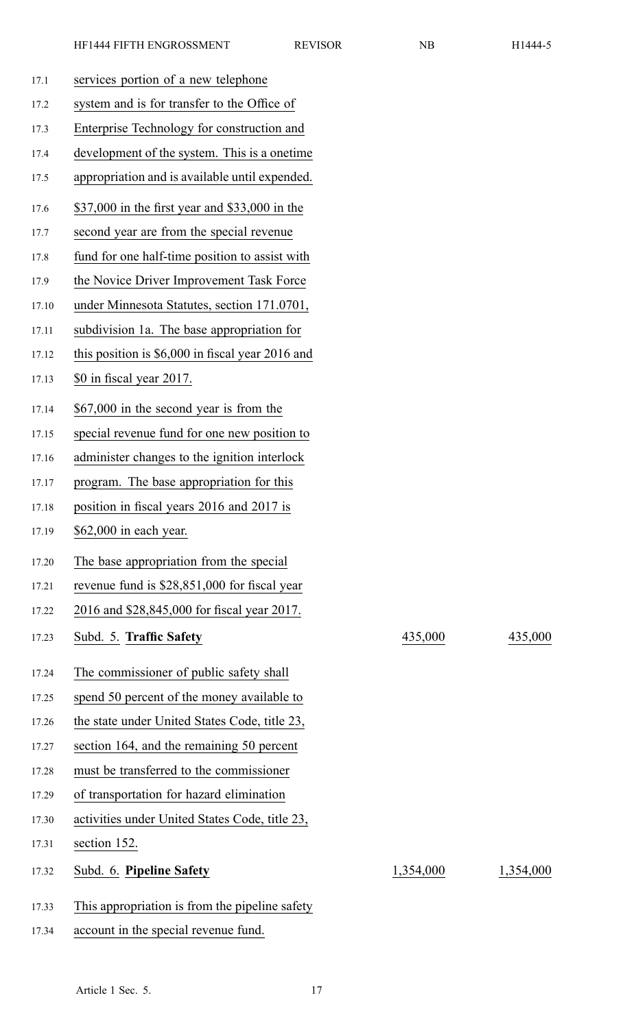| 17.1  | services portion of a new telephone               |           |           |
|-------|---------------------------------------------------|-----------|-----------|
| 17.2  | system and is for transfer to the Office of       |           |           |
| 17.3  | Enterprise Technology for construction and        |           |           |
| 17.4  | development of the system. This is a onetime      |           |           |
| 17.5  | appropriation and is available until expended.    |           |           |
| 17.6  | \$37,000 in the first year and \$33,000 in the    |           |           |
| 17.7  | second year are from the special revenue          |           |           |
| 17.8  | fund for one half-time position to assist with    |           |           |
| 17.9  | the Novice Driver Improvement Task Force          |           |           |
| 17.10 | under Minnesota Statutes, section 171.0701,       |           |           |
| 17.11 | subdivision 1a. The base appropriation for        |           |           |
| 17.12 | this position is $$6,000$ in fiscal year 2016 and |           |           |
| 17.13 | \$0 in fiscal year 2017.                          |           |           |
| 17.14 | \$67,000 in the second year is from the           |           |           |
| 17.15 | special revenue fund for one new position to      |           |           |
| 17.16 | administer changes to the ignition interlock      |           |           |
| 17.17 | program. The base appropriation for this          |           |           |
| 17.18 | position in fiscal years 2016 and 2017 is         |           |           |
| 17.19 | \$62,000 in each year.                            |           |           |
| 17.20 | The base appropriation from the special           |           |           |
| 17.21 | revenue fund is \$28,851,000 for fiscal year      |           |           |
| 17.22 | 2016 and \$28,845,000 for fiscal year 2017.       |           |           |
| 17.23 | Subd. 5. Traffic Safety                           | 435,000   | 435,000   |
| 17.24 | The commissioner of public safety shall           |           |           |
| 17.25 | spend 50 percent of the money available to        |           |           |
| 17.26 | the state under United States Code, title 23,     |           |           |
| 17.27 | section 164, and the remaining 50 percent         |           |           |
| 17.28 | must be transferred to the commissioner           |           |           |
| 17.29 | of transportation for hazard elimination          |           |           |
| 17.30 | activities under United States Code, title 23,    |           |           |
| 17.31 | section 152.                                      |           |           |
| 17.32 | Subd. 6. Pipeline Safety                          | 1,354,000 | 1,354,000 |
| 17.33 | This appropriation is from the pipeline safety    |           |           |
| 17.34 | account in the special revenue fund.              |           |           |
|       |                                                   |           |           |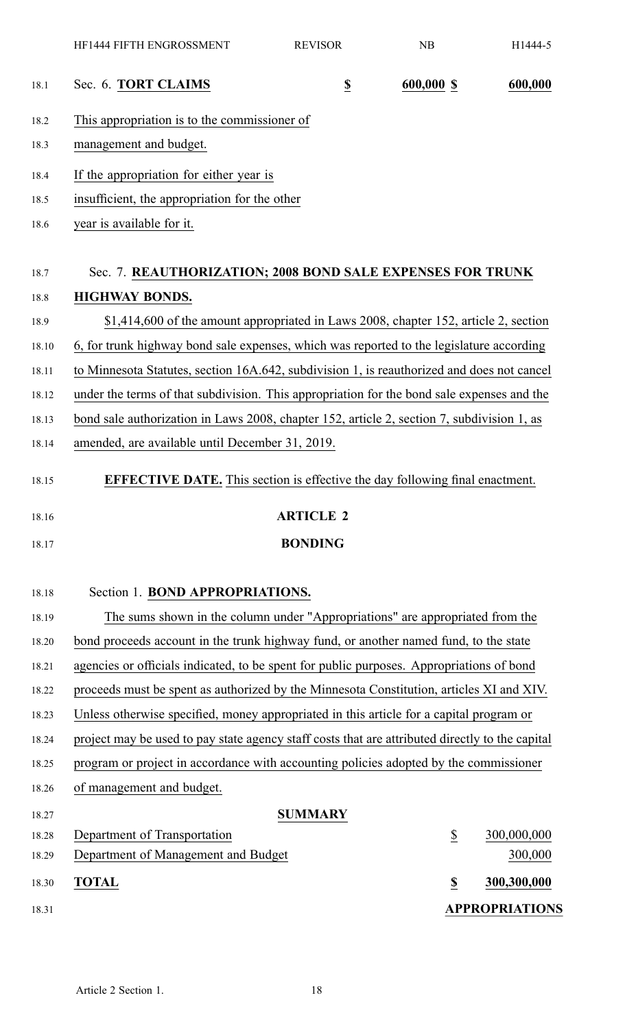|       | HF1444 FIFTH ENGROSSMENT                                                                        | <b>REVISOR</b>           | NB                       | H1444-5               |
|-------|-------------------------------------------------------------------------------------------------|--------------------------|--------------------------|-----------------------|
| 18.1  | Sec. 6. TORT CLAIMS                                                                             | $\underline{\mathbb{S}}$ | 600,000 \$               | 600,000               |
| 18.2  | This appropriation is to the commissioner of                                                    |                          |                          |                       |
| 18.3  | management and budget.                                                                          |                          |                          |                       |
| 18.4  | If the appropriation for either year is                                                         |                          |                          |                       |
| 18.5  | insufficient, the appropriation for the other                                                   |                          |                          |                       |
| 18.6  | year is available for it.                                                                       |                          |                          |                       |
| 18.7  | Sec. 7. REAUTHORIZATION; 2008 BOND SALE EXPENSES FOR TRUNK                                      |                          |                          |                       |
| 18.8  | <b>HIGHWAY BONDS.</b>                                                                           |                          |                          |                       |
| 18.9  | \$1,414,600 of the amount appropriated in Laws 2008, chapter 152, article 2, section            |                          |                          |                       |
| 18.10 | 6, for trunk highway bond sale expenses, which was reported to the legislature according        |                          |                          |                       |
| 18.11 | to Minnesota Statutes, section 16A.642, subdivision 1, is reauthorized and does not cancel      |                          |                          |                       |
| 18.12 | under the terms of that subdivision. This appropriation for the bond sale expenses and the      |                          |                          |                       |
| 18.13 | bond sale authorization in Laws 2008, chapter 152, article 2, section 7, subdivision 1, as      |                          |                          |                       |
| 18.14 | amended, are available until December 31, 2019.                                                 |                          |                          |                       |
| 18.15 | <b>EFFECTIVE DATE.</b> This section is effective the day following final enactment.             |                          |                          |                       |
|       |                                                                                                 |                          |                          |                       |
| 18.16 |                                                                                                 | <b>ARTICLE 2</b>         |                          |                       |
| 18.17 |                                                                                                 | <b>BONDING</b>           |                          |                       |
| 18.18 | Section 1. BOND APPROPRIATIONS.                                                                 |                          |                          |                       |
| 18.19 | The sums shown in the column under "Appropriations" are appropriated from the                   |                          |                          |                       |
| 18.20 | bond proceeds account in the trunk highway fund, or another named fund, to the state            |                          |                          |                       |
| 18.21 | agencies or officials indicated, to be spent for public purposes. Appropriations of bond        |                          |                          |                       |
| 18.22 | proceeds must be spent as authorized by the Minnesota Constitution, articles XI and XIV.        |                          |                          |                       |
| 18.23 | Unless otherwise specified, money appropriated in this article for a capital program or         |                          |                          |                       |
| 18.24 | project may be used to pay state agency staff costs that are attributed directly to the capital |                          |                          |                       |
| 18.25 | program or project in accordance with accounting policies adopted by the commissioner           |                          |                          |                       |
| 18.26 | of management and budget.                                                                       |                          |                          |                       |
| 18.27 |                                                                                                 | <b>SUMMARY</b>           |                          |                       |
| 18.28 | Department of Transportation                                                                    |                          | $\underline{\$}$         | 300,000,000           |
| 18.29 | Department of Management and Budget                                                             |                          |                          | 300,000               |
| 18.30 | <b>TOTAL</b>                                                                                    |                          | $\underline{\mathbb{S}}$ | 300,300,000           |
| 18.31 |                                                                                                 |                          |                          | <b>APPROPRIATIONS</b> |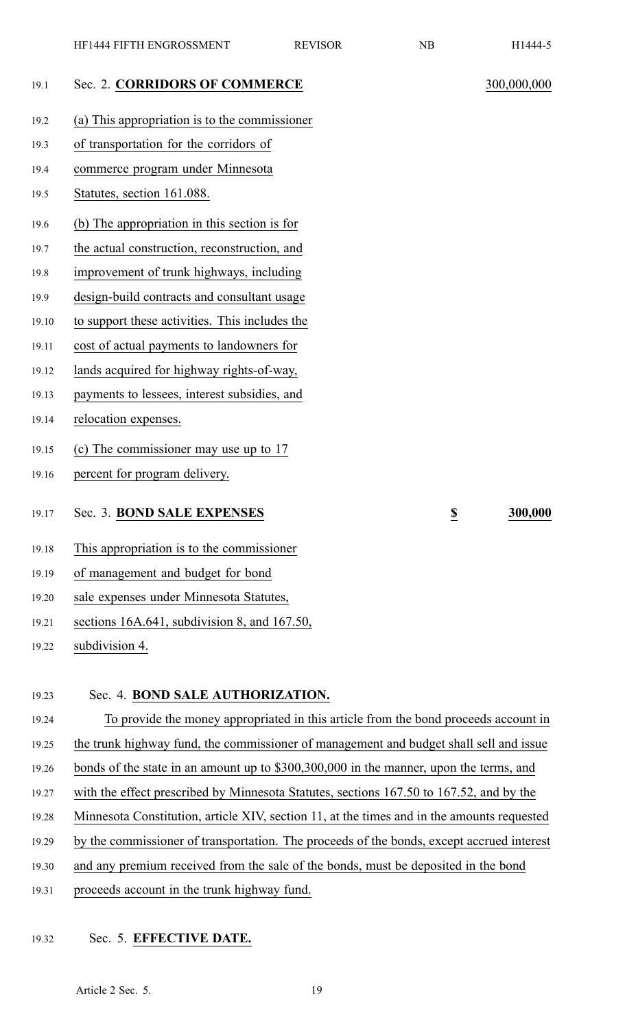| 19.1 | Sec. 2. CORRIDORS OF COMMERCE                 | 300,000,000 |
|------|-----------------------------------------------|-------------|
| 19.2 | (a) This appropriation is to the commissioner |             |
| 19.3 | of transportation for the corridors of        |             |
| 19.4 | commerce program under Minnesota              |             |
| 19.5 | Statutes, section 161.088.                    |             |
|      |                                               |             |

19.6 (b) The appropriation in this section is for

19.7 the actual construction, reconstruction, and

19.8 improvement of trunk highways, including

- 19.9 design-build contracts and consultant usage
- 19.10 to suppor<sup>t</sup> these activities. This includes the
- 19.11 cost of actual payments to landowners for
- 19.12 lands acquired for highway rights-of-way,
- 19.13 payments to lessees, interest subsidies, and
- 19.14 relocation expenses.
- 19.15 (c) The commissioner may use up to 17
- 19.16 percen<sup>t</sup> for program delivery.
- 19.17 Sec. 3. **BOND SALE EXPENSES \$ 300,000**
- 19.18 This appropriation is to the commissioner
- 19.19 of managemen<sup>t</sup> and budget for bond
- 19.20 sale expenses under Minnesota Statutes,
- 19.21 sections 16A.641, subdivision 8, and 167.50,
- 19.22 subdivision 4.

# 19.23 Sec. 4. **BOND SALE AUTHORIZATION.**

19.24 To provide the money appropriated in this article from the bond proceeds account in 19.25 the trunk highway fund, the commissioner of managemen<sup>t</sup> and budget shall sell and issue 19.26 bonds of the state in an amount up to \$300,300,000 in the manner, upon the terms, and 19.27 with the effect prescribed by Minnesota Statutes, sections 167.50 to 167.52, and by the 19.28 Minnesota Constitution, article XIV, section 11, at the times and in the amounts requested 19.29 by the commissioner of transportation. The proceeds of the bonds, excep<sup>t</sup> accrued interest 19.30 and any premium received from the sale of the bonds, must be deposited in the bond 19.31 proceeds account in the trunk highway fund.

# 19.32 Sec. 5. **EFFECTIVE DATE.**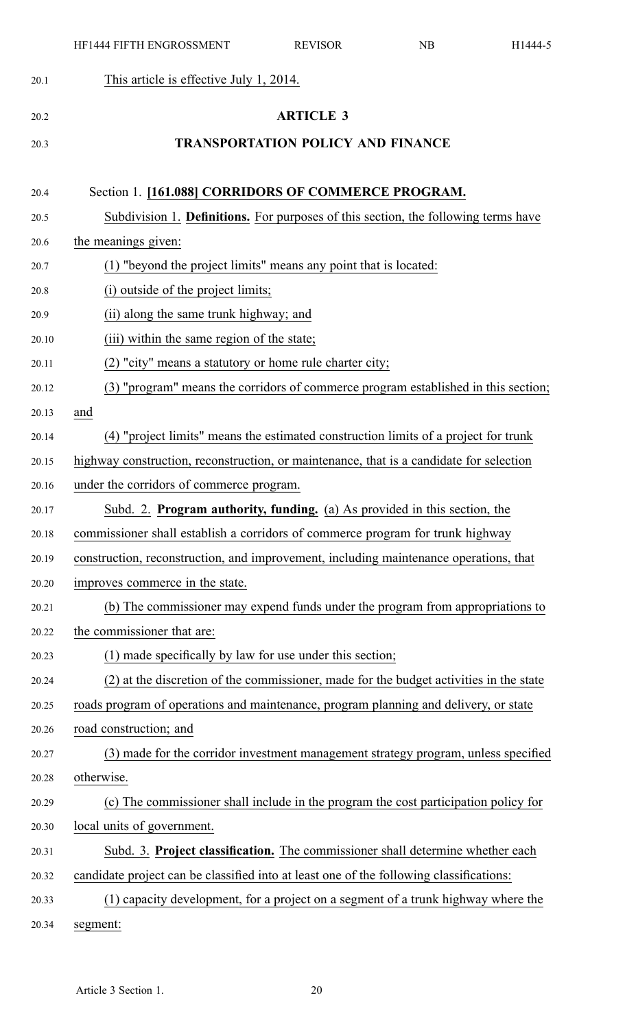|       | HF1444 FIFTH ENGROSSMENT                                                                | <b>REVISOR</b>                           | NB | H1444-5 |
|-------|-----------------------------------------------------------------------------------------|------------------------------------------|----|---------|
| 20.1  | This article is effective July 1, 2014.                                                 |                                          |    |         |
| 20.2  |                                                                                         | <b>ARTICLE 3</b>                         |    |         |
| 20.3  |                                                                                         | <b>TRANSPORTATION POLICY AND FINANCE</b> |    |         |
|       |                                                                                         |                                          |    |         |
| 20.4  | Section 1. [161.088] CORRIDORS OF COMMERCE PROGRAM.                                     |                                          |    |         |
| 20.5  | Subdivision 1. Definitions. For purposes of this section, the following terms have      |                                          |    |         |
| 20.6  | the meanings given:                                                                     |                                          |    |         |
| 20.7  | (1) "beyond the project limits" means any point that is located:                        |                                          |    |         |
| 20.8  | (i) outside of the project limits;                                                      |                                          |    |         |
| 20.9  | (ii) along the same trunk highway; and                                                  |                                          |    |         |
| 20.10 | (iii) within the same region of the state;                                              |                                          |    |         |
| 20.11 | (2) "city" means a statutory or home rule charter city;                                 |                                          |    |         |
| 20.12 | (3) "program" means the corridors of commerce program established in this section;      |                                          |    |         |
| 20.13 | and                                                                                     |                                          |    |         |
| 20.14 | (4) "project limits" means the estimated construction limits of a project for trunk     |                                          |    |         |
| 20.15 | highway construction, reconstruction, or maintenance, that is a candidate for selection |                                          |    |         |
| 20.16 | under the corridors of commerce program.                                                |                                          |    |         |
| 20.17 | Subd. 2. Program authority, funding. (a) As provided in this section, the               |                                          |    |         |
| 20.18 | commissioner shall establish a corridors of commerce program for trunk highway          |                                          |    |         |
| 20.19 | construction, reconstruction, and improvement, including maintenance operations, that   |                                          |    |         |
| 20.20 | improves commerce in the state.                                                         |                                          |    |         |
| 20.21 | (b) The commissioner may expend funds under the program from appropriations to          |                                          |    |         |
| 20.22 | the commissioner that are:                                                              |                                          |    |         |
| 20.23 | (1) made specifically by law for use under this section;                                |                                          |    |         |
| 20.24 | (2) at the discretion of the commissioner, made for the budget activities in the state  |                                          |    |         |
| 20.25 | roads program of operations and maintenance, program planning and delivery, or state    |                                          |    |         |
| 20.26 | road construction; and                                                                  |                                          |    |         |
| 20.27 | (3) made for the corridor investment management strategy program, unless specified      |                                          |    |         |
| 20.28 | otherwise.                                                                              |                                          |    |         |
| 20.29 | (c) The commissioner shall include in the program the cost participation policy for     |                                          |    |         |
| 20.30 | local units of government.                                                              |                                          |    |         |
| 20.31 | Subd. 3. Project classification. The commissioner shall determine whether each          |                                          |    |         |
| 20.32 | candidate project can be classified into at least one of the following classifications: |                                          |    |         |
| 20.33 | (1) capacity development, for a project on a segment of a trunk highway where the       |                                          |    |         |
| 20.34 | segment:                                                                                |                                          |    |         |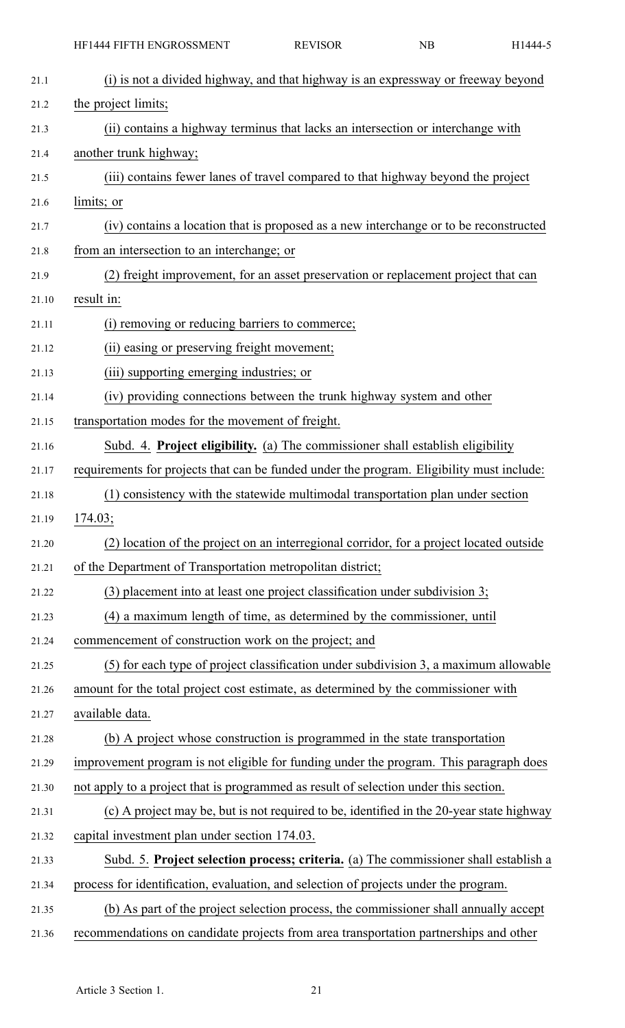| 21.1  | (i) is not a divided highway, and that highway is an expressway or freeway beyond         |
|-------|-------------------------------------------------------------------------------------------|
| 21.2  | the project limits;                                                                       |
| 21.3  | (ii) contains a highway terminus that lacks an intersection or interchange with           |
| 21.4  | another trunk highway;                                                                    |
| 21.5  | (iii) contains fewer lanes of travel compared to that highway beyond the project          |
| 21.6  | limits; or                                                                                |
| 21.7  | (iv) contains a location that is proposed as a new interchange or to be reconstructed     |
| 21.8  | from an intersection to an interchange; or                                                |
| 21.9  | (2) freight improvement, for an asset preservation or replacement project that can        |
| 21.10 | result in:                                                                                |
| 21.11 | (i) removing or reducing barriers to commerce;                                            |
| 21.12 | (ii) easing or preserving freight movement;                                               |
| 21.13 | (iii) supporting emerging industries; or                                                  |
| 21.14 | (iv) providing connections between the trunk highway system and other                     |
| 21.15 | transportation modes for the movement of freight.                                         |
| 21.16 | Subd. 4. Project eligibility. (a) The commissioner shall establish eligibility            |
| 21.17 | requirements for projects that can be funded under the program. Eligibility must include: |
| 21.18 | (1) consistency with the statewide multimodal transportation plan under section           |
| 21.19 | 174.03;                                                                                   |
| 21.20 | (2) location of the project on an interregional corridor, for a project located outside   |
| 21.21 | of the Department of Transportation metropolitan district;                                |
| 21.22 | (3) placement into at least one project classification under subdivision 3;               |
| 21.23 | (4) a maximum length of time, as determined by the commissioner, until                    |
| 21.24 | commencement of construction work on the project; and                                     |
| 21.25 | (5) for each type of project classification under subdivision 3, a maximum allowable      |
| 21.26 | amount for the total project cost estimate, as determined by the commissioner with        |
| 21.27 | available data.                                                                           |
| 21.28 | (b) A project whose construction is programmed in the state transportation                |
| 21.29 | improvement program is not eligible for funding under the program. This paragraph does    |
| 21.30 | not apply to a project that is programmed as result of selection under this section.      |
| 21.31 | (c) A project may be, but is not required to be, identified in the 20-year state highway  |
| 21.32 | capital investment plan under section 174.03.                                             |
| 21.33 | Subd. 5. Project selection process; criteria. (a) The commissioner shall establish a      |
| 21.34 | process for identification, evaluation, and selection of projects under the program.      |
| 21.35 | (b) As part of the project selection process, the commissioner shall annually accept      |
| 21.36 | recommendations on candidate projects from area transportation partnerships and other     |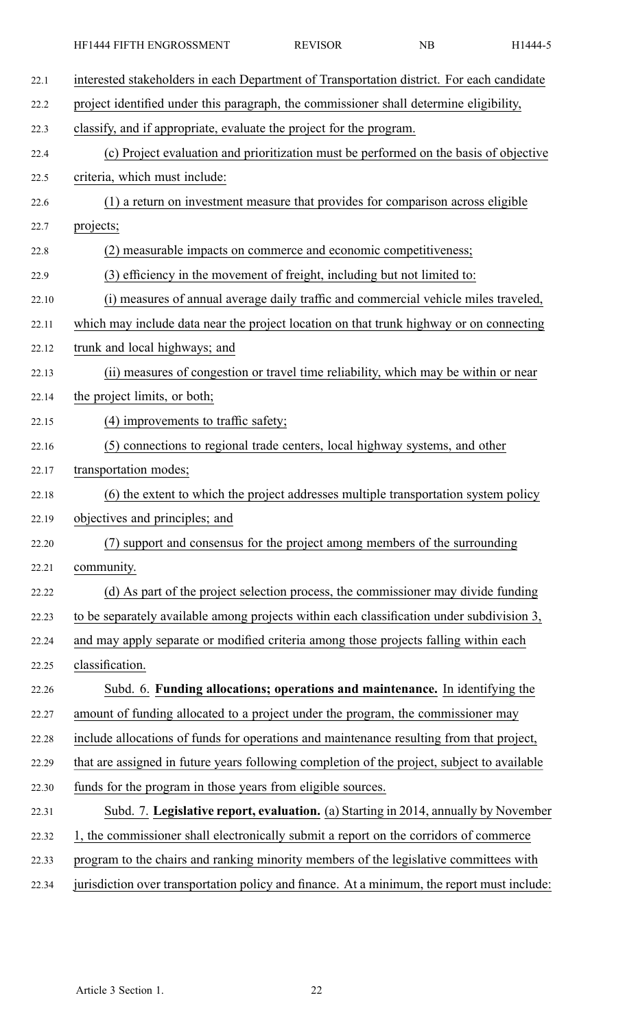| 22.1  | interested stakeholders in each Department of Transportation district. For each candidate   |
|-------|---------------------------------------------------------------------------------------------|
| 22.2  | project identified under this paragraph, the commissioner shall determine eligibility,      |
| 22.3  | classify, and if appropriate, evaluate the project for the program.                         |
| 22.4  | (c) Project evaluation and prioritization must be performed on the basis of objective       |
| 22.5  | criteria, which must include:                                                               |
| 22.6  | (1) a return on investment measure that provides for comparison across eligible             |
| 22.7  | projects;                                                                                   |
| 22.8  | (2) measurable impacts on commerce and economic competitiveness;                            |
| 22.9  | (3) efficiency in the movement of freight, including but not limited to:                    |
| 22.10 | (i) measures of annual average daily traffic and commercial vehicle miles traveled,         |
| 22.11 | which may include data near the project location on that trunk highway or on connecting     |
| 22.12 | trunk and local highways; and                                                               |
| 22.13 | (ii) measures of congestion or travel time reliability, which may be within or near         |
| 22.14 | the project limits, or both;                                                                |
| 22.15 | $(4)$ improvements to traffic safety;                                                       |
| 22.16 | (5) connections to regional trade centers, local highway systems, and other                 |
| 22.17 | transportation modes;                                                                       |
| 22.18 | (6) the extent to which the project addresses multiple transportation system policy         |
| 22.19 | objectives and principles; and                                                              |
| 22.20 | (7) support and consensus for the project among members of the surrounding                  |
| 22.21 | community.                                                                                  |
| 22.22 | (d) As part of the project selection process, the commissioner may divide funding           |
| 22.23 | to be separately available among projects within each classification under subdivision 3,   |
| 22.24 | and may apply separate or modified criteria among those projects falling within each        |
| 22.25 | classification.                                                                             |
| 22.26 | Subd. 6. Funding allocations; operations and maintenance. In identifying the                |
| 22.27 | amount of funding allocated to a project under the program, the commissioner may            |
| 22.28 | include allocations of funds for operations and maintenance resulting from that project,    |
| 22.29 | that are assigned in future years following completion of the project, subject to available |
| 22.30 | funds for the program in those years from eligible sources.                                 |
| 22.31 | Subd. 7. Legislative report, evaluation. (a) Starting in 2014, annually by November         |
| 22.32 | 1, the commissioner shall electronically submit a report on the corridors of commerce       |
| 22.33 | program to the chairs and ranking minority members of the legislative committees with       |
| 22.34 | jurisdiction over transportation policy and finance. At a minimum, the report must include: |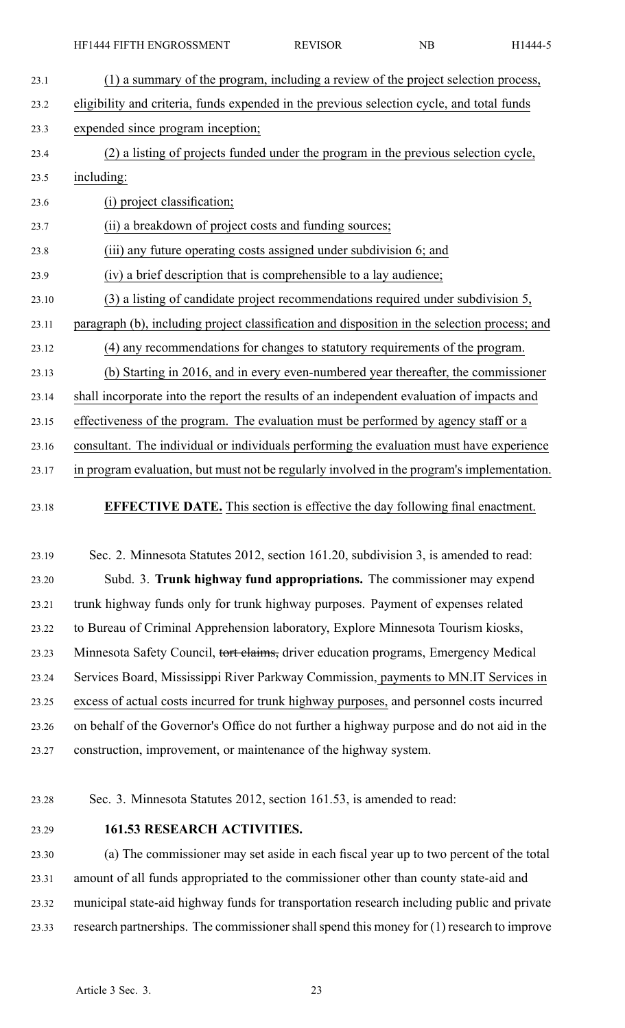- 23.1 (1) <sup>a</sup> summary of the program, including <sup>a</sup> review of the project selection process, 23.2 eligibility and criteria, funds expended in the previous selection cycle, and total funds 23.3 expended since program inception; 23.4 (2) <sup>a</sup> listing of projects funded under the program in the previous selection cycle, 23.5 including: 23.6 (i) project classification; 23.7 (ii) <sup>a</sup> breakdown of project costs and funding sources; 23.8 (iii) any future operating costs assigned under subdivision 6; and 23.9 (iv) <sup>a</sup> brief description that is comprehensible to <sup>a</sup> lay audience; 23.10 (3) <sup>a</sup> listing of candidate project recommendations required under subdivision 5, 23.11 paragraph (b), including project classification and disposition in the selection process; and 23.12 (4) any recommendations for changes to statutory requirements of the program. 23.13 (b) Starting in 2016, and in every even-numbered year thereafter, the commissioner 23.14 shall incorporate into the repor<sup>t</sup> the results of an independent evaluation of impacts and 23.15 effectiveness of the program. The evaluation must be performed by agency staff or <sup>a</sup> 23.16 consultant. The individual or individuals performing the evaluation must have experience 23.17 in program evaluation, but must not be regularly involved in the program's implementation.
- 23.18 **EFFECTIVE DATE.** This section is effective the day following final enactment.
- 23.19 Sec. 2. Minnesota Statutes 2012, section 161.20, subdivision 3, is amended to read: 23.20 Subd. 3. **Trunk highway fund appropriations.** The commissioner may expend 23.21 trunk highway funds only for trunk highway purposes. Payment of expenses related 23.22 to Bureau of Criminal Apprehension laboratory, Explore Minnesota Tourism kiosks, 23.23 Minnesota Safety Council, tort claims, driver education programs, Emergency Medical 23.24 Services Board, Mississippi River Parkway Commission, payments to MN.IT Services in 23.25 excess of actual costs incurred for trunk highway purposes, and personnel costs incurred 23.26 on behalf of the Governor's Office do not further <sup>a</sup> highway purpose and do not aid in the 23.27 construction, improvement, or maintenance of the highway system.
- 

23.28 Sec. 3. Minnesota Statutes 2012, section 161.53, is amended to read:

# 23.29 **161.53 RESEARCH ACTIVITIES.**

23.30 (a) The commissioner may set aside in each fiscal year up to two percen<sup>t</sup> of the total 23.31 amount of all funds appropriated to the commissioner other than county state-aid and 23.32 municipal state-aid highway funds for transportation research including public and private 23.33 research partnerships. The commissioner shall spend this money for (1) research to improve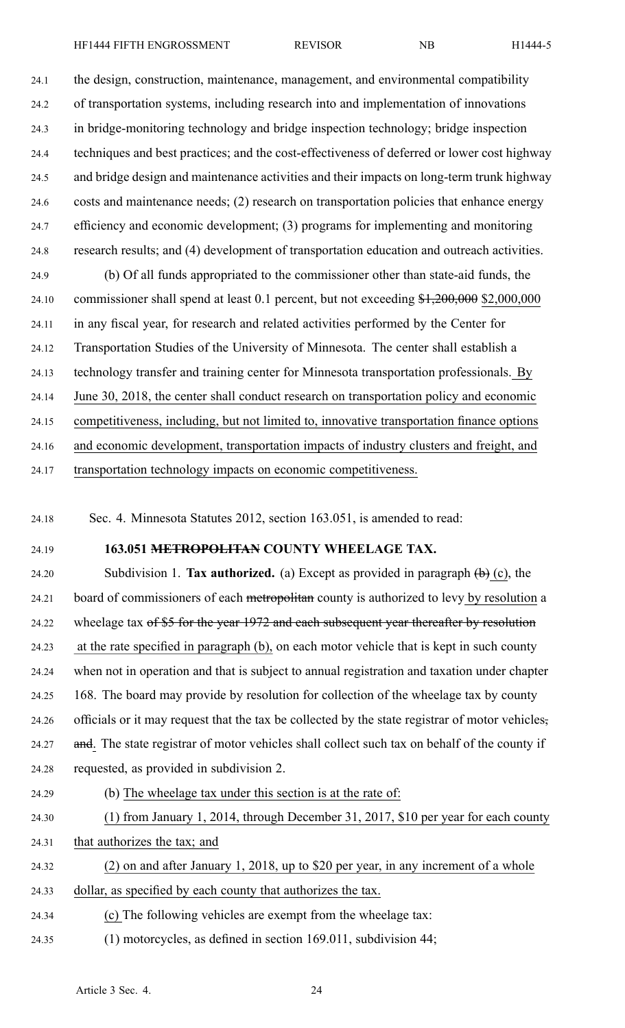24.1 the design, construction, maintenance, management, and environmental compatibility 24.2 of transportation systems, including research into and implementation of innovations 24.3 in bridge-monitoring technology and bridge inspection technology; bridge inspection 24.4 techniques and best practices; and the cost-effectiveness of deferred or lower cost highway 24.5 and bridge design and maintenance activities and their impacts on long-term trunk highway 24.6 costs and maintenance needs; (2) research on transportation policies that enhance energy 24.7 efficiency and economic development; (3) programs for implementing and monitoring 24.8 research results; and (4) development of transportation education and outreach activities. 24.9 (b) Of all funds appropriated to the commissioner other than state-aid funds, the 24.10 commissioner shall spend at least 0.1 percent, but not exceeding \$1,200,000 \$2,000,000 24.11 in any fiscal year, for research and related activities performed by the Center for 24.12 Transportation Studies of the University of Minnesota. The center shall establish <sup>a</sup> 24.13 technology transfer and training center for Minnesota transportation professionals. By 24.14 June 30, 2018, the center shall conduct research on transportation policy and economic 24.15 competitiveness, including, but not limited to, innovative transportation finance options 24.16 and economic development, transportation impacts of industry clusters and freight, and

24.17 transportation technology impacts on economic competitiveness.

24.18 Sec. 4. Minnesota Statutes 2012, section 163.051, is amended to read:

# 24.19 **163.051 METROPOLITAN COUNTY WHEELAGE TAX.**

24.20 Subdivision 1. **Tax authorized.** (a) Except as provided in paragraph (b) (c), the 24.21 board of commissioners of each metropolitan county is authorized to levy by resolution a 24.22 wheelage tax of \$5 for the year 1972 and each subsequent year thereafter by resolution 24.23 at the rate specified in paragraph (b), on each motor vehicle that is kept in such county 24.24 when not in operation and that is subject to annual registration and taxation under chapter 24.25 168. The board may provide by resolution for collection of the wheelage tax by county 24.26 officials or it may reques<sup>t</sup> that the tax be collected by the state registrar of motor vehicles, 24.27 and. The state registrar of motor vehicles shall collect such tax on behalf of the county if 24.28 requested, as provided in subdivision 2.

24.29 (b) The wheelage tax under this section is at the rate of:

- 24.30 (1) from January 1, 2014, through December 31, 2017, \$10 per year for each county 24.31 that authorizes the tax; and
- - 24.32 (2) on and after January 1, 2018, up to \$20 per year, in any increment of <sup>a</sup> whole 24.33 dollar, as specified by each county that authorizes the tax.
	- 24.34 (c) The following vehicles are exemp<sup>t</sup> from the wheelage tax:
	- 24.35 (1) motorcycles, as defined in section 169.011, subdivision 44;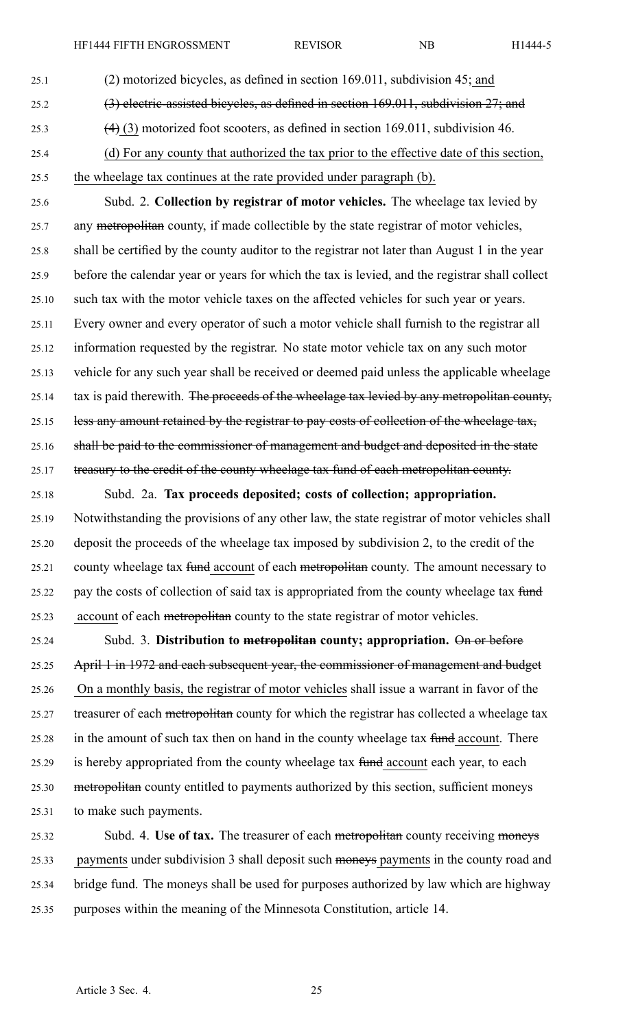- 25.1 (2) motorized bicycles, as defined in section 169.011, subdivision 45; and 25.2 (3) electric-assisted bicycles, as defined in section 169.011, subdivision 27; and 25.3 (4) (3) motorized foot scooters, as defined in section 169.011, subdivision 46. 25.4 (d) For any county that authorized the tax prior to the effective date of this section,
- 25.5 the wheelage tax continues at the rate provided under paragraph (b).

25.6 Subd. 2. **Collection by registrar of motor vehicles.** The wheelage tax levied by 25.7 any metropolitan county, if made collectible by the state registrar of motor vehicles, 25.8 shall be certified by the county auditor to the registrar not later than August 1 in the year 25.9 before the calendar year or years for which the tax is levied, and the registrar shall collect 25.10 such tax with the motor vehicle taxes on the affected vehicles for such year or years. 25.11 Every owner and every operator of such <sup>a</sup> motor vehicle shall furnish to the registrar all 25.12 information requested by the registrar. No state motor vehicle tax on any such motor 25.13 vehicle for any such year shall be received or deemed paid unless the applicable wheelage 25.14 tax is paid therewith. The proceeds of the wheelage tax levied by any metropolitan county, 25.15 less any amount retained by the registrar to pay costs of collection of the wheelage tax, 25.16 shall be paid to the commissioner of managemen<sup>t</sup> and budget and deposited in the state 25.17 treasury to the credit of the county wheelage tax fund of each metropolitan county.

25.18 Subd. 2a. **Tax proceeds deposited; costs of collection; appropriation.** 25.19 Notwithstanding the provisions of any other law, the state registrar of motor vehicles shall 25.20 deposit the proceeds of the wheelage tax imposed by subdivision 2, to the credit of the 25.21 county wheelage tax fund account of each metropolitan county. The amount necessary to 25.22 pay the costs of collection of said tax is appropriated from the county wheelage tax fund 25.23 account of each metropolitan county to the state registrar of motor vehicles.

25.24 Subd. 3. **Distribution to metropolitan county; appropriation.** On or before 25.25 April 1 in 1972 and each subsequent year, the commissioner of managemen<sup>t</sup> and budget 25.26 On <sup>a</sup> monthly basis, the registrar of motor vehicles shall issue <sup>a</sup> warrant in favor of the 25.27 treasurer of each metropolitan county for which the registrar has collected a wheelage tax 25.28 in the amount of such tax then on hand in the county wheelage tax fund account. There 25.29 is hereby appropriated from the county wheelage tax fund account each year, to each 25.30 metropolitan county entitled to payments authorized by this section, sufficient moneys 25.31 to make such payments.

25.32 Subd. 4. **Use of tax.** The treasurer of each metropolitan county receiving moneys 25.33 payments under subdivision 3 shall deposit such moneys payments in the county road and 25.34 bridge fund. The moneys shall be used for purposes authorized by law which are highway 25.35 purposes within the meaning of the Minnesota Constitution, article 14.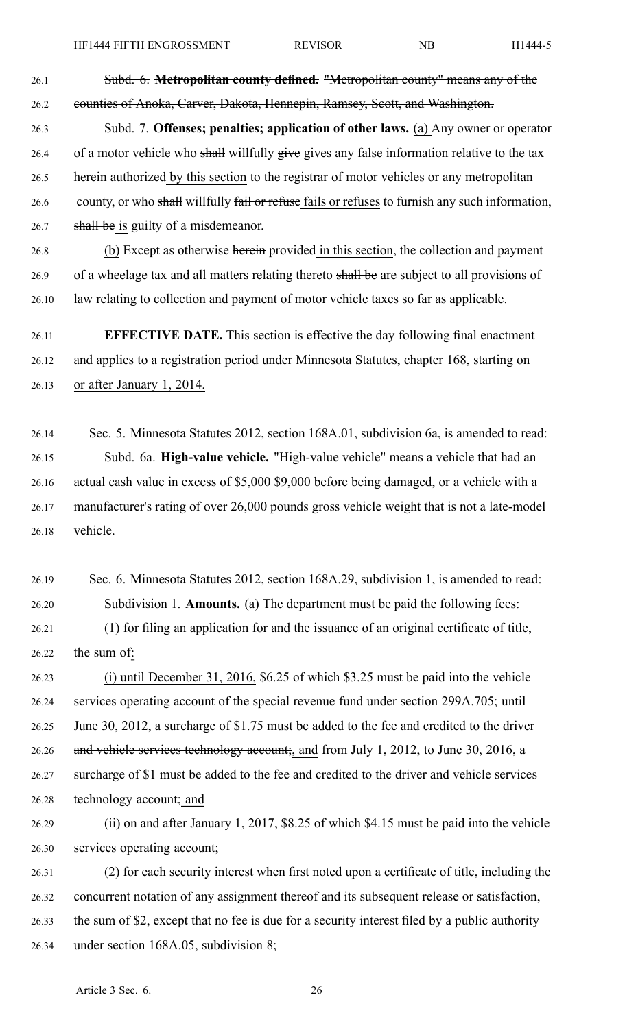26.1 Subd. 6. **Metropolitan county defined.** "Metropolitan county" means any of the 26.2 counties of Anoka, Carver, Dakota, Hennepin, Ramsey, Scott, and Washington.

26.3 Subd. 7. **Offenses; penalties; application of other laws.** (a) Any owner or operator 26.4 of a motor vehicle who shall willfully give gives any false information relative to the tax 26.5 herein authorized by this section to the registrar of motor vehicles or any metropolitan 26.6 county, or who shall willfully fail or refuse fails or refuses to furnish any such information, 26.7 shall be is guilty of a misdemeanor.

26.8 (b) Except as otherwise herein provided in this section, the collection and paymen<sup>t</sup> 26.9 of a wheelage tax and all matters relating thereto shall be are subject to all provisions of 26.10 law relating to collection and paymen<sup>t</sup> of motor vehicle taxes so far as applicable.

# 26.11 **EFFECTIVE DATE.** This section is effective the day following final enactment 26.12 and applies to <sup>a</sup> registration period under Minnesota Statutes, chapter 168, starting on 26.13 or after January 1, 2014.

26.14 Sec. 5. Minnesota Statutes 2012, section 168A.01, subdivision 6a, is amended to read: 26.15 Subd. 6a. **High-value vehicle.** "High-value vehicle" means <sup>a</sup> vehicle that had an 26.16 actual cash value in excess of \$5,000 \$9,000 before being damaged, or a vehicle with a 26.17 manufacturer's rating of over 26,000 pounds gross vehicle weight that is not <sup>a</sup> late-model 26.18 vehicle.

26.19 Sec. 6. Minnesota Statutes 2012, section 168A.29, subdivision 1, is amended to read: 26.20 Subdivision 1. **Amounts.** (a) The department must be paid the following fees: 26.21 (1) for filing an application for and the issuance of an original certificate of title,

26.22 the sum of:

26.23 (i) until December 31, 2016, \$6.25 of which \$3.25 must be paid into the vehicle 26.24 services operating account of the special revenue fund under section 299A.705; until 26.25 June 30, 2012, a surcharge of \$1.75 must be added to the fee and credited to the driver 26.26 and vehicle services technology account;, and from July 1, 2012, to June 30, 2016, a 26.27 surcharge of \$1 must be added to the fee and credited to the driver and vehicle services 26.28 technology account; and

26.29 (ii) on and after January 1, 2017, \$8.25 of which \$4.15 must be paid into the vehicle 26.30 services operating account;

26.31 (2) for each security interest when first noted upon <sup>a</sup> certificate of title, including the 26.32 concurrent notation of any assignment thereof and its subsequent release or satisfaction, 26.33 the sum of \$2, excep<sup>t</sup> that no fee is due for <sup>a</sup> security interest filed by <sup>a</sup> public authority 26.34 under section 168A.05, subdivision 8;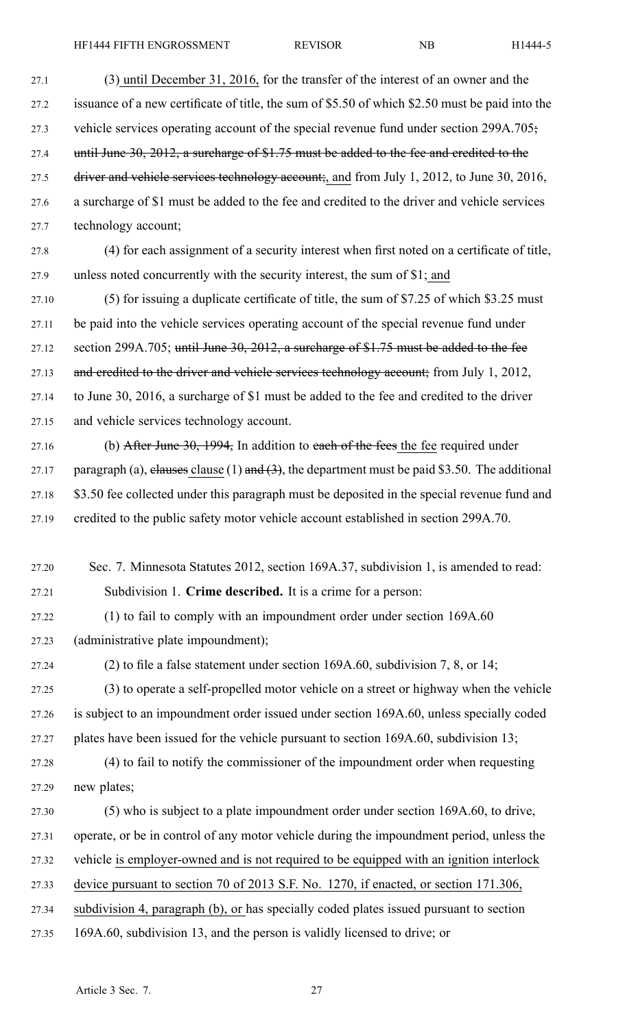27.1 (3) until December 31, 2016, for the transfer of the interest of an owner and the 27.2 issuance of <sup>a</sup> new certificate of title, the sum of \$5.50 of which \$2.50 must be paid into the 27.3 vehicle services operating account of the special revenue fund under section 299A.705; 27.4 until June 30, 2012, a surcharge of \$1.75 must be added to the fee and credited to the 27.5 driver and vehicle services technology account;, and from July 1, 2012, to June 30, 2016, 27.6 <sup>a</sup> surcharge of \$1 must be added to the fee and credited to the driver and vehicle services 27.7 technology account;

27.8 (4) for each assignment of <sup>a</sup> security interest when first noted on <sup>a</sup> certificate of title, 27.9 unless noted concurrently with the security interest, the sum of \$1; and

27.10 (5) for issuing <sup>a</sup> duplicate certificate of title, the sum of \$7.25 of which \$3.25 must 27.11 be paid into the vehicle services operating account of the special revenue fund under 27.12 section 299A.705; until June 30, 2012, a surcharge of \$1.75 must be added to the fee 27.13 and credited to the driver and vehicle services technology account; from July 1, 2012, 27.14 to June 30, 2016, <sup>a</sup> surcharge of \$1 must be added to the fee and credited to the driver 27.15 and vehicle services technology account.

- 27.16 (b) After June  $30, 1994$ , In addition to each of the fees the fee required under 27.17 paragraph (a), elauses clause (1) and  $(3)$ , the department must be paid \$3.50. The additional 27.18 \$3.50 fee collected under this paragraph must be deposited in the special revenue fund and 27.19 credited to the public safety motor vehicle account established in section 299A.70.
- 27.20 Sec. 7. Minnesota Statutes 2012, section 169A.37, subdivision 1, is amended to read: 27.21 Subdivision 1. **Crime described.** It is <sup>a</sup> crime for <sup>a</sup> person:
- 27.22 (1) to fail to comply with an impoundment order under section 169A.60 27.23 (administrative plate impoundment);
- 

27.24 (2) to file <sup>a</sup> false statement under section 169A.60, subdivision 7, 8, or 14;

- 27.25 (3) to operate <sup>a</sup> self-propelled motor vehicle on <sup>a</sup> street or highway when the vehicle 27.26 is subject to an impoundment order issued under section 169A.60, unless specially coded 27.27 plates have been issued for the vehicle pursuan<sup>t</sup> to section 169A.60, subdivision 13;
- 27.28 (4) to fail to notify the commissioner of the impoundment order when requesting 27.29 new plates;
- 27.30 (5) who is subject to <sup>a</sup> plate impoundment order under section 169A.60, to drive,
- 27.31 operate, or be in control of any motor vehicle during the impoundment period, unless the
- 27.32 vehicle is employer-owned and is not required to be equipped with an ignition interlock
- 27.33 device pursuan<sup>t</sup> to section 70 of 2013 S.F. No. 1270, if enacted, or section 171.306,
- 27.34 subdivision 4, paragraph (b), or has specially coded plates issued pursuan<sup>t</sup> to section
- 27.35 169A.60, subdivision 13, and the person is validly licensed to drive; or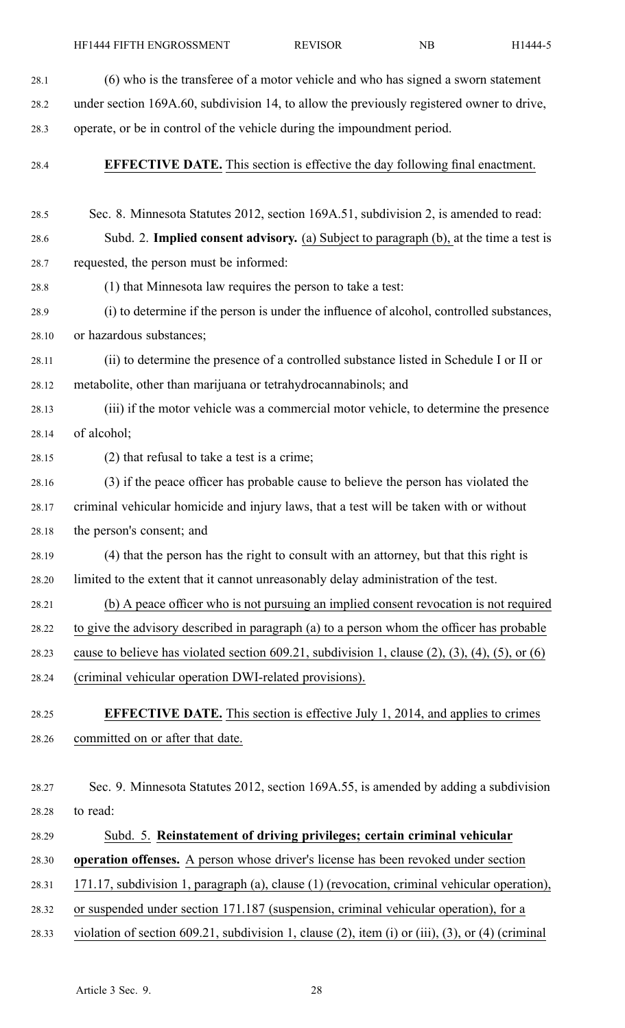28.1 (6) who is the transferee of <sup>a</sup> motor vehicle and who has signed <sup>a</sup> sworn statement 28.2 under section 169A.60, subdivision 14, to allow the previously registered owner to drive, 28.3 operate, or be in control of the vehicle during the impoundment period. 28.4 **EFFECTIVE DATE.** This section is effective the day following final enactment. 28.5 Sec. 8. Minnesota Statutes 2012, section 169A.51, subdivision 2, is amended to read: 28.6 Subd. 2. **Implied consent advisory.** (a) Subject to paragraph (b), at the time <sup>a</sup> test is 28.7 requested, the person must be informed: 28.8 (1) that Minnesota law requires the person to take <sup>a</sup> test: 28.9 (i) to determine if the person is under the influence of alcohol, controlled substances, 28.10 or hazardous substances; 28.11 (ii) to determine the presence of <sup>a</sup> controlled substance listed in Schedule I or II or 28.12 metabolite, other than marijuana or tetrahydrocannabinols; and 28.13 (iii) if the motor vehicle was <sup>a</sup> commercial motor vehicle, to determine the presence 28.14 of alcohol; 28.15 (2) that refusal to take <sup>a</sup> test is <sup>a</sup> crime; 28.16 (3) if the peace officer has probable cause to believe the person has violated the 28.17 criminal vehicular homicide and injury laws, that <sup>a</sup> test will be taken with or without 28.18 the person's consent; and 28.19 (4) that the person has the right to consult with an attorney, but that this right is 28.20 limited to the extent that it cannot unreasonably delay administration of the test. 28.21 (b) A peace officer who is not pursuing an implied consent revocation is not required 28.22 to give the advisory described in paragraph (a) to <sup>a</sup> person whom the officer has probable 28.23 cause to believe has violated section 609.21, subdivision 1, clause  $(2)$ ,  $(3)$ ,  $(4)$ ,  $(5)$ , or  $(6)$ 28.24 (criminal vehicular operation DWI-related provisions). 28.25 **EFFECTIVE DATE.** This section is effective July 1, 2014, and applies to crimes 28.26 committed on or after that date. 28.27 Sec. 9. Minnesota Statutes 2012, section 169A.55, is amended by adding <sup>a</sup> subdivision 28.28 to read: 28.29 Subd. 5. **Reinstatement of driving privileges; certain criminal vehicular** 28.30 **operation offenses.** A person whose driver's license has been revoked under section 28.31 171.17, subdivision 1, paragraph (a), clause (1) (revocation, criminal vehicular operation), 28.32 or suspended under section 171.187 (suspension, criminal vehicular operation), for <sup>a</sup> 28.33 violation of section 609.21, subdivision 1, clause (2), item (i) or (iii), (3), or (4) (criminal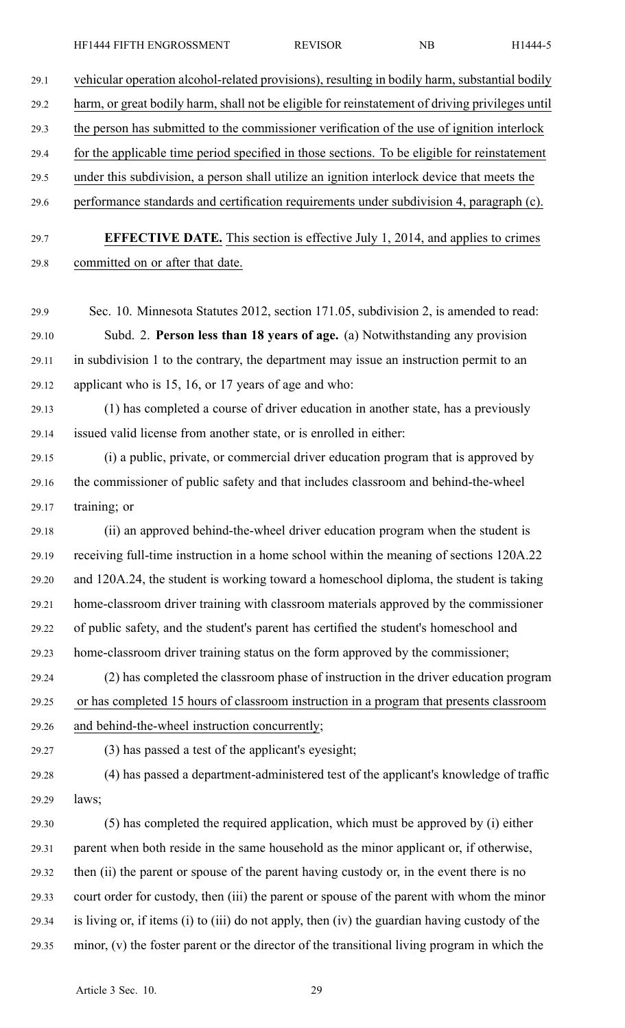| 29.1  | vehicular operation alcohol-related provisions), resulting in bodily harm, substantial bodily   |
|-------|-------------------------------------------------------------------------------------------------|
| 29.2  | harm, or great bodily harm, shall not be eligible for reinstatement of driving privileges until |
| 29.3  | the person has submitted to the commissioner verification of the use of ignition interlock      |
| 29.4  | for the applicable time period specified in those sections. To be eligible for reinstatement    |
| 29.5  | under this subdivision, a person shall utilize an ignition interlock device that meets the      |
| 29.6  | performance standards and certification requirements under subdivision 4, paragraph (c).        |
| 29.7  | <b>EFFECTIVE DATE.</b> This section is effective July 1, 2014, and applies to crimes            |
| 29.8  | committed on or after that date.                                                                |
| 29.9  | Sec. 10. Minnesota Statutes 2012, section 171.05, subdivision 2, is amended to read:            |
| 29.10 | Subd. 2. Person less than 18 years of age. (a) Notwithstanding any provision                    |
| 29.11 | in subdivision 1 to the contrary, the department may issue an instruction permit to an          |
| 29.12 | applicant who is 15, 16, or 17 years of age and who:                                            |
| 29.13 | (1) has completed a course of driver education in another state, has a previously               |
| 29.14 | issued valid license from another state, or is enrolled in either:                              |
| 29.15 | (i) a public, private, or commercial driver education program that is approved by               |
| 29.16 | the commissioner of public safety and that includes classroom and behind-the-wheel              |
| 29.17 | training; or                                                                                    |
| 29.18 | (ii) an approved behind-the-wheel driver education program when the student is                  |
| 29.19 | receiving full-time instruction in a home school within the meaning of sections 120A.22         |
| 29.20 | and 120A.24, the student is working toward a homeschool diploma, the student is taking          |
| 29.21 | home-classroom driver training with classroom materials approved by the commissioner            |
| 29.22 | of public safety, and the student's parent has certified the student's homeschool and           |
| 29.23 | home-classroom driver training status on the form approved by the commissioner;                 |
| 29.24 | (2) has completed the classroom phase of instruction in the driver education program            |
| 29.25 | or has completed 15 hours of classroom instruction in a program that presents classroom         |
| 29.26 | and behind-the-wheel instruction concurrently;                                                  |
| 29.27 | (3) has passed a test of the applicant's eyesight;                                              |
| 29.28 | (4) has passed a department-administered test of the applicant's knowledge of traffic           |
| 29.29 | laws;                                                                                           |
| 29.30 | (5) has completed the required application, which must be approved by (i) either                |
| 29.31 | parent when both reside in the same household as the minor applicant or, if otherwise,          |
| 29.32 | then (ii) the parent or spouse of the parent having custody or, in the event there is no        |
|       |                                                                                                 |

29.34 is living or, if items (i) to (iii) do not apply, then (iv) the guardian having custody of the

29.33 court order for custody, then (iii) the paren<sup>t</sup> or spouse of the paren<sup>t</sup> with whom the minor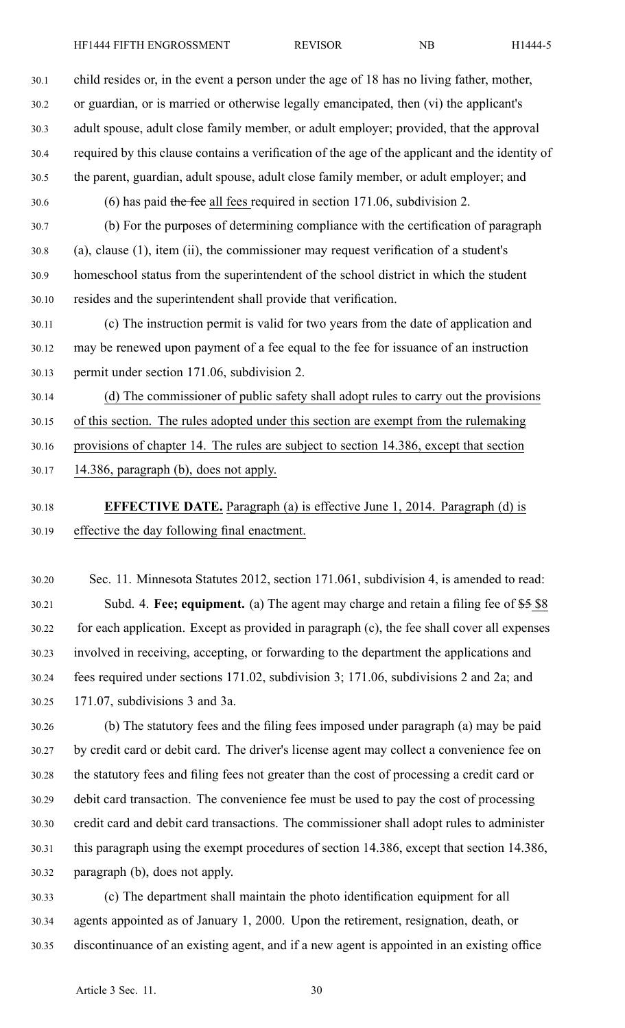30.1 child resides or, in the event <sup>a</sup> person under the age of 18 has no living father, mother, 30.2 or guardian, or is married or otherwise legally emancipated, then (vi) the applicant's 30.3 adult spouse, adult close family member, or adult employer; provided, that the approval 30.4 required by this clause contains <sup>a</sup> verification of the age of the applicant and the identity of 30.5 the parent, guardian, adult spouse, adult close family member, or adult employer; and 30.6 (6) has paid the fee all fees required in section 171.06, subdivision 2. 30.7 (b) For the purposes of determining compliance with the certification of paragraph 30.8 (a), clause (1), item (ii), the commissioner may reques<sup>t</sup> verification of <sup>a</sup> student's 30.9 homeschool status from the superintendent of the school district in which the student 30.10 resides and the superintendent shall provide that verification.

30.11 (c) The instruction permit is valid for two years from the date of application and 30.12 may be renewed upon paymen<sup>t</sup> of <sup>a</sup> fee equal to the fee for issuance of an instruction 30.13 permit under section 171.06, subdivision 2.

30.14 (d) The commissioner of public safety shall adopt rules to carry out the provisions 30.15 of this section. The rules adopted under this section are exemp<sup>t</sup> from the rulemaking 30.16 provisions of chapter 14. The rules are subject to section 14.386, excep<sup>t</sup> that section 30.17 14.386, paragraph (b), does not apply.

30.18 **EFFECTIVE DATE.** Paragraph (a) is effective June 1, 2014. Paragraph (d) is 30.19 effective the day following final enactment.

30.20 Sec. 11. Minnesota Statutes 2012, section 171.061, subdivision 4, is amended to read: 30.21 Subd. 4. **Fee; equipment.** (a) The agen<sup>t</sup> may charge and retain <sup>a</sup> filing fee of \$5 \$8 30.22 for each application. Except as provided in paragraph (c), the fee shall cover all expenses 30.23 involved in receiving, accepting, or forwarding to the department the applications and 30.24 fees required under sections 171.02, subdivision 3; 171.06, subdivisions 2 and 2a; and 30.25 171.07, subdivisions 3 and 3a.

30.26 (b) The statutory fees and the filing fees imposed under paragraph (a) may be paid 30.27 by credit card or debit card. The driver's license agen<sup>t</sup> may collect <sup>a</sup> convenience fee on 30.28 the statutory fees and filing fees not greater than the cost of processing <sup>a</sup> credit card or 30.29 debit card transaction. The convenience fee must be used to pay the cost of processing 30.30 credit card and debit card transactions. The commissioner shall adopt rules to administer 30.31 this paragraph using the exemp<sup>t</sup> procedures of section 14.386, excep<sup>t</sup> that section 14.386, 30.32 paragraph (b), does not apply.

30.33 (c) The department shall maintain the photo identification equipment for all 30.34 agents appointed as of January 1, 2000. Upon the retirement, resignation, death, or 30.35 discontinuance of an existing agent, and if <sup>a</sup> new agen<sup>t</sup> is appointed in an existing office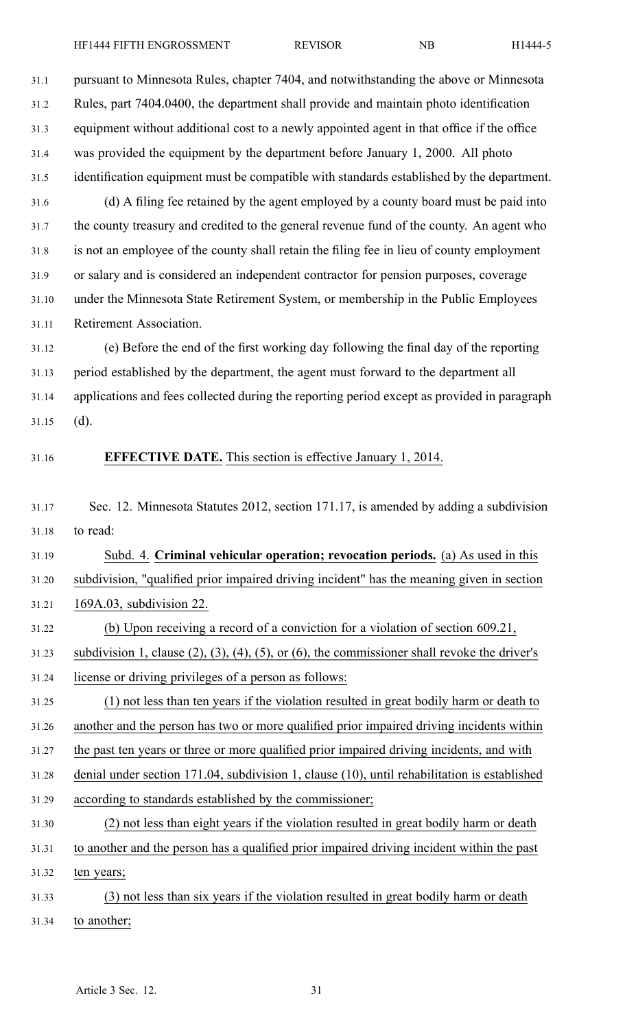31.1 pursuan<sup>t</sup> to Minnesota Rules, chapter 7404, and notwithstanding the above or Minnesota 31.2 Rules, par<sup>t</sup> 7404.0400, the department shall provide and maintain photo identification 31.3 equipment without additional cost to <sup>a</sup> newly appointed agen<sup>t</sup> in that office if the office 31.4 was provided the equipment by the department before January 1, 2000. All photo 31.5 identification equipment must be compatible with standards established by the department. 31.6 (d) A filing fee retained by the agen<sup>t</sup> employed by <sup>a</sup> county board must be paid into 31.7 the county treasury and credited to the general revenue fund of the county. An agen<sup>t</sup> who 31.8 is not an employee of the county shall retain the filing fee in lieu of county employment 31.9 or salary and is considered an independent contractor for pension purposes, coverage 31.10 under the Minnesota State Retirement System, or membership in the Public Employees 31.11 Retirement Association. 31.12 (e) Before the end of the first working day following the final day of the reporting 31.13 period established by the department, the agen<sup>t</sup> must forward to the department all 31.14 applications and fees collected during the reporting period excep<sup>t</sup> as provided in paragraph 31.15 (d). 31.16 **EFFECTIVE DATE.** This section is effective January 1, 2014. 31.17 Sec. 12. Minnesota Statutes 2012, section 171.17, is amended by adding <sup>a</sup> subdivision 31.18 to read: 31.19 Subd. 4. **Criminal vehicular operation; revocation periods.** (a) As used in this 31.20 subdivision, "qualified prior impaired driving incident" has the meaning given in section 31.21 169A.03, subdivision 22. 31.22 (b) Upon receiving <sup>a</sup> record of <sup>a</sup> conviction for <sup>a</sup> violation of section 609.21, 31.23 subdivision 1, clause (2), (3), (4), (5), or (6), the commissioner shall revoke the driver's 31.24 license or driving privileges of <sup>a</sup> person as follows: 31.25 (1) not less than ten years if the violation resulted in grea<sup>t</sup> bodily harm or death to 31.26 another and the person has two or more qualified prior impaired driving incidents within 31.27 the pas<sup>t</sup> ten years or three or more qualified prior impaired driving incidents, and with 31.28 denial under section 171.04, subdivision 1, clause (10), until rehabilitation is established 31.29 according to standards established by the commissioner; 31.30 (2) not less than eight years if the violation resulted in grea<sup>t</sup> bodily harm or death 31.31 to another and the person has <sup>a</sup> qualified prior impaired driving incident within the pas<sup>t</sup>

31.32 ten years;

31.33 (3) not less than six years if the violation resulted in grea<sup>t</sup> bodily harm or death

31.34 to another;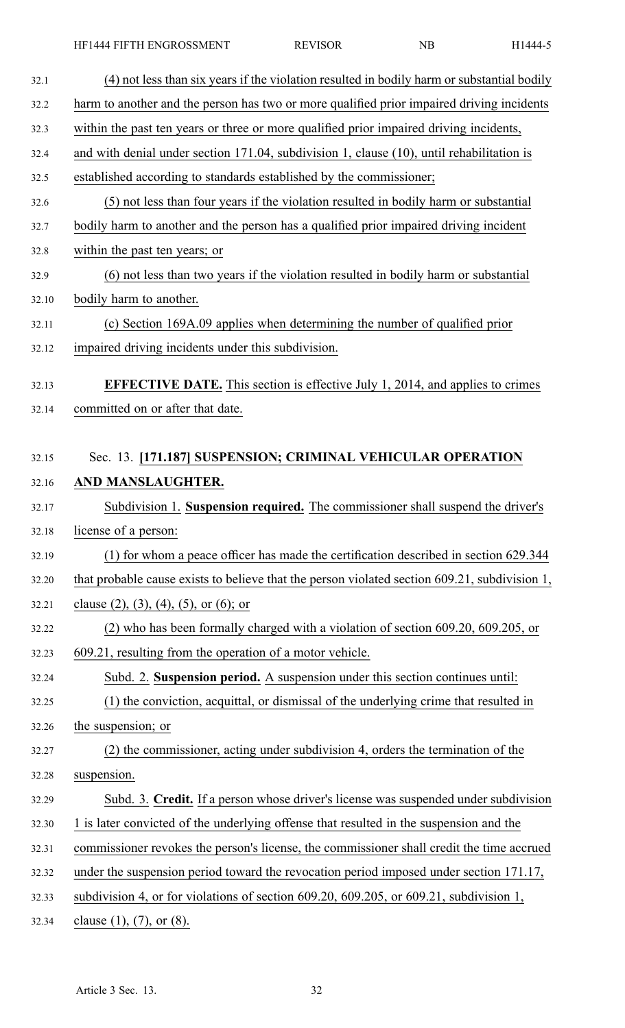| 32.1  | (4) not less than six years if the violation resulted in bodily harm or substantial bodily      |
|-------|-------------------------------------------------------------------------------------------------|
| 32.2  | harm to another and the person has two or more qualified prior impaired driving incidents       |
| 32.3  | within the past ten years or three or more qualified prior impaired driving incidents,          |
| 32.4  | and with denial under section $171.04$ , subdivision 1, clause $(10)$ , until rehabilitation is |
| 32.5  | established according to standards established by the commissioner;                             |
| 32.6  | (5) not less than four years if the violation resulted in bodily harm or substantial            |
| 32.7  | bodily harm to another and the person has a qualified prior impaired driving incident           |
| 32.8  | within the past ten years; or                                                                   |
| 32.9  | (6) not less than two years if the violation resulted in bodily harm or substantial             |
| 32.10 | bodily harm to another.                                                                         |
| 32.11 | (c) Section 169A.09 applies when determining the number of qualified prior                      |
| 32.12 | impaired driving incidents under this subdivision.                                              |
| 32.13 | <b>EFFECTIVE DATE.</b> This section is effective July 1, 2014, and applies to crimes            |
| 32.14 | committed on or after that date.                                                                |
|       |                                                                                                 |
| 32.15 | Sec. 13. [171.187] SUSPENSION; CRIMINAL VEHICULAR OPERATION                                     |
| 32.16 | AND MANSLAUGHTER.                                                                               |
| 32.17 | Subdivision 1. Suspension required. The commissioner shall suspend the driver's                 |
| 32.18 | license of a person:                                                                            |
| 32.19 | (1) for whom a peace officer has made the certification described in section 629.344            |
| 32.20 | that probable cause exists to believe that the person violated section 609.21, subdivision 1,   |
| 32.21 | clause $(2)$ , $(3)$ , $(4)$ , $(5)$ , or $(6)$ ; or                                            |
| 32.22 | (2) who has been formally charged with a violation of section 609.20, 609.205, or               |
| 32.23 | 609.21, resulting from the operation of a motor vehicle.                                        |
| 32.24 | Subd. 2. Suspension period. A suspension under this section continues until:                    |
| 32.25 | (1) the conviction, acquittal, or dismissal of the underlying crime that resulted in            |
| 32.26 | the suspension; or                                                                              |
| 32.27 | (2) the commissioner, acting under subdivision 4, orders the termination of the                 |
| 32.28 | suspension.                                                                                     |
| 32.29 | Subd. 3. Credit. If a person whose driver's license was suspended under subdivision             |
| 32.30 | 1 is later convicted of the underlying offense that resulted in the suspension and the          |
| 32.31 | commissioner revokes the person's license, the commissioner shall credit the time accrued       |
| 32.32 | under the suspension period toward the revocation period imposed under section 171.17,          |
| 32.33 | subdivision 4, or for violations of section 609.20, 609.205, or 609.21, subdivision 1,          |
| 32.34 | clause $(1)$ , $(7)$ , or $(8)$ .                                                               |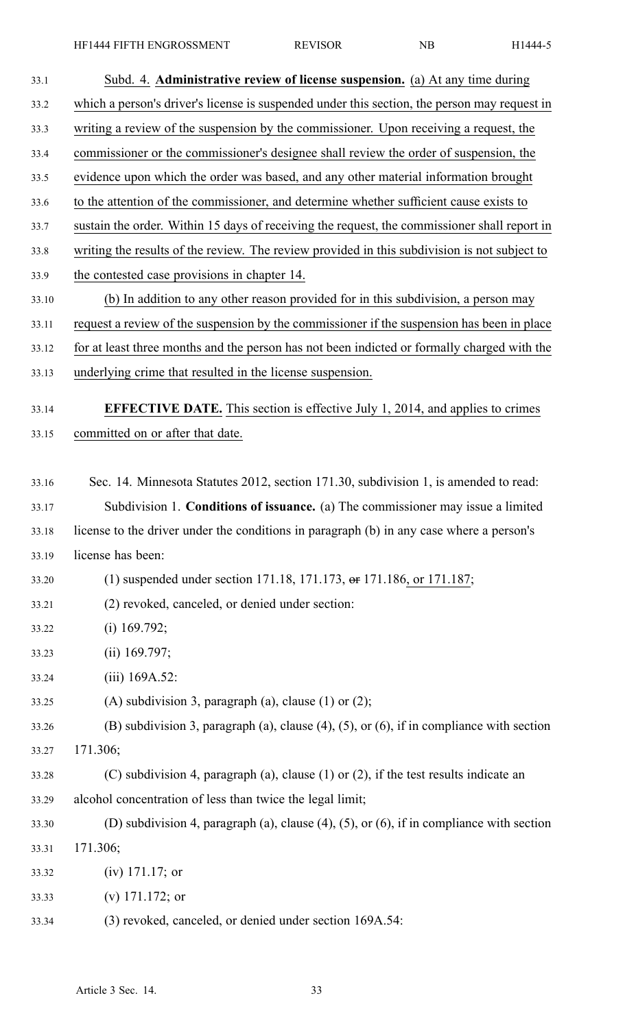| 33.1  | Subd. 4. Administrative review of license suspension. (a) At any time during                      |
|-------|---------------------------------------------------------------------------------------------------|
| 33.2  | which a person's driver's license is suspended under this section, the person may request in      |
| 33.3  | writing a review of the suspension by the commissioner. Upon receiving a request, the             |
| 33.4  | commissioner or the commissioner's designee shall review the order of suspension, the             |
| 33.5  | evidence upon which the order was based, and any other material information brought               |
| 33.6  | to the attention of the commissioner, and determine whether sufficient cause exists to            |
| 33.7  | sustain the order. Within 15 days of receiving the request, the commissioner shall report in      |
| 33.8  | writing the results of the review. The review provided in this subdivision is not subject to      |
| 33.9  | the contested case provisions in chapter 14.                                                      |
| 33.10 | (b) In addition to any other reason provided for in this subdivision, a person may                |
| 33.11 | request a review of the suspension by the commissioner if the suspension has been in place        |
| 33.12 | for at least three months and the person has not been indicted or formally charged with the       |
| 33.13 | underlying crime that resulted in the license suspension.                                         |
| 33.14 | <b>EFFECTIVE DATE.</b> This section is effective July 1, 2014, and applies to crimes              |
| 33.15 | committed on or after that date.                                                                  |
|       |                                                                                                   |
| 33.16 | Sec. 14. Minnesota Statutes 2012, section 171.30, subdivision 1, is amended to read:              |
| 33.17 | Subdivision 1. Conditions of issuance. (a) The commissioner may issue a limited                   |
| 33.18 | license to the driver under the conditions in paragraph (b) in any case where a person's          |
| 33.19 | license has been:                                                                                 |
| 33.20 | (1) suspended under section 171.18, 171.173, $\theta$ = 171.186, or 171.187;                      |
| 33.21 | (2) revoked, canceled, or denied under section:                                                   |
| 33.22 | $(i)$ 169.792;                                                                                    |
| 33.23 | $(ii)$ 169.797;                                                                                   |
| 33.24 | $(iii)$ 169A.52:                                                                                  |
| 33.25 | (A) subdivision 3, paragraph (a), clause $(1)$ or $(2)$ ;                                         |
| 33.26 | (B) subdivision 3, paragraph (a), clause $(4)$ , $(5)$ , or $(6)$ , if in compliance with section |
| 33.27 | 171.306;                                                                                          |
| 33.28 | (C) subdivision 4, paragraph (a), clause $(1)$ or $(2)$ , if the test results indicate an         |
| 33.29 | alcohol concentration of less than twice the legal limit;                                         |
| 33.30 | (D) subdivision 4, paragraph (a), clause $(4)$ , $(5)$ , or $(6)$ , if in compliance with section |
| 33.31 | 171.306;                                                                                          |
| 33.32 | $(iv)$ 171.17; or                                                                                 |
| 33.33 | (v) $171.172$ ; or                                                                                |
|       |                                                                                                   |

33.34 (3) revoked, canceled, or denied under section 169A.54: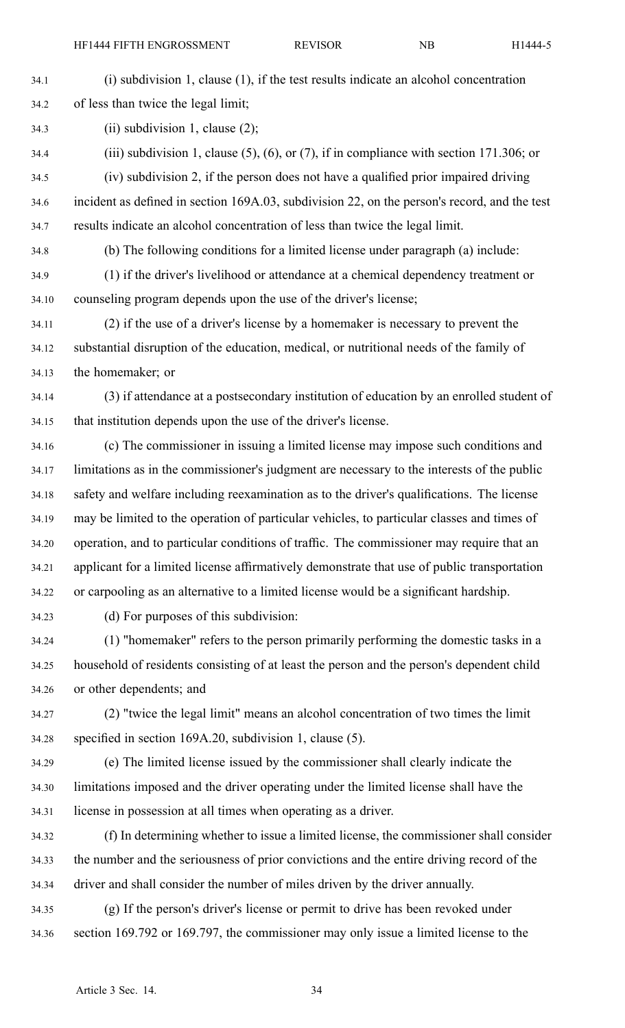| 34.1  | $(i)$ subdivision 1, clause $(1)$ , if the test results indicate an alcohol concentration        |
|-------|--------------------------------------------------------------------------------------------------|
| 34.2  | of less than twice the legal limit;                                                              |
| 34.3  | (ii) subdivision 1, clause $(2)$ ;                                                               |
| 34.4  | (iii) subdivision 1, clause $(5)$ , $(6)$ , or $(7)$ , if in compliance with section 171.306; or |
| 34.5  | (iv) subdivision 2, if the person does not have a qualified prior impaired driving               |
| 34.6  | incident as defined in section 169A.03, subdivision 22, on the person's record, and the test     |
| 34.7  | results indicate an alcohol concentration of less than twice the legal limit.                    |
| 34.8  | (b) The following conditions for a limited license under paragraph (a) include:                  |
| 34.9  | (1) if the driver's livelihood or attendance at a chemical dependency treatment or               |
| 34.10 | counseling program depends upon the use of the driver's license;                                 |
| 34.11 | (2) if the use of a driver's license by a homemaker is necessary to prevent the                  |
| 34.12 | substantial disruption of the education, medical, or nutritional needs of the family of          |
| 34.13 | the homemaker; or                                                                                |
| 34.14 | (3) if attendance at a postsecondary institution of education by an enrolled student of          |
| 34.15 | that institution depends upon the use of the driver's license.                                   |
| 34.16 | (c) The commissioner in issuing a limited license may impose such conditions and                 |
| 34.17 | limitations as in the commissioner's judgment are necessary to the interests of the public       |
| 34.18 | safety and welfare including reexamination as to the driver's qualifications. The license        |
| 34.19 | may be limited to the operation of particular vehicles, to particular classes and times of       |
| 34.20 | operation, and to particular conditions of traffic. The commissioner may require that an         |
| 34.21 | applicant for a limited license affirmatively demonstrate that use of public transportation      |
| 34.22 | or carpooling as an alternative to a limited license would be a significant hardship.            |
| 34.23 | (d) For purposes of this subdivision:                                                            |
| 34.24 | (1) "homemaker" refers to the person primarily performing the domestic tasks in a                |
| 34.25 | household of residents consisting of at least the person and the person's dependent child        |
| 34.26 | or other dependents; and                                                                         |
| 34.27 | (2) "twice the legal limit" means an alcohol concentration of two times the limit                |
| 34.28 | specified in section 169A.20, subdivision 1, clause (5).                                         |
| 34.29 | (e) The limited license issued by the commissioner shall clearly indicate the                    |
| 34.30 | limitations imposed and the driver operating under the limited license shall have the            |
|       |                                                                                                  |

34.31 license in possession at all times when operating as <sup>a</sup> driver.

- 34.32 (f) In determining whether to issue <sup>a</sup> limited license, the commissioner shall consider 34.33 the number and the seriousness of prior convictions and the entire driving record of the 34.34 driver and shall consider the number of miles driven by the driver annually.
- 34.35 (g) If the person's driver's license or permit to drive has been revoked under 34.36 section 169.792 or 169.797, the commissioner may only issue <sup>a</sup> limited license to the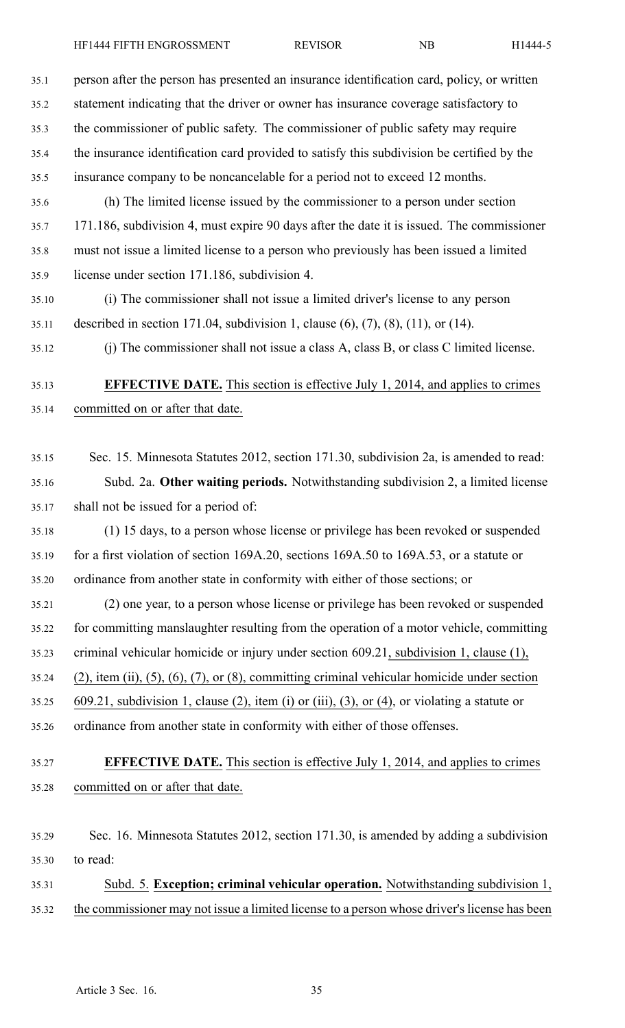| 35.1  | person after the person has presented an insurance identification card, policy, or written      |
|-------|-------------------------------------------------------------------------------------------------|
| 35.2  | statement indicating that the driver or owner has insurance coverage satisfactory to            |
| 35.3  | the commissioner of public safety. The commissioner of public safety may require                |
| 35.4  | the insurance identification card provided to satisfy this subdivision be certified by the      |
| 35.5  | insurance company to be noncancelable for a period not to exceed 12 months.                     |
| 35.6  | (h) The limited license issued by the commissioner to a person under section                    |
| 35.7  | 171.186, subdivision 4, must expire 90 days after the date it is issued. The commissioner       |
| 35.8  | must not issue a limited license to a person who previously has been issued a limited           |
| 35.9  | license under section 171.186, subdivision 4.                                                   |
| 35.10 | (i) The commissioner shall not issue a limited driver's license to any person                   |
| 35.11 | described in section 171.04, subdivision 1, clause $(6)$ , $(7)$ , $(8)$ , $(11)$ , or $(14)$ . |
| 35.12 | (j) The commissioner shall not issue a class A, class B, or class C limited license.            |
| 35.13 | <b>EFFECTIVE DATE.</b> This section is effective July $1$ , 2014, and applies to crimes         |
| 35.14 | committed on or after that date.                                                                |
| 35.15 | Sec. 15. Minnesota Statutes 2012, section 171.30, subdivision 2a, is amended to read:           |
| 35.16 | Subd. 2a. Other waiting periods. Notwithstanding subdivision 2, a limited license               |
| 35.17 | shall not be issued for a period of:                                                            |
| 35.18 | (1) 15 days, to a person whose license or privilege has been revoked or suspended               |
| 35.19 | for a first violation of section 169A.20, sections 169A.50 to 169A.53, or a statute or          |
| 35.20 | ordinance from another state in conformity with either of those sections; or                    |
| 35.21 | (2) one year, to a person whose license or privilege has been revoked or suspended              |
| 35.22 | for committing manslaughter resulting from the operation of a motor vehicle, committing         |
| 35.23 | criminal vehicular homicide or injury under section 609.21, subdivision 1, clause (1),          |
| 35.24 | $(2)$ , item (ii), (5), (6), (7), or (8), committing criminal vehicular homicide under section  |
| 35.25 | 609.21, subdivision 1, clause (2), item (i) or (iii), (3), or (4), or violating a statute or    |
| 35.26 | ordinance from another state in conformity with either of those offenses.                       |
|       |                                                                                                 |
| 35.27 | <b>EFFECTIVE DATE.</b> This section is effective July 1, 2014, and applies to crimes            |
| 35.28 | committed on or after that date.                                                                |
| 35.29 | Sec. 16. Minnesota Statutes 2012, section 171.30, is amended by adding a subdivision            |
| 35.30 | to read:                                                                                        |
| 35.31 | Subd. 5. Exception; criminal vehicular operation. Notwithstanding subdivision 1,                |
| 35.32 | the commissioner may not issue a limited license to a person whose driver's license has been    |
|       |                                                                                                 |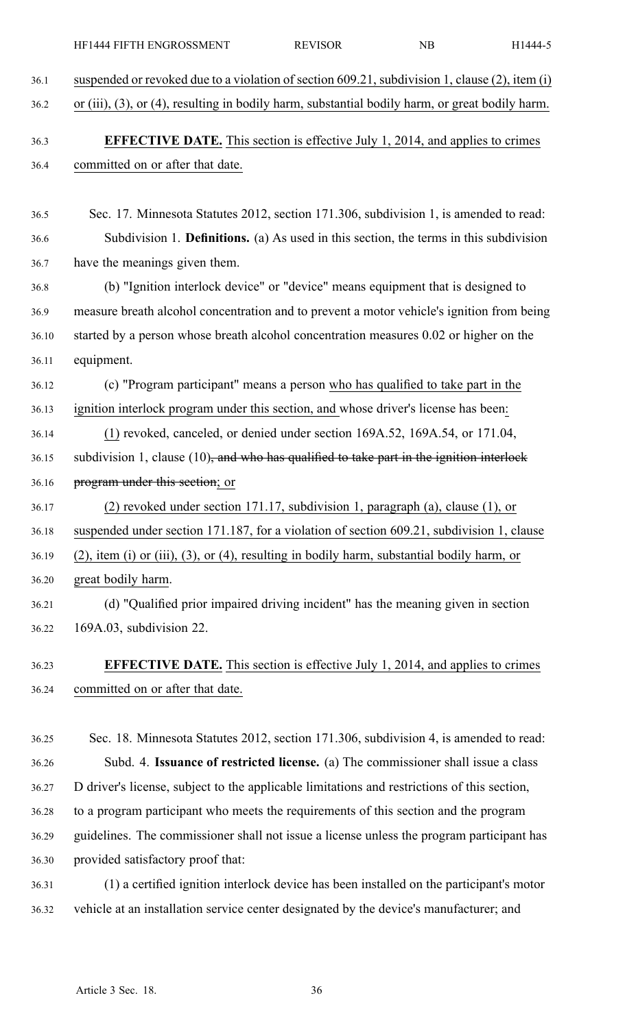| 36.1  | suspended or revoked due to a violation of section 609.21, subdivision 1, clause (2), item (i)  |
|-------|-------------------------------------------------------------------------------------------------|
| 36.2  | or (iii), (3), or (4), resulting in bodily harm, substantial bodily harm, or great bodily harm. |
| 36.3  | <b>EFFECTIVE DATE.</b> This section is effective July 1, 2014, and applies to crimes            |
| 36.4  | committed on or after that date.                                                                |
|       |                                                                                                 |
| 36.5  | Sec. 17. Minnesota Statutes 2012, section 171.306, subdivision 1, is amended to read:           |
| 36.6  | Subdivision 1. <b>Definitions.</b> (a) As used in this section, the terms in this subdivision   |
| 36.7  | have the meanings given them.                                                                   |
| 36.8  | (b) "Ignition interlock device" or "device" means equipment that is designed to                 |
| 36.9  | measure breath alcohol concentration and to prevent a motor vehicle's ignition from being       |
| 36.10 | started by a person whose breath alcohol concentration measures 0.02 or higher on the           |
| 36.11 | equipment.                                                                                      |
| 36.12 | (c) "Program participant" means a person who has qualified to take part in the                  |
| 36.13 | ignition interlock program under this section, and whose driver's license has been:             |
| 36.14 | (1) revoked, canceled, or denied under section 169A.52, 169A.54, or 171.04,                     |
| 36.15 | subdivision 1, clause $(10)$ , and who has qualified to take part in the ignition interlock     |
| 36.16 | program under this section; or                                                                  |
| 36.17 | (2) revoked under section 171.17, subdivision 1, paragraph (a), clause (1), or                  |
| 36.18 | suspended under section 171.187, for a violation of section 609.21, subdivision 1, clause       |
| 36.19 | $(2)$ , item (i) or (iii), (3), or (4), resulting in bodily harm, substantial bodily harm, or   |
| 36.20 | great bodily harm.                                                                              |
| 36.21 | (d) "Qualified prior impaired driving incident" has the meaning given in section                |
| 36.22 | 169A.03, subdivision 22.                                                                        |
| 36.23 | <b>EFFECTIVE DATE.</b> This section is effective July 1, 2014, and applies to crimes            |
| 36.24 | committed on or after that date.                                                                |
|       |                                                                                                 |

HF1444 FIFTH ENGROSSMENT REVISOR NB H1444-5

36.25 Sec. 18. Minnesota Statutes 2012, section 171.306, subdivision 4, is amended to read: 36.26 Subd. 4. **Issuance of restricted license.** (a) The commissioner shall issue <sup>a</sup> class 36.27 D driver's license, subject to the applicable limitations and restrictions of this section, 36.28 to <sup>a</sup> program participant who meets the requirements of this section and the program 36.29 guidelines. The commissioner shall not issue <sup>a</sup> license unless the program participant has 36.30 provided satisfactory proof that: 36.31 (1) <sup>a</sup> certified ignition interlock device has been installed on the participant's motor

36.32 vehicle at an installation service center designated by the device's manufacturer; and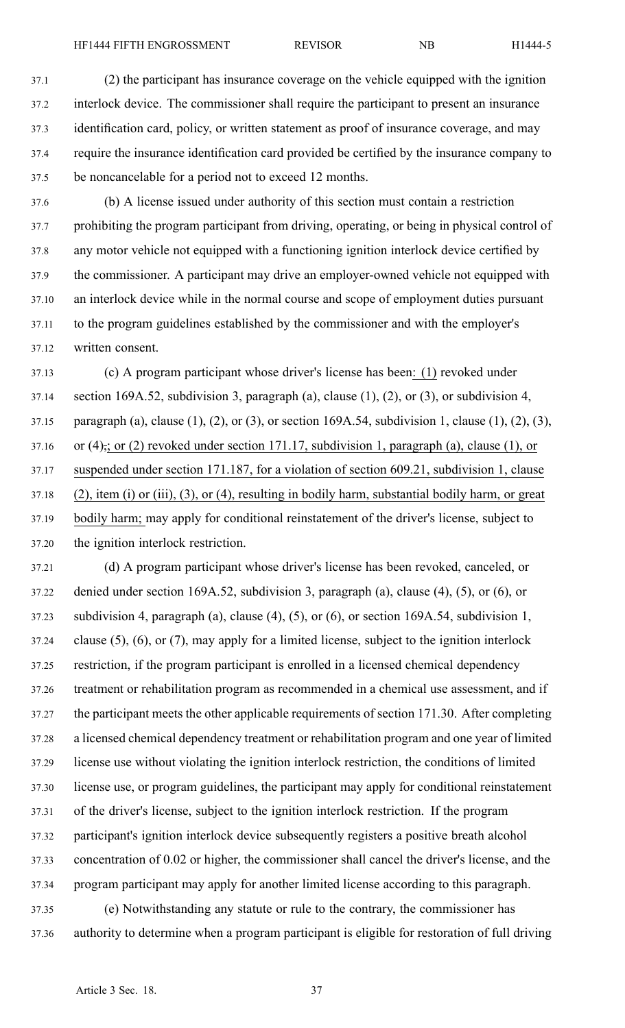37.1 (2) the participant has insurance coverage on the vehicle equipped with the ignition 37.2 interlock device. The commissioner shall require the participant to presen<sup>t</sup> an insurance 37.3 identification card, policy, or written statement as proof of insurance coverage, and may 37.4 require the insurance identification card provided be certified by the insurance company to 37.5 be noncancelable for <sup>a</sup> period not to exceed 12 months.

- 37.6 (b) A license issued under authority of this section must contain <sup>a</sup> restriction 37.7 prohibiting the program participant from driving, operating, or being in physical control of 37.8 any motor vehicle not equipped with <sup>a</sup> functioning ignition interlock device certified by 37.9 the commissioner. A participant may drive an employer-owned vehicle not equipped with 37.10 an interlock device while in the normal course and scope of employment duties pursuan<sup>t</sup> 37.11 to the program guidelines established by the commissioner and with the employer's 37.12 written consent.
- 37.13 (c) A program participant whose driver's license has been: (1) revoked under 37.14 section 169A.52, subdivision 3, paragraph (a), clause (1), (2), or (3), or subdivision 4, 37.15 paragraph (a), clause (1), (2), or (3), or section 169A.54, subdivision 1, clause (1), (2), (3), 37.16 or (4), or (2) revoked under section 171.17, subdivision 1, paragraph (a), clause (1), or 37.17 suspended under section 171.187, for <sup>a</sup> violation of section 609.21, subdivision 1, clause 37.18 (2), item (i) or (iii), (3), or (4), resulting in bodily harm, substantial bodily harm, or grea<sup>t</sup> 37.19 bodily harm; may apply for conditional reinstatement of the driver's license, subject to 37.20 the ignition interlock restriction.
- 37.21 (d) A program participant whose driver's license has been revoked, canceled, or 37.22 denied under section 169A.52, subdivision 3, paragraph (a), clause (4), (5), or (6), or 37.23 subdivision 4, paragraph (a), clause (4), (5), or (6), or section 169A.54, subdivision 1, 37.24 clause (5), (6), or (7), may apply for <sup>a</sup> limited license, subject to the ignition interlock 37.25 restriction, if the program participant is enrolled in <sup>a</sup> licensed chemical dependency 37.26 treatment or rehabilitation program as recommended in <sup>a</sup> chemical use assessment, and if 37.27 the participant meets the other applicable requirements of section 171.30. After completing 37.28 <sup>a</sup> licensed chemical dependency treatment or rehabilitation program and one year of limited 37.29 license use without violating the ignition interlock restriction, the conditions of limited 37.30 license use, or program guidelines, the participant may apply for conditional reinstatement 37.31 of the driver's license, subject to the ignition interlock restriction. If the program 37.32 participant's ignition interlock device subsequently registers <sup>a</sup> positive breath alcohol 37.33 concentration of 0.02 or higher, the commissioner shall cancel the driver's license, and the 37.34 program participant may apply for another limited license according to this paragraph. 37.35 (e) Notwithstanding any statute or rule to the contrary, the commissioner has
- 37.36 authority to determine when <sup>a</sup> program participant is eligible for restoration of full driving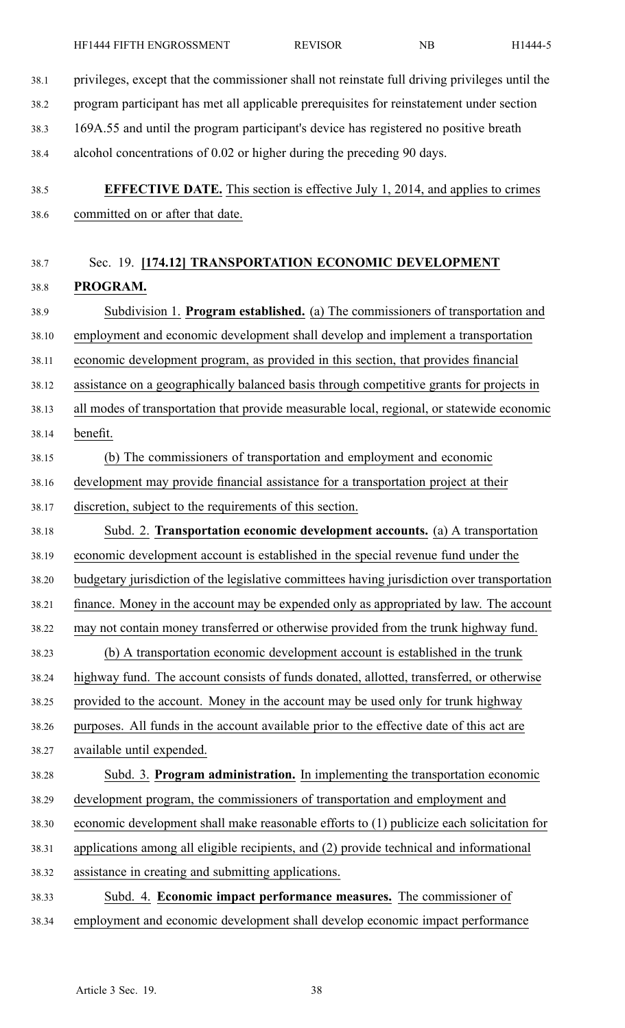38.1 privileges, excep<sup>t</sup> that the commissioner shall not reinstate full driving privileges until the

- 38.2 program participant has met all applicable prerequisites for reinstatement under section 38.3 169A.55 and until the program participant's device has registered no positive breath 38.4 alcohol concentrations of 0.02 or higher during the preceding 90 days. 38.5 **EFFECTIVE DATE.** This section is effective July 1, 2014, and applies to crimes 38.6 committed on or after that date. 38.7 Sec. 19. **[174.12] TRANSPORTATION ECONOMIC DEVELOPMENT** 38.8 **PROGRAM.** 38.9 Subdivision 1. **Program established.** (a) The commissioners of transportation and 38.10 employment and economic development shall develop and implement <sup>a</sup> transportation 38.11 economic development program, as provided in this section, that provides financial 38.12 assistance on <sup>a</sup> geographically balanced basis through competitive grants for projects in 38.13 all modes of transportation that provide measurable local, regional, or statewide economic 38.14 benefit. 38.15 (b) The commissioners of transportation and employment and economic 38.16 development may provide financial assistance for <sup>a</sup> transportation project at their 38.17 discretion, subject to the requirements of this section. 38.18 Subd. 2. **Transportation economic development accounts.** (a) A transportation 38.19 economic development account is established in the special revenue fund under the 38.20 budgetary jurisdiction of the legislative committees having jurisdiction over transportation 38.21 finance. Money in the account may be expended only as appropriated by law. The account 38.22 may not contain money transferred or otherwise provided from the trunk highway fund. 38.23 (b) A transportation economic development account is established in the trunk 38.24 highway fund. The account consists of funds donated, allotted, transferred, or otherwise 38.25 provided to the account. Money in the account may be used only for trunk highway 38.26 purposes. All funds in the account available prior to the effective date of this act are 38.27 available until expended. 38.28 Subd. 3. **Program administration.** In implementing the transportation economic 38.29 development program, the commissioners of transportation and employment and 38.30 economic development shall make reasonable efforts to (1) publicize each solicitation for 38.31 applications among all eligible recipients, and (2) provide technical and informational 38.32 assistance in creating and submitting applications. 38.33 Subd. 4. **Economic impact performance measures.** The commissioner of
- 38.34 employment and economic development shall develop economic impact performance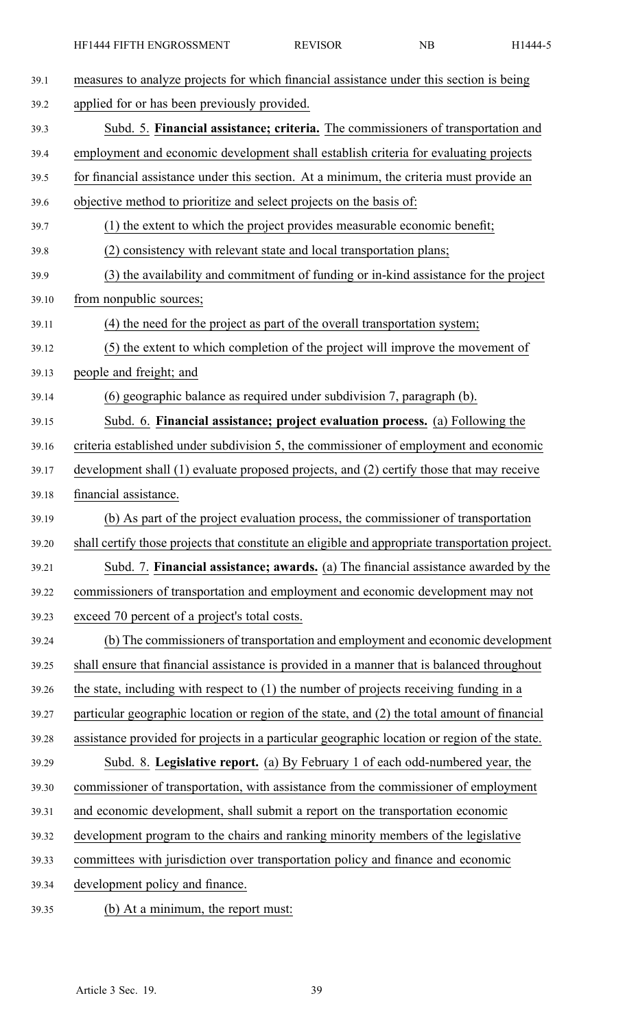| 39.1  | measures to analyze projects for which financial assistance under this section is being          |
|-------|--------------------------------------------------------------------------------------------------|
| 39.2  | applied for or has been previously provided.                                                     |
| 39.3  | Subd. 5. Financial assistance; criteria. The commissioners of transportation and                 |
| 39.4  | employment and economic development shall establish criteria for evaluating projects             |
| 39.5  | for financial assistance under this section. At a minimum, the criteria must provide an          |
| 39.6  | objective method to prioritize and select projects on the basis of:                              |
| 39.7  | (1) the extent to which the project provides measurable economic benefit;                        |
| 39.8  | (2) consistency with relevant state and local transportation plans;                              |
| 39.9  | (3) the availability and commitment of funding or in-kind assistance for the project             |
| 39.10 | from nonpublic sources;                                                                          |
| 39.11 | (4) the need for the project as part of the overall transportation system;                       |
| 39.12 | (5) the extent to which completion of the project will improve the movement of                   |
| 39.13 | people and freight; and                                                                          |
| 39.14 | (6) geographic balance as required under subdivision 7, paragraph (b).                           |
| 39.15 | Subd. 6. Financial assistance; project evaluation process. (a) Following the                     |
| 39.16 | criteria established under subdivision 5, the commissioner of employment and economic            |
| 39.17 | development shall (1) evaluate proposed projects, and (2) certify those that may receive         |
| 39.18 | financial assistance.                                                                            |
| 39.19 | (b) As part of the project evaluation process, the commissioner of transportation                |
| 39.20 | shall certify those projects that constitute an eligible and appropriate transportation project. |
| 39.21 | Subd. 7. Financial assistance; awards. (a) The financial assistance awarded by the               |
| 39.22 | commissioners of transportation and employment and economic development may not                  |
| 39.23 | exceed 70 percent of a project's total costs.                                                    |
| 39.24 | (b) The commissioners of transportation and employment and economic development                  |
| 39.25 | shall ensure that financial assistance is provided in a manner that is balanced throughout       |
| 39.26 | the state, including with respect to $(1)$ the number of projects receiving funding in a         |
| 39.27 | particular geographic location or region of the state, and (2) the total amount of financial     |
| 39.28 | assistance provided for projects in a particular geographic location or region of the state.     |
| 39.29 | Subd. 8. Legislative report. (a) By February 1 of each odd-numbered year, the                    |
| 39.30 | commissioner of transportation, with assistance from the commissioner of employment              |
| 39.31 | and economic development, shall submit a report on the transportation economic                   |
| 39.32 | development program to the chairs and ranking minority members of the legislative                |
| 39.33 | committees with jurisdiction over transportation policy and finance and economic                 |
| 39.34 | development policy and finance.                                                                  |
| 39.35 | (b) At a minimum, the report must:                                                               |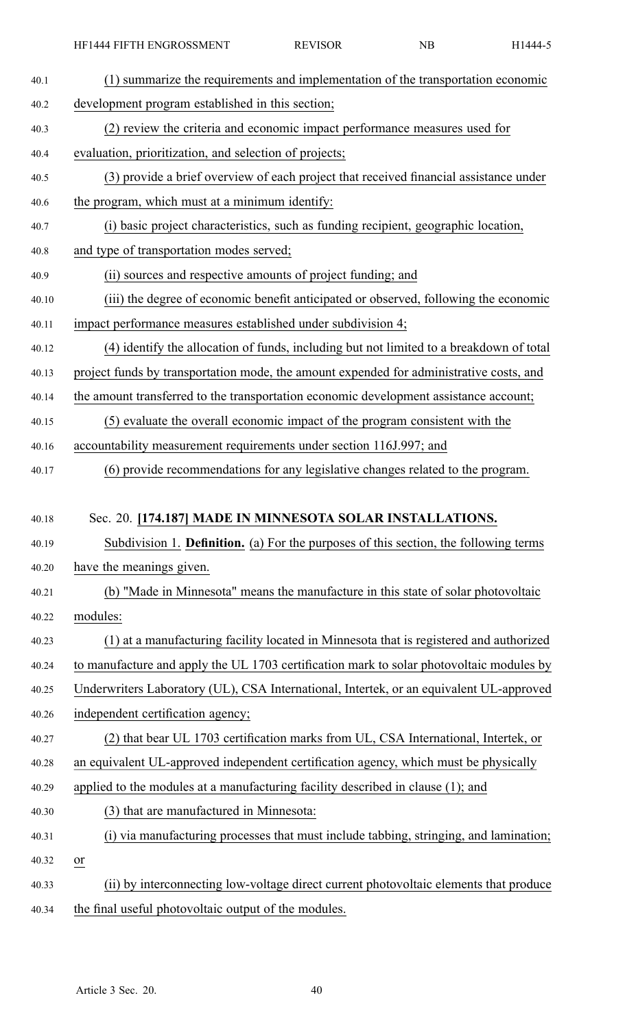HF1444 FIFTH ENGROSSMENT REVISOR NB H1444-5

| 40.1  | (1) summarize the requirements and implementation of the transportation economic            |
|-------|---------------------------------------------------------------------------------------------|
| 40.2  | development program established in this section;                                            |
| 40.3  | (2) review the criteria and economic impact performance measures used for                   |
| 40.4  | evaluation, prioritization, and selection of projects;                                      |
| 40.5  | (3) provide a brief overview of each project that received financial assistance under       |
| 40.6  | the program, which must at a minimum identify:                                              |
| 40.7  | (i) basic project characteristics, such as funding recipient, geographic location,          |
| 40.8  | and type of transportation modes served;                                                    |
| 40.9  | (ii) sources and respective amounts of project funding; and                                 |
| 40.10 | (iii) the degree of economic benefit anticipated or observed, following the economic        |
| 40.11 | impact performance measures established under subdivision 4;                                |
| 40.12 | (4) identify the allocation of funds, including but not limited to a breakdown of total     |
| 40.13 | project funds by transportation mode, the amount expended for administrative costs, and     |
| 40.14 | the amount transferred to the transportation economic development assistance account;       |
| 40.15 | (5) evaluate the overall economic impact of the program consistent with the                 |
| 40.16 | accountability measurement requirements under section 116J.997; and                         |
| 40.17 | (6) provide recommendations for any legislative changes related to the program.             |
|       |                                                                                             |
| 40.18 | Sec. 20. [174.187] MADE IN MINNESOTA SOLAR INSTALLATIONS.                                   |
|       |                                                                                             |
| 40.19 | Subdivision 1. <b>Definition.</b> (a) For the purposes of this section, the following terms |
| 40.20 | have the meanings given.                                                                    |
| 40.21 | (b) "Made in Minnesota" means the manufacture in this state of solar photovoltaic           |
| 40.22 | modules:                                                                                    |
| 40.23 | (1) at a manufacturing facility located in Minnesota that is registered and authorized      |
| 40.24 | to manufacture and apply the UL 1703 certification mark to solar photovoltaic modules by    |
| 40.25 | Underwriters Laboratory (UL), CSA International, Intertek, or an equivalent UL-approved     |
| 40.26 | independent certification agency;                                                           |
| 40.27 | (2) that bear UL 1703 certification marks from UL, CSA International, Intertek, or          |
| 40.28 | an equivalent UL-approved independent certification agency, which must be physically        |
| 40.29 | applied to the modules at a manufacturing facility described in clause (1); and             |
| 40.30 | (3) that are manufactured in Minnesota:                                                     |
| 40.31 | (i) via manufacturing processes that must include tabbing, stringing, and lamination;       |
| 40.32 | $or$                                                                                        |
| 40.33 | (ii) by interconnecting low-voltage direct current photovoltaic elements that produce       |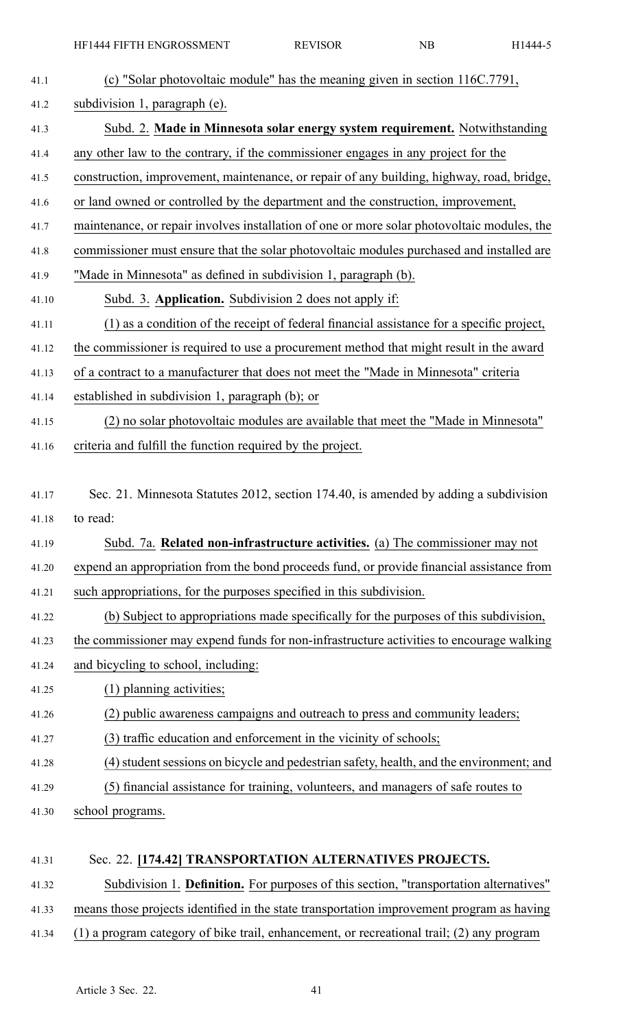| 41.1  | (c) "Solar photovoltaic module" has the meaning given in section 116C.7791,                 |
|-------|---------------------------------------------------------------------------------------------|
| 41.2  | subdivision 1, paragraph (e).                                                               |
| 41.3  | Subd. 2. Made in Minnesota solar energy system requirement. Notwithstanding                 |
| 41.4  | any other law to the contrary, if the commissioner engages in any project for the           |
| 41.5  | construction, improvement, maintenance, or repair of any building, highway, road, bridge,   |
| 41.6  | or land owned or controlled by the department and the construction, improvement,            |
| 41.7  | maintenance, or repair involves installation of one or more solar photovoltaic modules, the |
| 41.8  | commissioner must ensure that the solar photovoltaic modules purchased and installed are    |
| 41.9  | "Made in Minnesota" as defined in subdivision 1, paragraph (b).                             |
| 41.10 | Subd. 3. Application. Subdivision 2 does not apply if:                                      |
| 41.11 | (1) as a condition of the receipt of federal financial assistance for a specific project,   |
| 41.12 | the commissioner is required to use a procurement method that might result in the award     |
| 41.13 | of a contract to a manufacturer that does not meet the "Made in Minnesota" criteria         |
| 41.14 | established in subdivision 1, paragraph (b); or                                             |
| 41.15 | (2) no solar photovoltaic modules are available that meet the "Made in Minnesota"           |
| 41.16 | criteria and fulfill the function required by the project.                                  |
|       |                                                                                             |
| 41.17 | Sec. 21. Minnesota Statutes 2012, section 174.40, is amended by adding a subdivision        |
| 41.18 | to read:                                                                                    |
| 41.19 | Subd. 7a. Related non-infrastructure activities. (a) The commissioner may not               |
| 41.20 | expend an appropriation from the bond proceeds fund, or provide financial assistance from   |
| 41.21 | such appropriations, for the purposes specified in this subdivision.                        |
| 41.22 | (b) Subject to appropriations made specifically for the purposes of this subdivision,       |
| 41.23 | the commissioner may expend funds for non-infrastructure activities to encourage walking    |
| 41.24 | and bicycling to school, including:                                                         |
| 41.25 | (1) planning activities;                                                                    |
| 41.26 | (2) public awareness campaigns and outreach to press and community leaders;                 |
| 41.27 | (3) traffic education and enforcement in the vicinity of schools;                           |
| 41.28 | (4) student sessions on bicycle and pedestrian safety, health, and the environment; and     |
| 41.29 | (5) financial assistance for training, volunteers, and managers of safe routes to           |
| 41.30 | school programs.                                                                            |
|       |                                                                                             |
| 41.31 | Sec. 22. [174.42] TRANSPORTATION ALTERNATIVES PROJECTS.                                     |
| 41.32 | Subdivision 1. Definition. For purposes of this section, "transportation alternatives"      |

41.33 means those projects identified in the state transportation improvement program as having

41.34 (1) <sup>a</sup> program category of bike trail, enhancement, or recreational trail; (2) any program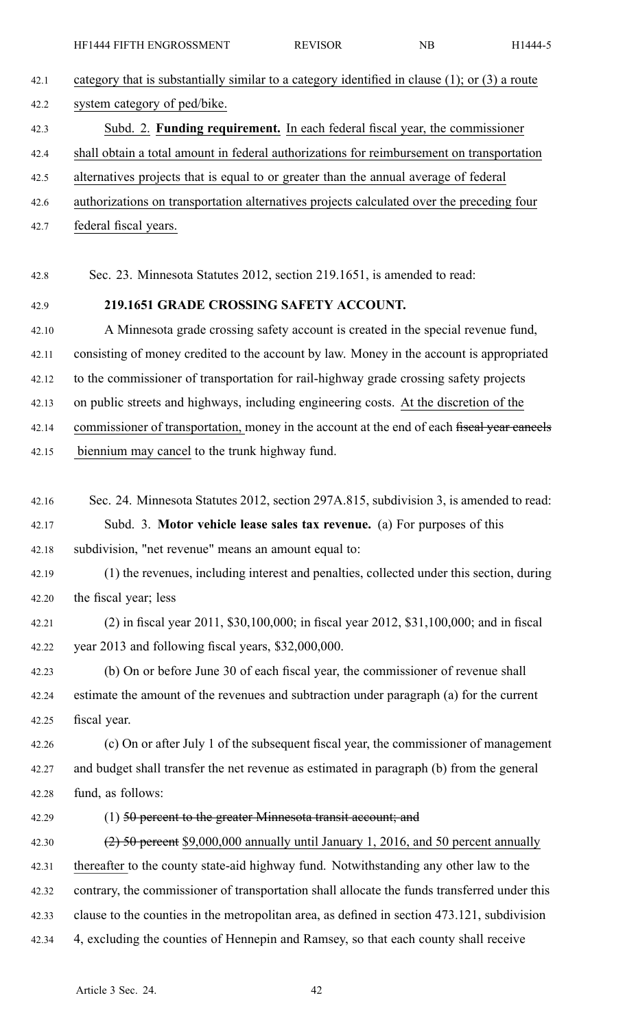42.1 category that is substantially similar to <sup>a</sup> category identified in clause (1); or (3) <sup>a</sup> route 42.2 system category of ped/bike.

- 42.3 Subd. 2. **Funding requirement.** In each federal fiscal year, the commissioner
- 42.4 shall obtain <sup>a</sup> total amount in federal authorizations for reimbursement on transportation
- 42.5 alternatives projects that is equal to or greater than the annual average of federal
- 42.6 authorizations on transportation alternatives projects calculated over the preceding four
- 42.7 federal fiscal years.

42.8 Sec. 23. Minnesota Statutes 2012, section 219.1651, is amended to read:

# 42.9 **219.1651 GRADE CROSSING SAFETY ACCOUNT.**

42.10 A Minnesota grade crossing safety account is created in the special revenue fund, 42.11 consisting of money credited to the account by law. Money in the account is appropriated 42.12 to the commissioner of transportation for rail-highway grade crossing safety projects 42.13 on public streets and highways, including engineering costs. At the discretion of the

- 42.14 commissioner of transportation, money in the account at the end of each fiscal year cancels
- 42.15 biennium may cancel to the trunk highway fund.
- 42.16 Sec. 24. Minnesota Statutes 2012, section 297A.815, subdivision 3, is amended to read: 42.17 Subd. 3. **Motor vehicle lease sales tax revenue.** (a) For purposes of this 42.18 subdivision, "net revenue" means an amount equal to:
- 42.19 (1) the revenues, including interest and penalties, collected under this section, during 42.20 the fiscal year; less
- 42.21 (2) in fiscal year 2011, \$30,100,000; in fiscal year 2012, \$31,100,000; and in fiscal 42.22 year 2013 and following fiscal years, \$32,000,000.

42.23 (b) On or before June 30 of each fiscal year, the commissioner of revenue shall 42.24 estimate the amount of the revenues and subtraction under paragraph (a) for the current 42.25 fiscal year.

42.26 (c) On or after July 1 of the subsequent fiscal year, the commissioner of managemen<sup>t</sup> 42.27 and budget shall transfer the net revenue as estimated in paragraph (b) from the general 42.28 fund, as follows:

# 42.29 (1) 50 percent to the greater Minnesota transit account; and

42.30 (2) 50 percent \$9,000,000 annually until January 1, 2016, and 50 percent annually 42.31 thereafter to the county state-aid highway fund. Notwithstanding any other law to the 42.32 contrary, the commissioner of transportation shall allocate the funds transferred under this 42.33 clause to the counties in the metropolitan area, as defined in section 473.121, subdivision 42.34 4, excluding the counties of Hennepin and Ramsey, so that each county shall receive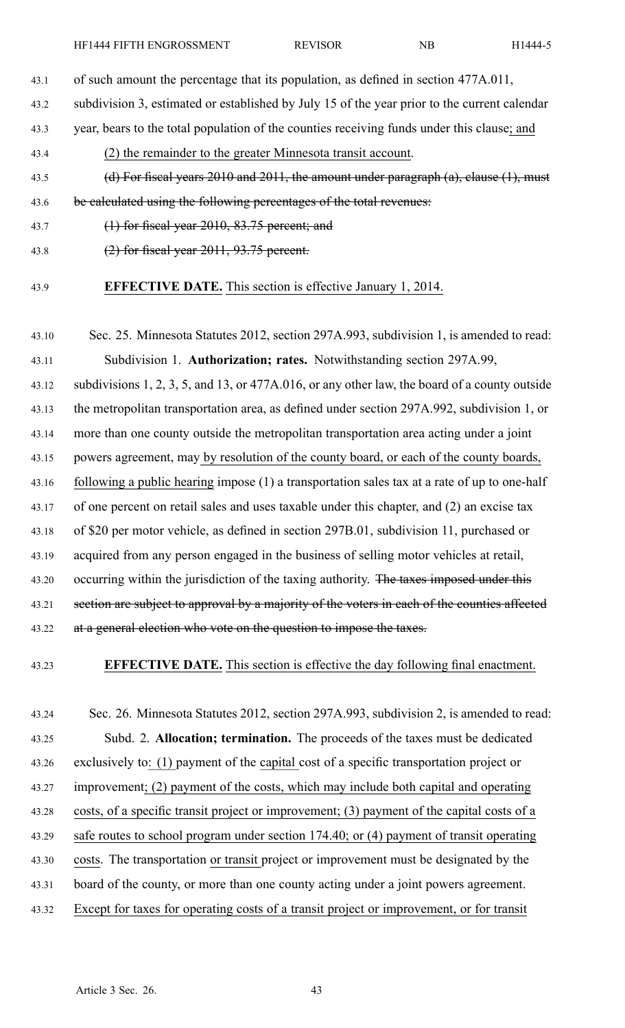43.1 of such amount the percentage that its population, as defined in section 477A.011,

43.2 subdivision 3, estimated or established by July 15 of the year prior to the current calendar

43.3 year, bears to the total population of the counties receiving funds under this clause; and

43.4 (2) the remainder to the greater Minnesota transit account.

43.5 (d) For fiscal years 2010 and 2011, the amount under paragraph (a), clause (1), must

43.6 be calculated using the following percentages of the total revenues:

- 43.7 (1) for fiscal year 2010, 83.75 percent; and
- 43.8 (2) for fiscal year 2011, 93.75 percent.
- 

# 43.9 **EFFECTIVE DATE.** This section is effective January 1, 2014.

43.10 Sec. 25. Minnesota Statutes 2012, section 297A.993, subdivision 1, is amended to read: 43.11 Subdivision 1. **Authorization; rates.** Notwithstanding section 297A.99, 43.12 subdivisions 1, 2, 3, 5, and 13, or 477A.016, or any other law, the board of <sup>a</sup> county outside 43.13 the metropolitan transportation area, as defined under section 297A.992, subdivision 1, or 43.14 more than one county outside the metropolitan transportation area acting under <sup>a</sup> joint 43.15 powers agreement, may by resolution of the county board, or each of the county boards, 43.16 following <sup>a</sup> public hearing impose (1) <sup>a</sup> transportation sales tax at <sup>a</sup> rate of up to one-half 43.17 of one percen<sup>t</sup> on retail sales and uses taxable under this chapter, and (2) an excise tax 43.18 of \$20 per motor vehicle, as defined in section 297B.01, subdivision 11, purchased or 43.19 acquired from any person engaged in the business of selling motor vehicles at retail, 43.20 occurring within the jurisdiction of the taxing authority. The taxes imposed under this 43.21 section are subject to approval by a majority of the voters in each of the counties affected 43.22 at a general election who vote on the question to impose the taxes.

43.23 **EFFECTIVE DATE.** This section is effective the day following final enactment.

43.24 Sec. 26. Minnesota Statutes 2012, section 297A.993, subdivision 2, is amended to read: 43.25 Subd. 2. **Allocation; termination.** The proceeds of the taxes must be dedicated 43.26 exclusively to: (1) paymen<sup>t</sup> of the capital cost of <sup>a</sup> specific transportation project or 43.27 improvement; (2) paymen<sup>t</sup> of the costs, which may include both capital and operating 43.28 costs, of <sup>a</sup> specific transit project or improvement; (3) paymen<sup>t</sup> of the capital costs of <sup>a</sup> 43.29 safe routes to school program under section 174.40; or (4) paymen<sup>t</sup> of transit operating 43.30 costs. The transportation or transit project or improvement must be designated by the 43.31 board of the county, or more than one county acting under <sup>a</sup> joint powers agreement. 43.32 Except for taxes for operating costs of <sup>a</sup> transit project or improvement, or for transit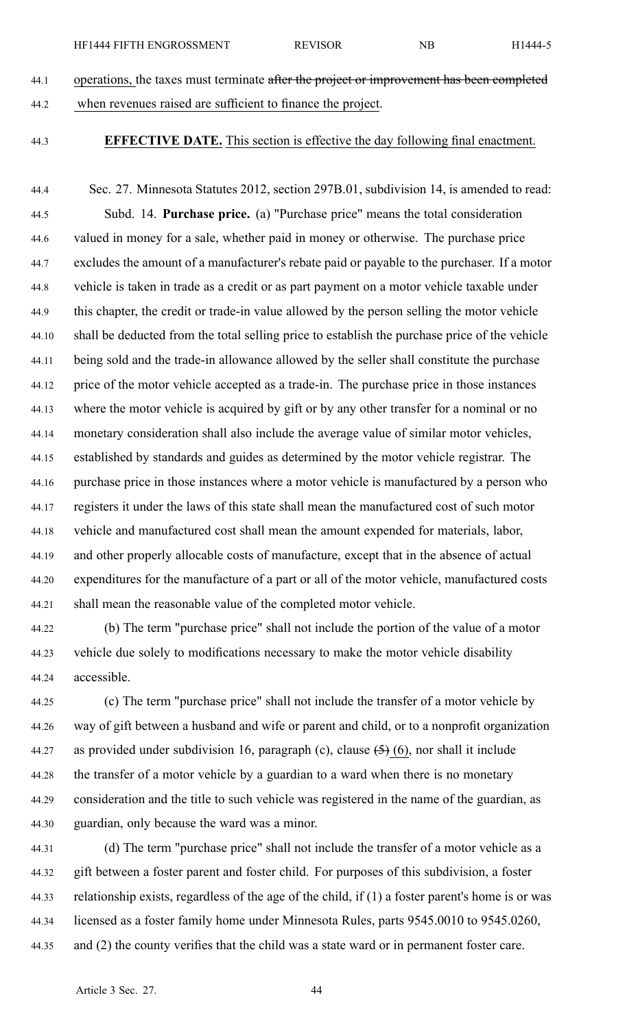- 44.1 operations, the taxes must terminate after the project or improvement has been completed 44.2 when revenues raised are sufficient to finance the project.
- 

# 44.3 **EFFECTIVE DATE.** This section is effective the day following final enactment.

44.4 Sec. 27. Minnesota Statutes 2012, section 297B.01, subdivision 14, is amended to read: 44.5 Subd. 14. **Purchase price.** (a) "Purchase price" means the total consideration 44.6 valued in money for <sup>a</sup> sale, whether paid in money or otherwise. The purchase price 44.7 excludes the amount of <sup>a</sup> manufacturer's rebate paid or payable to the purchaser. If <sup>a</sup> motor 44.8 vehicle is taken in trade as <sup>a</sup> credit or as par<sup>t</sup> paymen<sup>t</sup> on <sup>a</sup> motor vehicle taxable under 44.9 this chapter, the credit or trade-in value allowed by the person selling the motor vehicle 44.10 shall be deducted from the total selling price to establish the purchase price of the vehicle 44.11 being sold and the trade-in allowance allowed by the seller shall constitute the purchase 44.12 price of the motor vehicle accepted as <sup>a</sup> trade-in. The purchase price in those instances 44.13 where the motor vehicle is acquired by gift or by any other transfer for <sup>a</sup> nominal or no 44.14 monetary consideration shall also include the average value of similar motor vehicles, 44.15 established by standards and guides as determined by the motor vehicle registrar. The 44.16 purchase price in those instances where <sup>a</sup> motor vehicle is manufactured by <sup>a</sup> person who 44.17 registers it under the laws of this state shall mean the manufactured cost of such motor 44.18 vehicle and manufactured cost shall mean the amount expended for materials, labor, 44.19 and other properly allocable costs of manufacture, excep<sup>t</sup> that in the absence of actual 44.20 expenditures for the manufacture of <sup>a</sup> par<sup>t</sup> or all of the motor vehicle, manufactured costs 44.21 shall mean the reasonable value of the completed motor vehicle.

- 44.22 (b) The term "purchase price" shall not include the portion of the value of <sup>a</sup> motor 44.23 vehicle due solely to modifications necessary to make the motor vehicle disability 44.24 accessible.
- 44.25 (c) The term "purchase price" shall not include the transfer of <sup>a</sup> motor vehicle by 44.26 way of gift between <sup>a</sup> husband and wife or paren<sup>t</sup> and child, or to <sup>a</sup> nonprofit organization 44.27 as provided under subdivision 16, paragraph (c), clause  $(5)(6)$ , nor shall it include 44.28 the transfer of <sup>a</sup> motor vehicle by <sup>a</sup> guardian to <sup>a</sup> ward when there is no monetary 44.29 consideration and the title to such vehicle was registered in the name of the guardian, as 44.30 guardian, only because the ward was <sup>a</sup> minor.
- 44.31 (d) The term "purchase price" shall not include the transfer of <sup>a</sup> motor vehicle as <sup>a</sup> 44.32 gift between <sup>a</sup> foster paren<sup>t</sup> and foster child. For purposes of this subdivision, <sup>a</sup> foster 44.33 relationship exists, regardless of the age of the child, if (1) <sup>a</sup> foster parent's home is or was 44.34 licensed as <sup>a</sup> foster family home under Minnesota Rules, parts 9545.0010 to 9545.0260, 44.35 and (2) the county verifies that the child was <sup>a</sup> state ward or in permanen<sup>t</sup> foster care.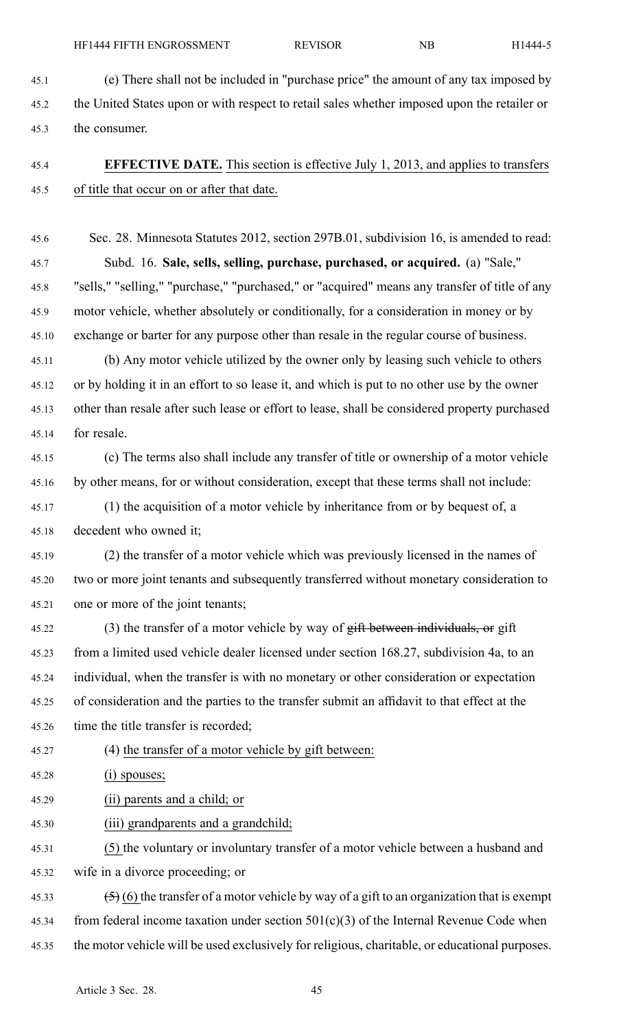45.1 (e) There shall not be included in "purchase price" the amount of any tax imposed by 45.2 the United States upon or with respec<sup>t</sup> to retail sales whether imposed upon the retailer or 45.3 the consumer.

# 45.4 **EFFECTIVE DATE.** This section is effective July 1, 2013, and applies to transfers 45.5 of title that occur on or after that date.

45.6 Sec. 28. Minnesota Statutes 2012, section 297B.01, subdivision 16, is amended to read: 45.7 Subd. 16. **Sale, sells, selling, purchase, purchased, or acquired.** (a) "Sale," 45.8 "sells," "selling," "purchase," "purchased," or "acquired" means any transfer of title of any 45.9 motor vehicle, whether absolutely or conditionally, for <sup>a</sup> consideration in money or by 45.10 exchange or barter for any purpose other than resale in the regular course of business. 45.11 (b) Any motor vehicle utilized by the owner only by leasing such vehicle to others 45.12 or by holding it in an effort to so lease it, and which is pu<sup>t</sup> to no other use by the owner 45.13 other than resale after such lease or effort to lease, shall be considered property purchased

45.14 for resale.

45.15 (c) The terms also shall include any transfer of title or ownership of <sup>a</sup> motor vehicle 45.16 by other means, for or without consideration, excep<sup>t</sup> that these terms shall not include:

45.17 (1) the acquisition of <sup>a</sup> motor vehicle by inheritance from or by bequest of, <sup>a</sup> 45.18 decedent who owned it;

45.19 (2) the transfer of <sup>a</sup> motor vehicle which was previously licensed in the names of 45.20 two or more joint tenants and subsequently transferred without monetary consideration to 45.21 one or more of the joint tenants;

45.22 (3) the transfer of a motor vehicle by way of gift between individuals, or gift 45.23 from <sup>a</sup> limited used vehicle dealer licensed under section 168.27, subdivision 4a, to an 45.24 individual, when the transfer is with no monetary or other consideration or expectation 45.25 of consideration and the parties to the transfer submit an affidavit to that effect at the 45.26 time the title transfer is recorded;

- 45.27 (4) the transfer of <sup>a</sup> motor vehicle by gift between:
- 45.28 (i) spouses;
- 45.29 (ii) parents and <sup>a</sup> child; or
- 45.30 (iii) grandparents and <sup>a</sup> grandchild;

45.31 (5) the voluntary or involuntary transfer of <sup>a</sup> motor vehicle between <sup>a</sup> husband and 45.32 wife in <sup>a</sup> divorce proceeding; or

45.33  $(5)(6)$  the transfer of a motor vehicle by way of a gift to an organization that is exempt

- 45.34 from federal income taxation under section  $501(c)(3)$  of the Internal Revenue Code when
- 45.35 the motor vehicle will be used exclusively for religious, charitable, or educational purposes.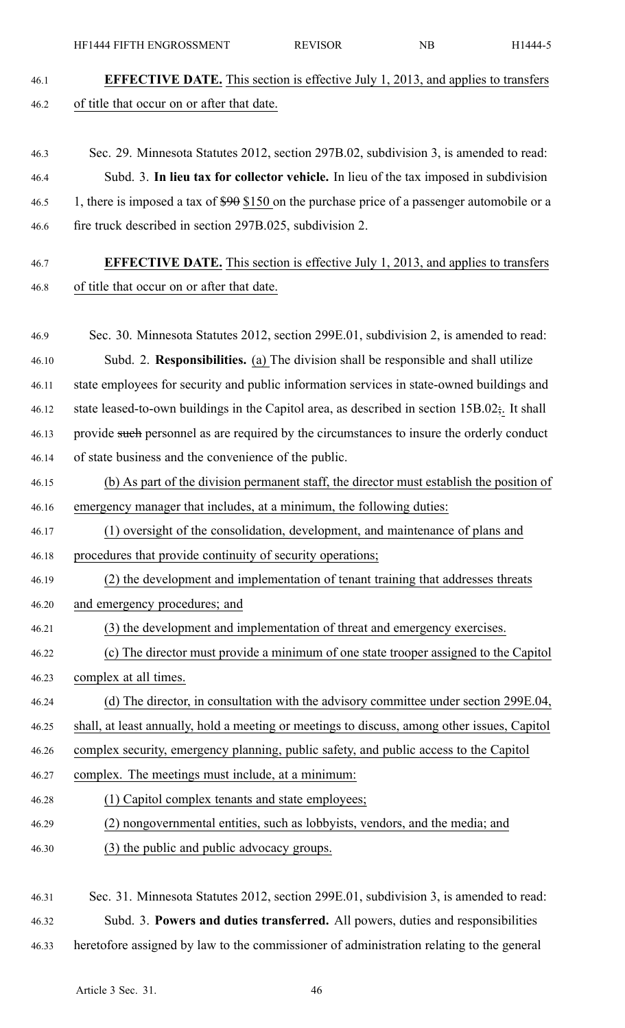46.1 **EFFECTIVE DATE.** This section is effective July 1, 2013, and applies to transfers 46.2 of title that occur on or after that date. 46.3 Sec. 29. Minnesota Statutes 2012, section 297B.02, subdivision 3, is amended to read: 46.4 Subd. 3. **In lieu tax for collector vehicle.** In lieu of the tax imposed in subdivision 46.5 1, there is imposed a tax of \$90 \$150 on the purchase price of a passenger automobile or a 46.6 fire truck described in section 297B.025, subdivision 2. 46.7 **EFFECTIVE DATE.** This section is effective July 1, 2013, and applies to transfers 46.8 of title that occur on or after that date. 46.9 Sec. 30. Minnesota Statutes 2012, section 299E.01, subdivision 2, is amended to read: 46.10 Subd. 2. **Responsibilities.** (a) The division shall be responsible and shall utilize 46.11 state employees for security and public information services in state-owned buildings and 46.12 state leased-to-own buildings in the Capitol area, as described in section 15B.02;. It shall 46.13 provide such personnel as are required by the circumstances to insure the orderly conduct 46.14 of state business and the convenience of the public. 46.15 (b) As par<sup>t</sup> of the division permanen<sup>t</sup> staff, the director must establish the position of 46.16 emergency manager that includes, at <sup>a</sup> minimum, the following duties: 46.17 (1) oversight of the consolidation, development, and maintenance of plans and 46.18 procedures that provide continuity of security operations; 46.19 (2) the development and implementation of tenant training that addresses threats 46.20 and emergency procedures; and 46.21 (3) the development and implementation of threat and emergency exercises. 46.22 (c) The director must provide <sup>a</sup> minimum of one state trooper assigned to the Capitol 46.23 complex at all times. 46.24 (d) The director, in consultation with the advisory committee under section 299E.04, 46.25 shall, at least annually, hold <sup>a</sup> meeting or meetings to discuss, among other issues, Capitol 46.26 complex security, emergency planning, public safety, and public access to the Capitol 46.27 complex. The meetings must include, at <sup>a</sup> minimum: 46.28 (1) Capitol complex tenants and state employees; 46.29 (2) nongovernmental entities, such as lobbyists, vendors, and the media; and 46.30 (3) the public and public advocacy groups. 46.31 Sec. 31. Minnesota Statutes 2012, section 299E.01, subdivision 3, is amended to read:

HF1444 FIFTH ENGROSSMENT REVISOR NB H1444-5

46.32 Subd. 3. **Powers and duties transferred.** All powers, duties and responsibilities 46.33 heretofore assigned by law to the commissioner of administration relating to the general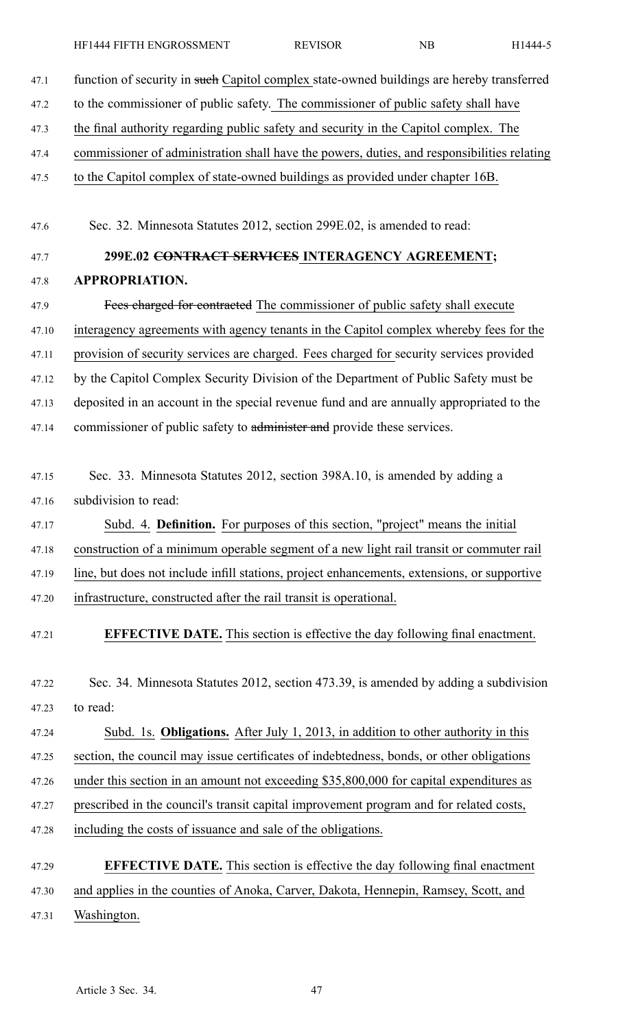47.1 function of security in such Capitol complex state-owned buildings are hereby transferred 47.2 to the commissioner of public safety. The commissioner of public safety shall have 47.3 the final authority regarding public safety and security in the Capitol complex. The 47.4 commissioner of administration shall have the powers, duties, and responsibilities relating 47.5 to the Capitol complex of state-owned buildings as provided under chapter 16B. 47.6 Sec. 32. Minnesota Statutes 2012, section 299E.02, is amended to read: 47.7 **299E.02 CONTRACT SERVICES INTERAGENCY AGREEMENT;** 47.8 **APPROPRIATION.** 47.9 Fees charged for contracted The commissioner of public safety shall execute 47.10 interagency agreements with agency tenants in the Capitol complex whereby fees for the 47.11 provision of security services are charged. Fees charged for security services provided 47.12 by the Capitol Complex Security Division of the Department of Public Safety must be 47.13 deposited in an account in the special revenue fund and are annually appropriated to the 47.14 commissioner of public safety to administer and provide these services. 47.15 Sec. 33. Minnesota Statutes 2012, section 398A.10, is amended by adding <sup>a</sup> 47.16 subdivision to read: 47.17 Subd. 4. **Definition.** For purposes of this section, "project" means the initial 47.18 construction of <sup>a</sup> minimum operable segmen<sup>t</sup> of <sup>a</sup> new light rail transit or commuter rail 47.19 line, but does not include infill stations, project enhancements, extensions, or supportive 47.20 infrastructure, constructed after the rail transit is operational. 47.21 **EFFECTIVE DATE.** This section is effective the day following final enactment. 47.22 Sec. 34. Minnesota Statutes 2012, section 473.39, is amended by adding <sup>a</sup> subdivision 47.23 to read: 47.24 Subd. 1s. **Obligations.** After July 1, 2013, in addition to other authority in this 47.25 section, the council may issue certificates of indebtedness, bonds, or other obligations 47.26 under this section in an amount not exceeding \$35,800,000 for capital expenditures as 47.27 prescribed in the council's transit capital improvement program and for related costs, 47.28 including the costs of issuance and sale of the obligations. 47.29 **EFFECTIVE DATE.** This section is effective the day following final enactment 47.30 and applies in the counties of Anoka, Carver, Dakota, Hennepin, Ramsey, Scott, and

47.31 Washington.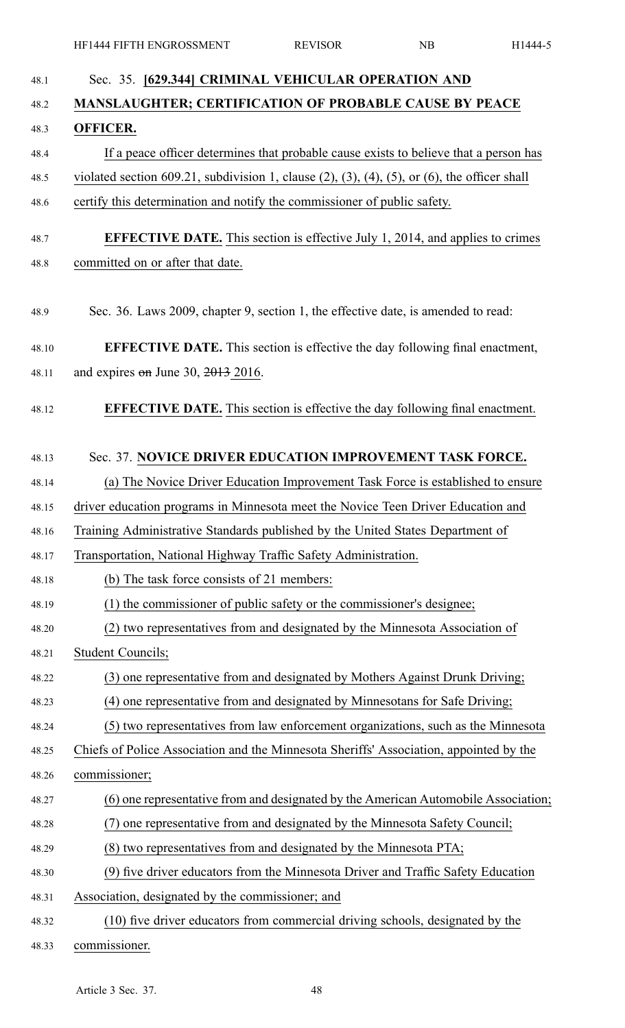| 48.1  | Sec. 35. [629.344] CRIMINAL VEHICULAR OPERATION AND                                                         |
|-------|-------------------------------------------------------------------------------------------------------------|
| 48.2  | <b>MANSLAUGHTER; CERTIFICATION OF PROBABLE CAUSE BY PEACE</b>                                               |
| 48.3  | <b>OFFICER.</b>                                                                                             |
| 48.4  | If a peace officer determines that probable cause exists to believe that a person has                       |
| 48.5  | violated section 609.21, subdivision 1, clause $(2)$ , $(3)$ , $(4)$ , $(5)$ , or $(6)$ , the officer shall |
| 48.6  | certify this determination and notify the commissioner of public safety.                                    |
| 48.7  | <b>EFFECTIVE DATE.</b> This section is effective July 1, 2014, and applies to crimes                        |
| 48.8  | committed on or after that date.                                                                            |
|       |                                                                                                             |
| 48.9  | Sec. 36. Laws 2009, chapter 9, section 1, the effective date, is amended to read:                           |
| 48.10 | <b>EFFECTIVE DATE.</b> This section is effective the day following final enactment,                         |
| 48.11 | and expires $\theta$ m June 30, 2013 2016.                                                                  |
|       |                                                                                                             |
| 48.12 | <b>EFFECTIVE DATE.</b> This section is effective the day following final enactment.                         |
| 48.13 | Sec. 37. NOVICE DRIVER EDUCATION IMPROVEMENT TASK FORCE.                                                    |
| 48.14 | (a) The Novice Driver Education Improvement Task Force is established to ensure                             |
| 48.15 | driver education programs in Minnesota meet the Novice Teen Driver Education and                            |
| 48.16 | Training Administrative Standards published by the United States Department of                              |
| 48.17 | Transportation, National Highway Traffic Safety Administration.                                             |
| 48.18 | (b) The task force consists of 21 members:                                                                  |
| 48.19 | (1) the commissioner of public safety or the commissioner's designee;                                       |
| 48.20 | (2) two representatives from and designated by the Minnesota Association of                                 |
| 48.21 | <b>Student Councils;</b>                                                                                    |
| 48.22 | (3) one representative from and designated by Mothers Against Drunk Driving;                                |
| 48.23 | (4) one representative from and designated by Minnesotans for Safe Driving;                                 |
| 48.24 | (5) two representatives from law enforcement organizations, such as the Minnesota                           |
| 48.25 | Chiefs of Police Association and the Minnesota Sheriffs' Association, appointed by the                      |
| 48.26 | commissioner;                                                                                               |
| 48.27 | (6) one representative from and designated by the American Automobile Association;                          |
| 48.28 | one representative from and designated by the Minnesota Safety Council;<br>(7)                              |
| 48.29 | (8) two representatives from and designated by the Minnesota PTA;                                           |
| 48.30 | (9) five driver educators from the Minnesota Driver and Traffic Safety Education                            |
| 48.31 | Association, designated by the commissioner; and                                                            |
| 48.32 | (10) five driver educators from commercial driving schools, designated by the                               |
| 48.33 | commissioner.                                                                                               |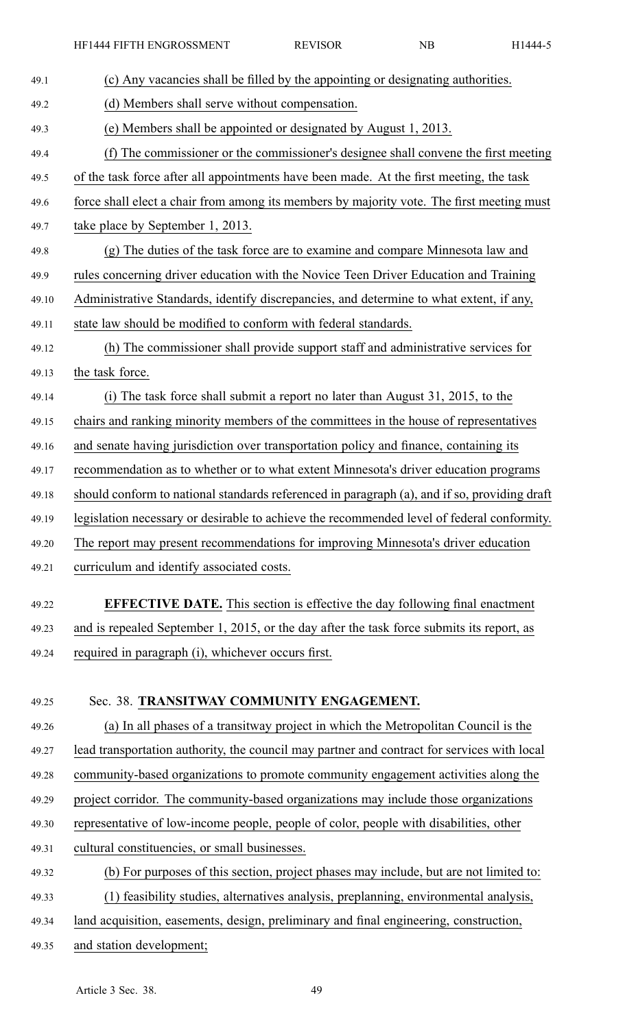| 49.1  | (c) Any vacancies shall be filled by the appointing or designating authorities.              |
|-------|----------------------------------------------------------------------------------------------|
| 49.2  | (d) Members shall serve without compensation.                                                |
| 49.3  | (e) Members shall be appointed or designated by August 1, 2013.                              |
| 49.4  | (f) The commissioner or the commissioner's designee shall convene the first meeting          |
| 49.5  | of the task force after all appointments have been made. At the first meeting, the task      |
| 49.6  | force shall elect a chair from among its members by majority vote. The first meeting must    |
| 49.7  | take place by September 1, 2013.                                                             |
| 49.8  | (g) The duties of the task force are to examine and compare Minnesota law and                |
| 49.9  | rules concerning driver education with the Novice Teen Driver Education and Training         |
| 49.10 | Administrative Standards, identify discrepancies, and determine to what extent, if any,      |
| 49.11 | state law should be modified to conform with federal standards.                              |
| 49.12 | (h) The commissioner shall provide support staff and administrative services for             |
| 49.13 | the task force.                                                                              |
| 49.14 | (i) The task force shall submit a report no later than August 31, 2015, to the               |
| 49.15 | chairs and ranking minority members of the committees in the house of representatives        |
| 49.16 | and senate having jurisdiction over transportation policy and finance, containing its        |
| 49.17 | recommendation as to whether or to what extent Minnesota's driver education programs         |
| 49.18 | should conform to national standards referenced in paragraph (a), and if so, providing draft |
| 49.19 | legislation necessary or desirable to achieve the recommended level of federal conformity.   |
| 49.20 | The report may present recommendations for improving Minnesota's driver education            |
| 49.21 | curriculum and identify associated costs.                                                    |
| 49.22 | <b>EFFECTIVE DATE.</b> This section is effective the day following final enactment           |
| 49.23 | and is repealed September 1, 2015, or the day after the task force submits its report, as    |
| 49.24 | required in paragraph (i), whichever occurs first.                                           |
|       |                                                                                              |
| 49.25 | Sec. 38. TRANSITWAY COMMUNITY ENGAGEMENT.                                                    |
| 49.26 | (a) In all phases of a transitway project in which the Metropolitan Council is the           |
| 49.27 | lead transportation authority, the council may partner and contract for services with local  |
| 49.28 | community-based organizations to promote community engagement activities along the           |
| 49.29 | project corridor. The community-based organizations may include those organizations          |
| 49.30 | representative of low-income people, people of color, people with disabilities, other        |
| 49.31 | cultural constituencies, or small businesses.                                                |
| 49.32 | (b) For purposes of this section, project phases may include, but are not limited to:        |
| 49.33 | (1) feasibility studies, alternatives analysis, preplanning, environmental analysis,         |
| 49.34 | land acquisition, easements, design, preliminary and final engineering, construction,        |
| 49.35 | and station development;                                                                     |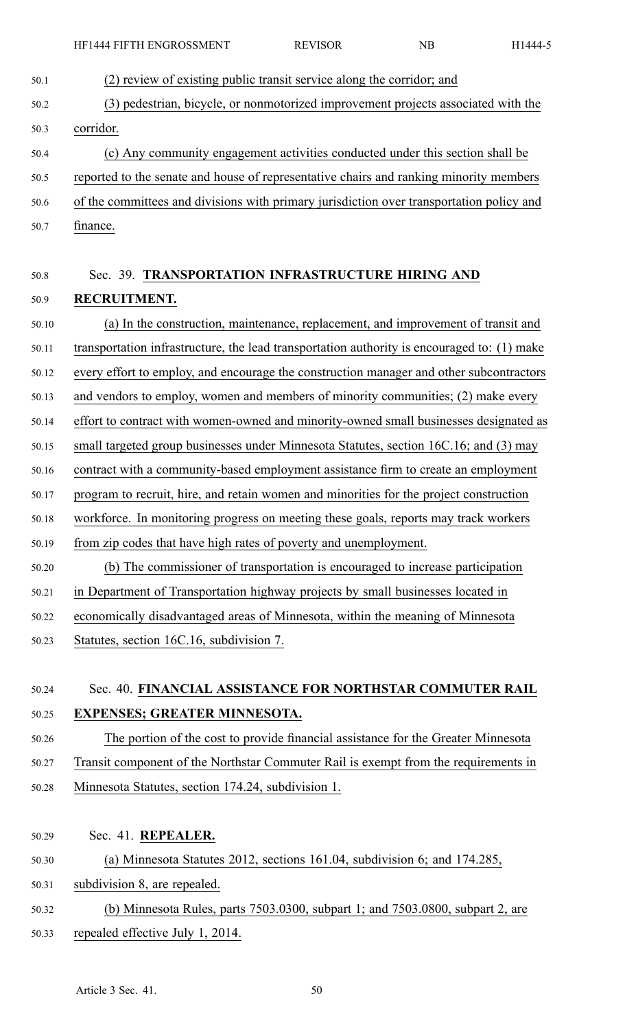- 50.1 (2) review of existing public transit service along the corridor; and 50.2 (3) pedestrian, bicycle, or nonmotorized improvement projects associated with the 50.3 corridor. 50.4 (c) Any community engagemen<sup>t</sup> activities conducted under this section shall be 50.5 reported to the senate and house of representative chairs and ranking minority members 50.6 of the committees and divisions with primary jurisdiction over transportation policy and 50.7 finance. 50.8 Sec. 39. **TRANSPORTATION INFRASTRUCTURE HIRING AND** 50.9 **RECRUITMENT.** 50.10 (a) In the construction, maintenance, replacement, and improvement of transit and 50.11 transportation infrastructure, the lead transportation authority is encouraged to: (1) make 50.12 every effort to employ, and encourage the construction manager and other subcontractors 50.13 and vendors to employ, women and members of minority communities; (2) make every 50.14 effort to contract with women-owned and minority-owned small businesses designated as 50.15 small targeted group businesses under Minnesota Statutes, section 16C.16; and (3) may 50.16 contract with <sup>a</sup> community-based employment assistance firm to create an employment 50.17 program to recruit, hire, and retain women and minorities for the project construction 50.18 workforce. In monitoring progress on meeting these goals, reports may track workers 50.19 from zip codes that have high rates of poverty and unemployment. 50.20 (b) The commissioner of transportation is encouraged to increase participation 50.21 in Department of Transportation highway projects by small businesses located in 50.22 economically disadvantaged areas of Minnesota, within the meaning of Minnesota 50.23 Statutes, section 16C.16, subdivision 7. 50.24 Sec. 40. **FINANCIAL ASSISTANCE FOR NORTHSTAR COMMUTER RAIL** 50.25 **EXPENSES; GREATER MINNESOTA.** 50.26 The portion of the cost to provide financial assistance for the Greater Minnesota 50.27 Transit componen<sup>t</sup> of the Northstar Commuter Rail is exemp<sup>t</sup> from the requirements in 50.28 Minnesota Statutes, section 174.24, subdivision 1. 50.29 Sec. 41. **REPEALER.** 50.30 (a) Minnesota Statutes 2012, sections 161.04, subdivision 6; and 174.285,
- 50.31 subdivision 8, are repealed.
- 50.32 (b) Minnesota Rules, parts 7503.0300, subpart 1; and 7503.0800, subpart 2, are 50.33 repealed effective July 1, 2014.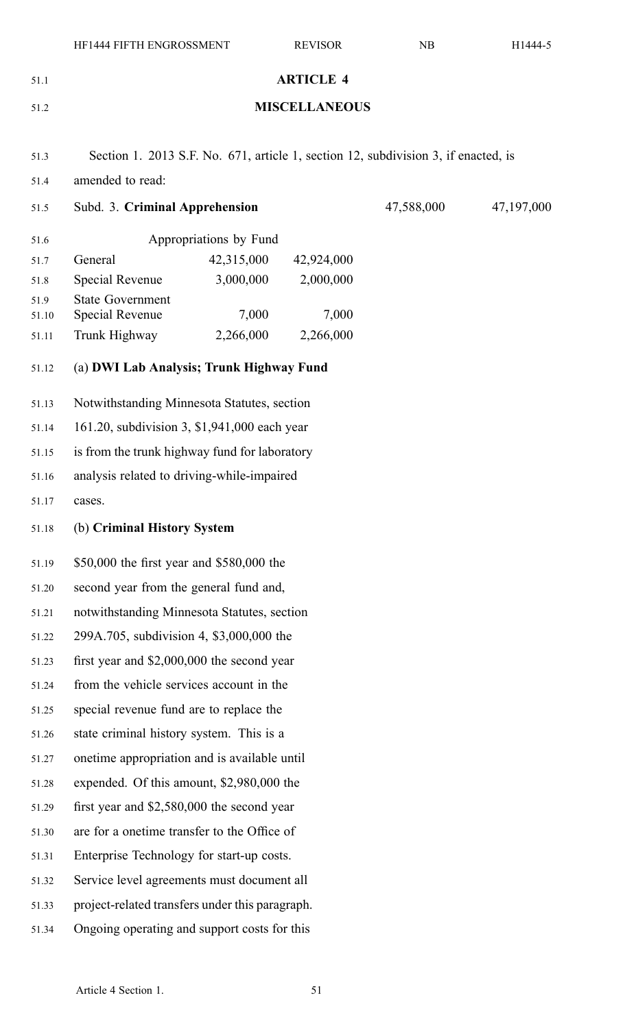|               | HF1444 FIFTH ENGROSSMENT                                                           |                        | <b>REVISOR</b>   | NB         | H1444-5 |
|---------------|------------------------------------------------------------------------------------|------------------------|------------------|------------|---------|
| 51.1          |                                                                                    |                        | <b>ARTICLE 4</b> |            |         |
| 51.2          | <b>MISCELLANEOUS</b>                                                               |                        |                  |            |         |
|               |                                                                                    |                        |                  |            |         |
| 51.3          | Section 1. 2013 S.F. No. 671, article 1, section 12, subdivision 3, if enacted, is |                        |                  |            |         |
| 51.4          | amended to read:                                                                   |                        |                  |            |         |
| 51.5          | Subd. 3. Criminal Apprehension                                                     |                        | 47,588,000       | 47,197,000 |         |
| 51.6          |                                                                                    | Appropriations by Fund |                  |            |         |
| 51.7          | General                                                                            | 42,315,000             | 42,924,000       |            |         |
| 51.8          | <b>Special Revenue</b>                                                             | 3,000,000              | 2,000,000        |            |         |
| 51.9<br>51.10 | <b>State Government</b><br>Special Revenue                                         | 7,000                  | 7,000            |            |         |
| 51.11         | Trunk Highway                                                                      | 2,266,000              | 2,266,000        |            |         |
| 51.12         | (a) DWI Lab Analysis; Trunk Highway Fund                                           |                        |                  |            |         |
|               |                                                                                    |                        |                  |            |         |
| 51.13         | Notwithstanding Minnesota Statutes, section                                        |                        |                  |            |         |
| 51.14         | 161.20, subdivision 3, \$1,941,000 each year                                       |                        |                  |            |         |
| 51.15         | is from the trunk highway fund for laboratory                                      |                        |                  |            |         |
| 51.16         | analysis related to driving-while-impaired                                         |                        |                  |            |         |
| 51.17         | cases.                                                                             |                        |                  |            |         |
| 51.18         | (b) Criminal History System                                                        |                        |                  |            |         |
| 51.19         | \$50,000 the first year and \$580,000 the                                          |                        |                  |            |         |
| 51.20         | second year from the general fund and,                                             |                        |                  |            |         |
| 51.21         | notwithstanding Minnesota Statutes, section                                        |                        |                  |            |         |
| 51.22         | 299A.705, subdivision 4, \$3,000,000 the                                           |                        |                  |            |         |
| 51.23         | first year and $$2,000,000$ the second year                                        |                        |                  |            |         |
| 51.24         | from the vehicle services account in the                                           |                        |                  |            |         |
| 51.25         | special revenue fund are to replace the                                            |                        |                  |            |         |
| 51.26         | state criminal history system. This is a                                           |                        |                  |            |         |
| 51.27         | onetime appropriation and is available until                                       |                        |                  |            |         |
| 51.28         | expended. Of this amount, \$2,980,000 the                                          |                        |                  |            |         |
| 51.29         | first year and $$2,580,000$ the second year                                        |                        |                  |            |         |
| 51.30         | are for a onetime transfer to the Office of                                        |                        |                  |            |         |
| 51.31         | Enterprise Technology for start-up costs.                                          |                        |                  |            |         |
| 51.32         | Service level agreements must document all                                         |                        |                  |            |         |
| 51.33         | project-related transfers under this paragraph.                                    |                        |                  |            |         |
| 51.34         | Ongoing operating and support costs for this                                       |                        |                  |            |         |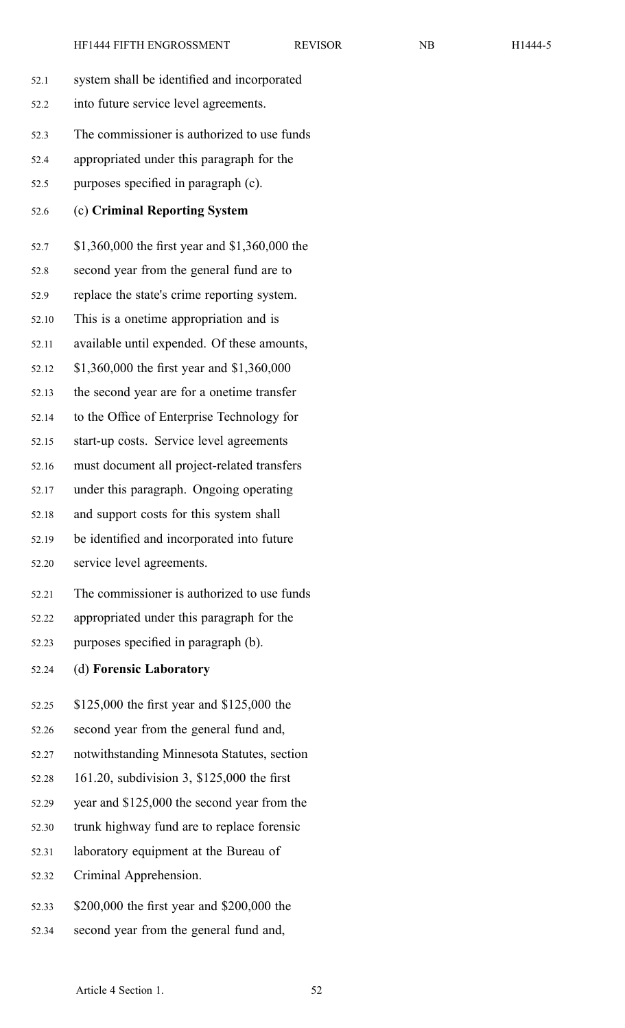| 52.1  | system shall be identified and incorporated    |
|-------|------------------------------------------------|
| 52.2  | into future service level agreements.          |
|       |                                                |
| 52.3  | The commissioner is authorized to use funds    |
| 52.4  | appropriated under this paragraph for the      |
| 52.5  | purposes specified in paragraph (c).           |
| 52.6  | (c) Criminal Reporting System                  |
| 52.7  | \$1,360,000 the first year and \$1,360,000 the |
| 52.8  | second year from the general fund are to       |
| 52.9  | replace the state's crime reporting system.    |
| 52.10 | This is a onetime appropriation and is         |
| 52.11 | available until expended. Of these amounts,    |
| 52.12 | \$1,360,000 the first year and \$1,360,000     |
| 52.13 | the second year are for a onetime transfer     |
| 52.14 | to the Office of Enterprise Technology for     |
| 52.15 | start-up costs. Service level agreements       |
| 52.16 | must document all project-related transfers    |
| 52.17 | under this paragraph. Ongoing operating        |
| 52.18 | and support costs for this system shall        |
| 52.19 | be identified and incorporated into future     |
| 52.20 | service level agreements.                      |
| 52.21 | The commissioner is authorized to use funds    |
| 52.22 | appropriated under this paragraph for the      |
| 52.23 | purposes specified in paragraph (b).           |
| 52.24 | (d) Forensic Laboratory                        |
| 52.25 | \$125,000 the first year and \$125,000 the     |
| 52.26 | second year from the general fund and,         |
| 52.27 | notwithstanding Minnesota Statutes, section    |
| 52.28 | 161.20, subdivision 3, \$125,000 the first     |
| 52.29 | year and \$125,000 the second year from the    |
| 52.30 | trunk highway fund are to replace forensic     |
| 52.31 | laboratory equipment at the Bureau of          |
| 52.32 | Criminal Apprehension.                         |
| 52.33 | \$200,000 the first year and \$200,000 the     |

52.34 second year from the general fund and,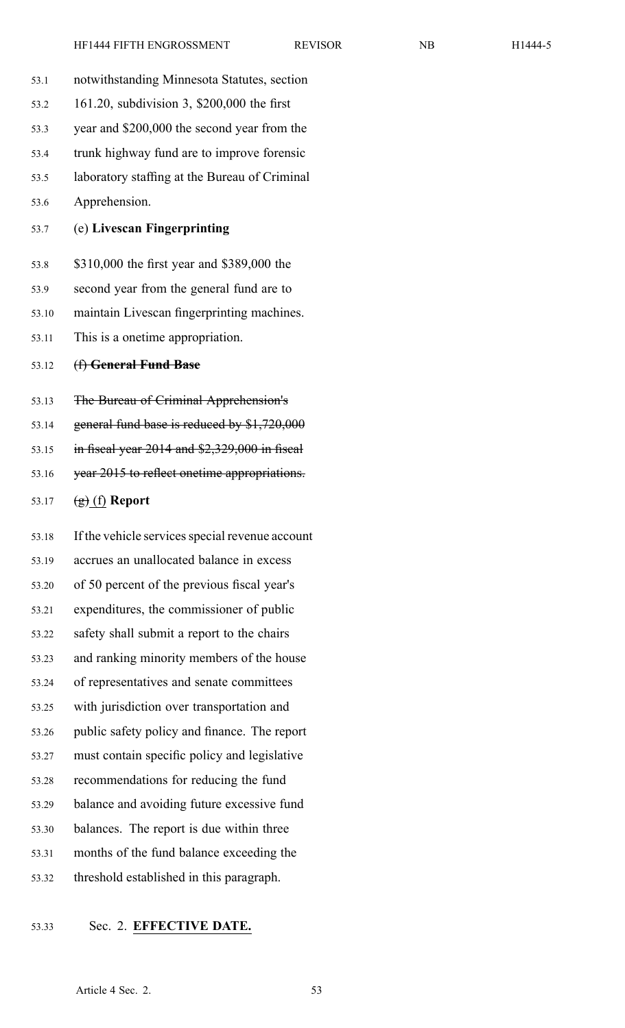| 53.1  | notwithstanding Minnesota Statutes, section      |
|-------|--------------------------------------------------|
| 53.2  | 161.20, subdivision 3, \$200,000 the first       |
| 53.3  | year and \$200,000 the second year from the      |
| 53.4  | trunk highway fund are to improve forensic       |
| 53.5  | laboratory staffing at the Bureau of Criminal    |
| 53.6  | Apprehension.                                    |
| 53.7  | (e) Livescan Fingerprinting                      |
| 53.8  | \$310,000 the first year and \$389,000 the       |
| 53.9  | second year from the general fund are to         |
| 53.10 | maintain Livescan fingerprinting machines.       |
| 53.11 | This is a onetime appropriation.                 |
| 53.12 | (f) General Fund Base                            |
| 53.13 | The Bureau of Criminal Apprehension's            |
| 53.14 | general fund base is reduced by \$1,720,000      |
| 53.15 | in fiscal year $2014$ and $$2,329,000$ in fiscal |
| 53.16 | year 2015 to reflect onetime appropriations.     |
| 53.17 | $\left(\frac{1}{2}\right)$ (f) Report            |
| 53.18 | If the vehicle services special revenue account  |
| 53.19 | accrues an unallocated balance in excess         |
| 53.20 | of 50 percent of the previous fiscal year's      |
| 53.21 | expenditures, the commissioner of public         |
| 53.22 | safety shall submit a report to the chairs       |
| 53.23 | and ranking minority members of the house        |
| 53.24 | of representatives and senate committees         |
| 53.25 | with jurisdiction over transportation and        |
| 53.26 | public safety policy and finance. The report     |
| 53.27 | must contain specific policy and legislative     |
| 53.28 | recommendations for reducing the fund            |
| 53.29 | balance and avoiding future excessive fund       |
| 53.30 | balances. The report is due within three         |
| 53.31 | months of the fund balance exceeding the         |
| 53.32 | threshold established in this paragraph.         |

# 53.33 Sec. 2. **EFFECTIVE DATE.**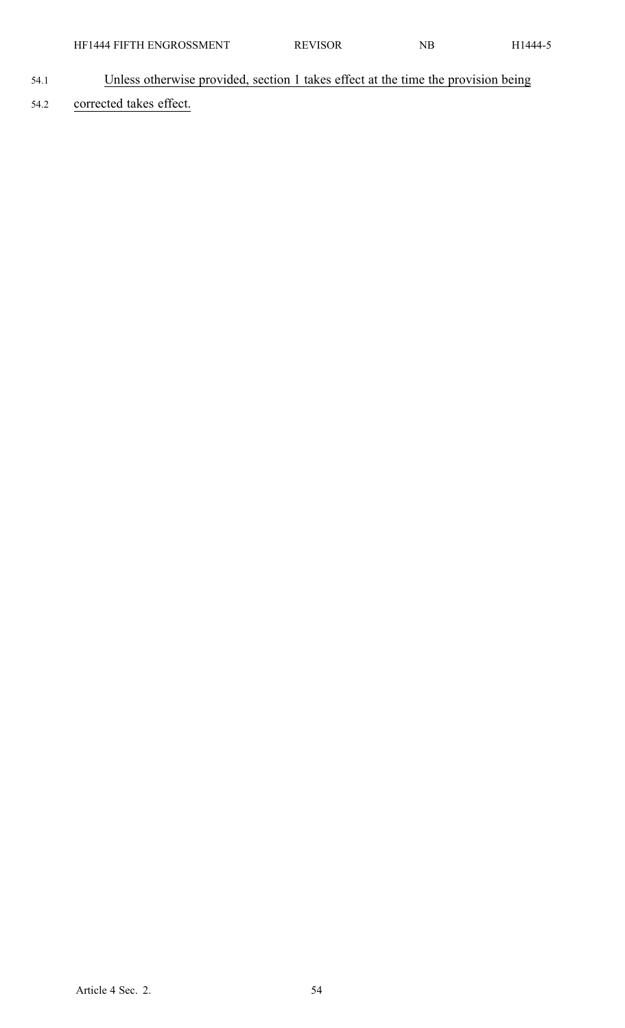- 54.1 Unless otherwise provided, section 1 takes effect at the time the provision being
- 54.2 corrected takes effect.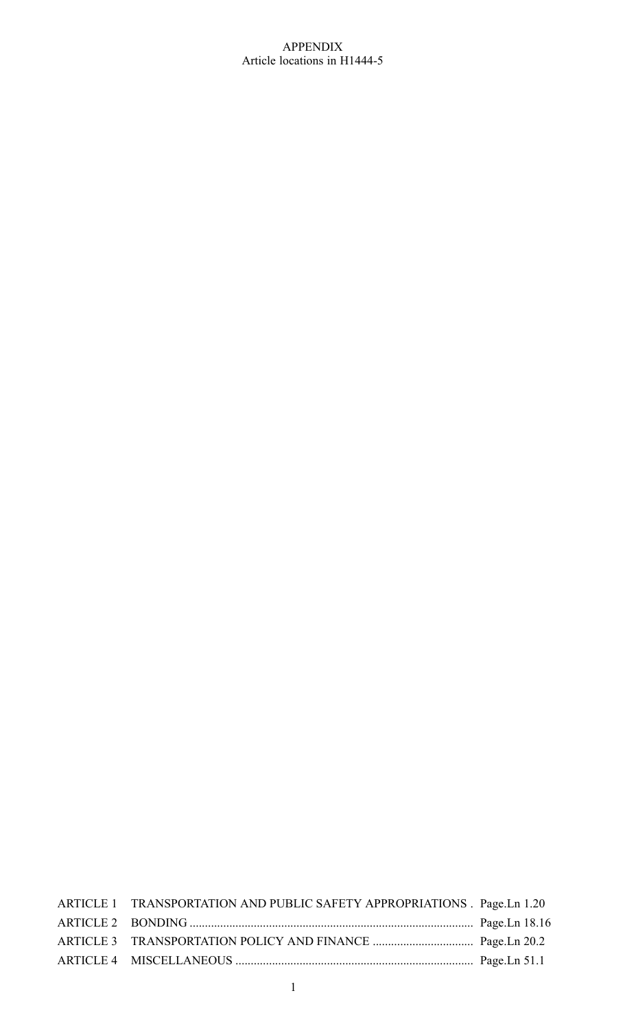# APPENDIX Article locations in H1444-5

| ARTICLE 1 TRANSPORTATION AND PUBLIC SAFETY APPROPRIATIONS . Page.Ln 1.20 |  |
|--------------------------------------------------------------------------|--|
|                                                                          |  |
|                                                                          |  |
|                                                                          |  |
|                                                                          |  |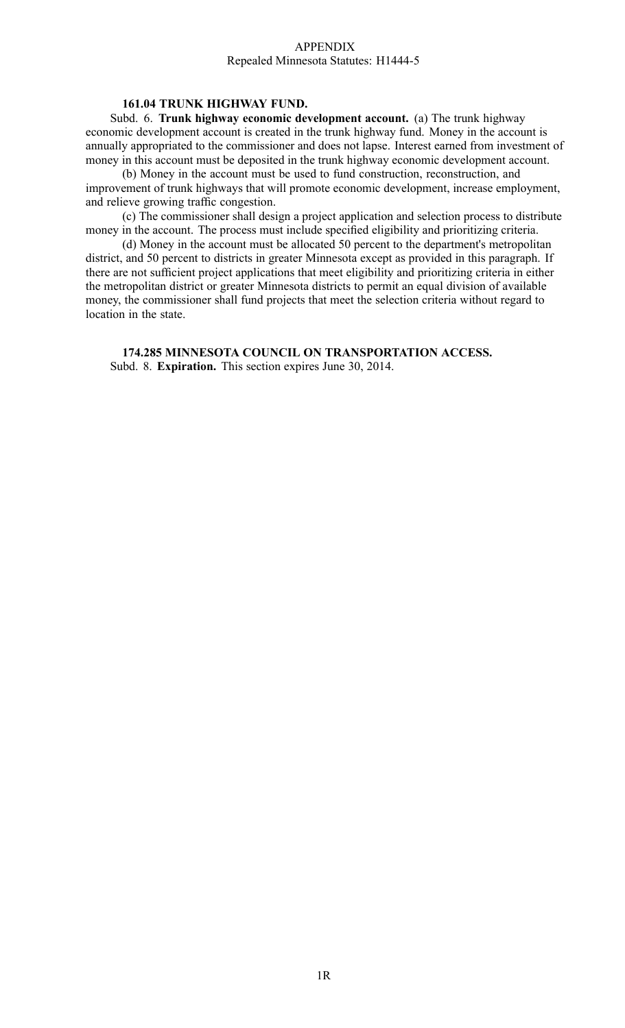#### APPENDIX Repealed Minnesota Statutes: H1444-5

# **161.04 TRUNK HIGHWAY FUND.**

Subd. 6. **Trunk highway economic development account.** (a) The trunk highway economic development account is created in the trunk highway fund. Money in the account is annually appropriated to the commissioner and does not lapse. Interest earned from investment of money in this account must be deposited in the trunk highway economic development account.

(b) Money in the account must be used to fund construction, reconstruction, and improvement of trunk highways that will promote economic development, increase employment, and relieve growing traffic congestion.

(c) The commissioner shall design <sup>a</sup> project application and selection process to distribute money in the account. The process must include specified eligibility and prioritizing criteria.

(d) Money in the account must be allocated 50 percen<sup>t</sup> to the department's metropolitan district, and 50 percen<sup>t</sup> to districts in greater Minnesota excep<sup>t</sup> as provided in this paragraph. If there are not sufficient project applications that meet eligibility and prioritizing criteria in either the metropolitan district or greater Minnesota districts to permit an equal division of available money, the commissioner shall fund projects that meet the selection criteria without regard to location in the state.

**174.285 MINNESOTA COUNCIL ON TRANSPORTATION ACCESS.** Subd. 8. **Expiration.** This section expires June 30, 2014.